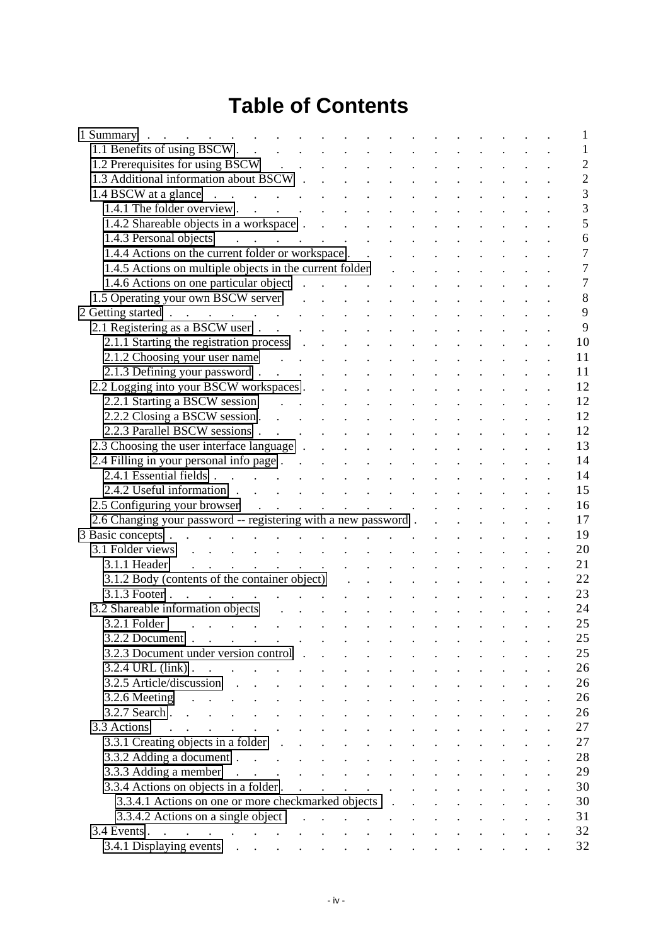# **Table of Contents**

| 1 Summary                                                                                                                                                                                                                                                 |  |  |                                                               |  |  | 1              |
|-----------------------------------------------------------------------------------------------------------------------------------------------------------------------------------------------------------------------------------------------------------|--|--|---------------------------------------------------------------|--|--|----------------|
| 1.1 Benefits of using BSCW.                                                                                                                                                                                                                               |  |  |                                                               |  |  | $\mathbf{1}$   |
| 1.2 Prerequisites for using BSCW                                                                                                                                                                                                                          |  |  |                                                               |  |  | $\overline{c}$ |
| 1.3 Additional information about BSCW                                                                                                                                                                                                                     |  |  |                                                               |  |  | $\overline{c}$ |
|                                                                                                                                                                                                                                                           |  |  |                                                               |  |  | $\overline{3}$ |
|                                                                                                                                                                                                                                                           |  |  |                                                               |  |  | $\overline{3}$ |
|                                                                                                                                                                                                                                                           |  |  |                                                               |  |  | 5              |
| 1.4.3 Personal objects                                                                                                                                                                                                                                    |  |  |                                                               |  |  | 6              |
| 1.4.4 Actions on the current folder or workspace                                                                                                                                                                                                          |  |  |                                                               |  |  | $\tau$         |
| 1.4.5 Actions on multiple objects in the current folder                                                                                                                                                                                                   |  |  |                                                               |  |  | $\overline{7}$ |
|                                                                                                                                                                                                                                                           |  |  |                                                               |  |  | $\overline{7}$ |
|                                                                                                                                                                                                                                                           |  |  |                                                               |  |  | 8              |
|                                                                                                                                                                                                                                                           |  |  |                                                               |  |  | 9              |
|                                                                                                                                                                                                                                                           |  |  |                                                               |  |  | 9              |
|                                                                                                                                                                                                                                                           |  |  |                                                               |  |  | 10             |
|                                                                                                                                                                                                                                                           |  |  |                                                               |  |  | 11             |
|                                                                                                                                                                                                                                                           |  |  |                                                               |  |  | 11             |
| 2.2 Logging into your BSCW workspaces                                                                                                                                                                                                                     |  |  |                                                               |  |  | 12             |
|                                                                                                                                                                                                                                                           |  |  |                                                               |  |  | 12             |
|                                                                                                                                                                                                                                                           |  |  |                                                               |  |  | 12             |
|                                                                                                                                                                                                                                                           |  |  |                                                               |  |  | 12             |
|                                                                                                                                                                                                                                                           |  |  |                                                               |  |  | 13             |
| 2.4 Filling in your personal info page                                                                                                                                                                                                                    |  |  | $\mathcal{L}^{\text{max}}$ , where $\mathcal{L}^{\text{max}}$ |  |  | 14             |
|                                                                                                                                                                                                                                                           |  |  |                                                               |  |  | 14             |
|                                                                                                                                                                                                                                                           |  |  |                                                               |  |  | 15             |
| 2.5 Configuring your browser expansion of the contract of the contract of the contract of the contract of the contract of the contract of the contract of the contract of the contract of the contract of the contract of the                             |  |  |                                                               |  |  | 16             |
|                                                                                                                                                                                                                                                           |  |  |                                                               |  |  | 17             |
| 2.6 Changing your password -- registering with a new password.                                                                                                                                                                                            |  |  |                                                               |  |  | 19             |
| 3 Basic concepts                                                                                                                                                                                                                                          |  |  |                                                               |  |  |                |
| $\mathcal{L}^{\mathcal{A}}$ . The set of the set of the set of the set of the set of the $\mathcal{L}^{\mathcal{A}}$<br>3.1 Folder views                                                                                                                  |  |  |                                                               |  |  | 20             |
| $3.1.1$ Header $\qquad \qquad$ .                                                                                                                                                                                                                          |  |  |                                                               |  |  | 21             |
| 3.1.2 Body (contents of the container object)                                                                                                                                                                                                             |  |  |                                                               |  |  | 22             |
|                                                                                                                                                                                                                                                           |  |  |                                                               |  |  | 23             |
| 3.2 Shareable information objects                                                                                                                                                                                                                         |  |  |                                                               |  |  | 24             |
| 3.2.1 Folder<br>$\mathcal{L}^{\mathcal{A}}$ . The contribution of the contribution of the contribution of the contribution of the contribution of the contribution of the contribution of the contribution of the contribution of the contribution of the |  |  |                                                               |  |  | 25             |
|                                                                                                                                                                                                                                                           |  |  |                                                               |  |  | 25             |
| 3.2.3 Document under version control example and the control of the control of the control of the control of the control of the control of the control of the control of the control of the control of the control of the cont                            |  |  |                                                               |  |  | 25             |
|                                                                                                                                                                                                                                                           |  |  |                                                               |  |  | 26             |
| 3.2.5 Article/discussion                                                                                                                                                                                                                                  |  |  |                                                               |  |  | 26             |
| 3.2.6 Meeting $\cdots$ $\cdots$ $\cdots$ $\cdots$ $\cdots$ $\cdots$                                                                                                                                                                                       |  |  |                                                               |  |  | 26             |
|                                                                                                                                                                                                                                                           |  |  |                                                               |  |  | 26             |
| 3.3 Actions<br>and the contract of the contract of the contract of the contract of the contract of the contract of the contract of the contract of the contract of the contract of the contract of the contract of the contract of the contra             |  |  |                                                               |  |  | 27             |
|                                                                                                                                                                                                                                                           |  |  |                                                               |  |  | 27             |
| $3.3.2$ Adding a document $\cdot \cdot \cdot \cdot \cdot \cdot \cdot \cdot \cdot \cdot$                                                                                                                                                                   |  |  |                                                               |  |  | 28             |
| 3.3.3 Adding a member contact the contract of the contract of the contract of the contract of the contract of the contract of the contract of the contract of the contract of the contract of the contract of the contract of                             |  |  |                                                               |  |  | 29             |
|                                                                                                                                                                                                                                                           |  |  |                                                               |  |  | 30             |
| 3.3.4.1 Actions on one or more checkmarked objects                                                                                                                                                                                                        |  |  |                                                               |  |  | 30             |
|                                                                                                                                                                                                                                                           |  |  |                                                               |  |  | 31             |
|                                                                                                                                                                                                                                                           |  |  |                                                               |  |  | 32             |
| 3.4.1 Displaying events resources and the contract of the contract of the contract of the contract of the contract of the contract of the contract of the contract of the contract of the contract of the contract of the cont                            |  |  |                                                               |  |  | 32             |
|                                                                                                                                                                                                                                                           |  |  |                                                               |  |  |                |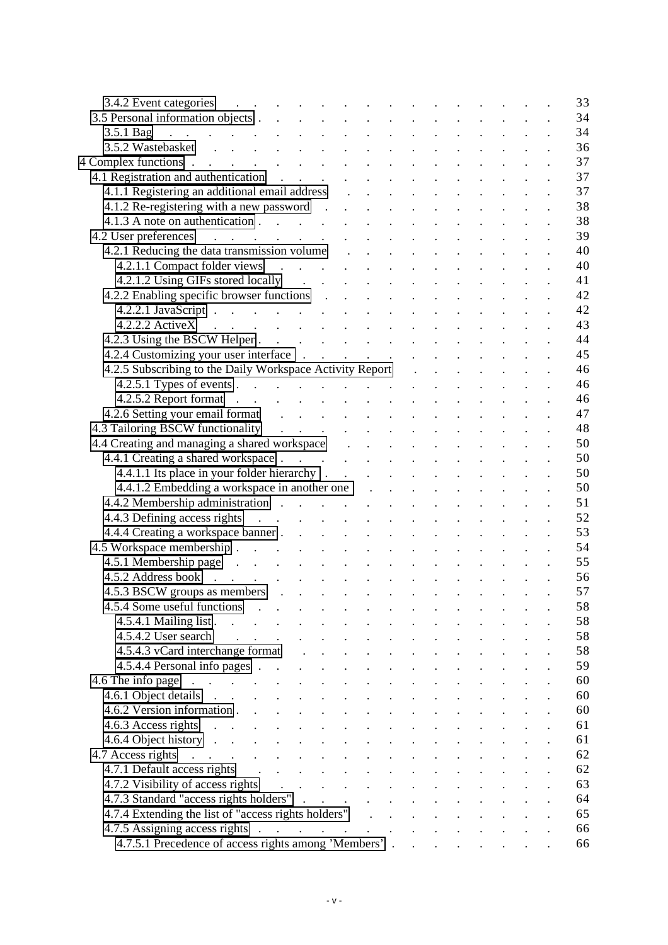| 3.4.2 Event categories                                                                                                                                                                                                         |  |  |  | 33 |
|--------------------------------------------------------------------------------------------------------------------------------------------------------------------------------------------------------------------------------|--|--|--|----|
|                                                                                                                                                                                                                                |  |  |  | 34 |
|                                                                                                                                                                                                                                |  |  |  | 34 |
|                                                                                                                                                                                                                                |  |  |  | 36 |
|                                                                                                                                                                                                                                |  |  |  | 37 |
|                                                                                                                                                                                                                                |  |  |  | 37 |
| 4.1.1 Registering an additional email address and the contract of the contract of the contract of the contract of the contract of the contract of the contract of the contract of the contract of the contract of the contract |  |  |  | 37 |
| 4.1.2 Re-registering with a new password                                                                                                                                                                                       |  |  |  | 38 |
|                                                                                                                                                                                                                                |  |  |  | 38 |
|                                                                                                                                                                                                                                |  |  |  | 39 |
|                                                                                                                                                                                                                                |  |  |  | 40 |
|                                                                                                                                                                                                                                |  |  |  | 40 |
| 4.2.1.2 Using GIFs stored locally expansion of the contract of the contract of the contract of the contract of the contract of the contract of the contract of the contract of the contract of the contract of the contract of |  |  |  | 41 |
|                                                                                                                                                                                                                                |  |  |  | 42 |
|                                                                                                                                                                                                                                |  |  |  | 42 |
|                                                                                                                                                                                                                                |  |  |  | 43 |
|                                                                                                                                                                                                                                |  |  |  | 44 |
|                                                                                                                                                                                                                                |  |  |  |    |
| 4.2.4 Customizing your user interface                                                                                                                                                                                          |  |  |  | 45 |
| 4.2.5 Subscribing to the Daily Workspace Activity Report                                                                                                                                                                       |  |  |  | 46 |
|                                                                                                                                                                                                                                |  |  |  | 46 |
|                                                                                                                                                                                                                                |  |  |  | 46 |
| 4.2.6 Setting your email format resources and resources are a set of the set of the set of the set of the set of the set of the set of the set of the set of the set of the set of the set of the set of the set of the set of |  |  |  | 47 |
| 4.3 Tailoring BSCW functionality                                                                                                                                                                                               |  |  |  | 48 |
| 4.4 Creating and managing a shared workspace and a set of the state of the state of the state of the state of the state of the state of the state of the state of the state of the state of the state of the state of the stat |  |  |  | 50 |
|                                                                                                                                                                                                                                |  |  |  | 50 |
| 4.4.1 Creating a shared workspace .<br>4.4.1.1 Its place in your folder hierarchy                                                                                                                                              |  |  |  | 50 |
| 4.4.1.2 Embedding a workspace in another one contact the contact of the contact of the contact of the contact of the contact of the contact of the contact of the contact of the contact of the contact of the contact of the  |  |  |  | 50 |
|                                                                                                                                                                                                                                |  |  |  | 51 |
|                                                                                                                                                                                                                                |  |  |  | 52 |
|                                                                                                                                                                                                                                |  |  |  | 53 |
| 4.4.3 Defining access rights<br>4.4.4 Creating a workspace banner<br>4.5 Workspace membership                                                                                                                                  |  |  |  | 54 |
| 4.5.1 Membership page resources and the contract of the state of the state of the state of the state of the state of the state of the state of the state of the state of the state of the state of the state of the state of t |  |  |  | 55 |
|                                                                                                                                                                                                                                |  |  |  | 56 |
| 4.5.3 BSCW groups as members                                                                                                                                                                                                   |  |  |  | 57 |
| 4.5.4 Some useful functions                                                                                                                                                                                                    |  |  |  | 58 |
| $4.5.4.1$ Mailing list $\ldots$                                                                                                                                                                                                |  |  |  | 58 |
| $4.5.4.2$ User search $\qquad \qquad \ldots \qquad \qquad \ldots \qquad \ldots \qquad \ldots \qquad \ldots$                                                                                                                    |  |  |  | 58 |
| 4.5.4.3 vCard interchange format example and such a set of the set of the set of the set of the set of the set of the set of the set of the set of the set of the set of the set of the set of the set of the set of the set o |  |  |  | 58 |
| 4.5.4.4 Personal info pages                                                                                                                                                                                                    |  |  |  | 59 |
| 4.6 The info page resolution and the set of the set of the set of the set of the set of the set of the set of the set of the set of the set of the set of the set of the set of the set of the set of the set of the set of th |  |  |  | 60 |
| 4.6.1 Object details                                                                                                                                                                                                           |  |  |  | 60 |
| 4.6.2 Version information.                                                                                                                                                                                                     |  |  |  | 60 |
| $4.6.3$ Access rights $\cdot \cdot \cdot \cdot \cdot \cdot \cdot \cdot \cdot$                                                                                                                                                  |  |  |  | 61 |
| 4.6.4 Object history                                                                                                                                                                                                           |  |  |  | 61 |
| 4.7 Access rights                                                                                                                                                                                                              |  |  |  | 62 |
| 4.7.1 Default access rights results are a series of the series of the series of the series of the series of the series of the series of the series of the series of the series of the series of the series of the series of th |  |  |  | 62 |
|                                                                                                                                                                                                                                |  |  |  |    |
| 4.7.2 Visibility of access rights                                                                                                                                                                                              |  |  |  | 63 |
|                                                                                                                                                                                                                                |  |  |  | 64 |
| 4.7.4 Extending the list of "access rights holders"                                                                                                                                                                            |  |  |  | 65 |
| 4.7.5 Assigning access rights expansion of the contract of the contract of the contract of the contract of the contract of the contract of the contract of the contract of the contract of the contract of the contract of the |  |  |  | 66 |
|                                                                                                                                                                                                                                |  |  |  | 66 |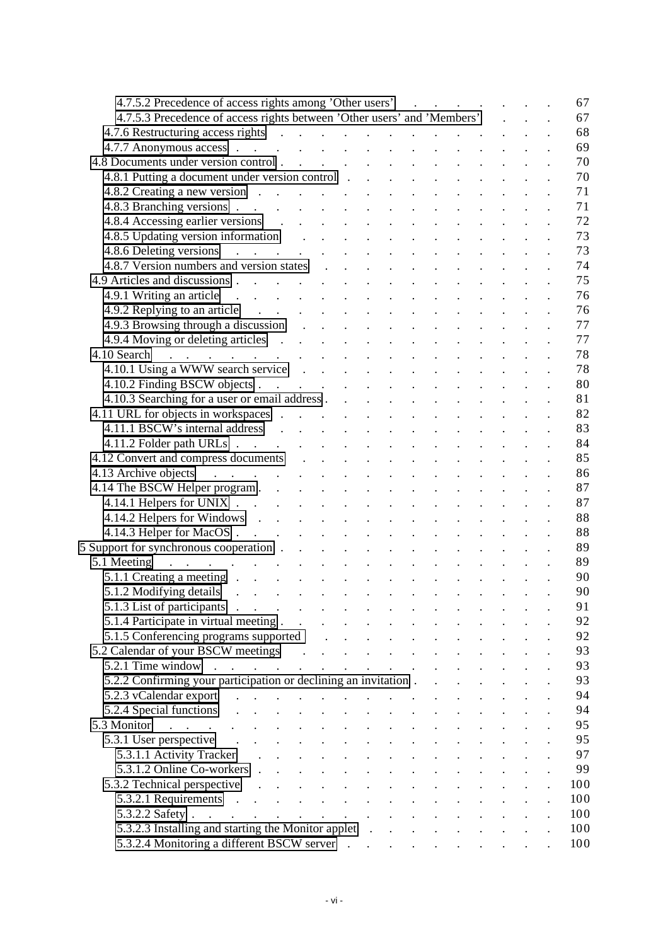| 4.7.5.2 Precedence of access rights among 'Other users'                                                                                                                                                                        |  | 67  |
|--------------------------------------------------------------------------------------------------------------------------------------------------------------------------------------------------------------------------------|--|-----|
| 4.7.5.3 Precedence of access rights between 'Other users' and 'Members'                                                                                                                                                        |  | 67  |
|                                                                                                                                                                                                                                |  | 68  |
| 4.7.7 Anonymous access experience of the contract of the contract of the contract of the contract of the contract of the contract of the contract of the contract of the contract of the contract of the contract of the contr |  | 69  |
| 4.8 Documents under version control.<br>4.8.1 Putting a document under version control.                                                                                                                                        |  | 70  |
|                                                                                                                                                                                                                                |  | 70  |
| 4.8.2 Creating a new version response to the contract of the contract of the contract of the contract of the contract of the contract of the contract of the contract of the contract of the contract of the contract of the c |  | 71  |
| 4.8.3 Branching versions and the contract of the contract of the contract of the contract of the contract of the contract of the contract of the contract of the contract of the contract of the contract of the contract of t |  | 71  |
|                                                                                                                                                                                                                                |  | 72  |
| 4.8.4 Accessing earlier versions<br>4.8.5 Updating version information<br>4.8.6 Deleting versions                                                                                                                              |  | 73  |
|                                                                                                                                                                                                                                |  | 73  |
|                                                                                                                                                                                                                                |  | 74  |
|                                                                                                                                                                                                                                |  | 75  |
|                                                                                                                                                                                                                                |  | 76  |
| 4.9.1 Writing an article<br>4.9.2 Replying to an article<br>4.9.3 Browsing through a discussion                                                                                                                                |  | 76  |
|                                                                                                                                                                                                                                |  | 77  |
|                                                                                                                                                                                                                                |  | 77  |
|                                                                                                                                                                                                                                |  | 78  |
|                                                                                                                                                                                                                                |  | 78  |
|                                                                                                                                                                                                                                |  |     |
|                                                                                                                                                                                                                                |  | 80  |
|                                                                                                                                                                                                                                |  | 81  |
|                                                                                                                                                                                                                                |  | 82  |
|                                                                                                                                                                                                                                |  | 83  |
| 4.11.2 Folder path URLs<br>4.12 Convert and compress documents<br>4.13 Archive objects                                                                                                                                         |  | 84  |
|                                                                                                                                                                                                                                |  | 85  |
|                                                                                                                                                                                                                                |  | 86  |
|                                                                                                                                                                                                                                |  | 87  |
|                                                                                                                                                                                                                                |  | 87  |
|                                                                                                                                                                                                                                |  | 88  |
|                                                                                                                                                                                                                                |  | 88  |
| 4.14.2 Helpers for Windows<br>4.14.3 Helper for MacOS<br>5 Support for synchronous cooperation                                                                                                                                 |  | 89  |
|                                                                                                                                                                                                                                |  | 89  |
| 5.1.1 Creating a meeting entry of the contract of the contract of the contract of the contract of the contract of the contract of the contract of the contract of the contract of the contract of the contract of the contract |  | 90  |
| 5.1.2 Modifying details<br>$\mathcal{L}^{\text{max}}(\mathcal{L}^{\text{max}})$                                                                                                                                                |  | 90  |
|                                                                                                                                                                                                                                |  | 91  |
| 5.1.3 List of participants extending the contract of the state of the state of the state of the state of the state of the state of the state of the state of the state of the state of the state of the state of the state of  |  | 92  |
|                                                                                                                                                                                                                                |  | 92  |
|                                                                                                                                                                                                                                |  | 93  |
|                                                                                                                                                                                                                                |  | 93  |
| 5.2.2 Confirming your participation or declining an invitation                                                                                                                                                                 |  | 93  |
|                                                                                                                                                                                                                                |  | 94  |
| 5.2.4 Special functions contains the contact of the contact of the contact of the contact of the contact of the contact of the contact of the contact of the contact of the contact of the contact of the contact of the conta |  | 94  |
| 5.3 Monitor                                                                                                                                                                                                                    |  | 95  |
| 5.3.1 User perspective results in the contract of the contract of the contract of the contract of the contract of the contract of the contract of the contract of the contract of the contract of the contract of the contract |  | 95  |
|                                                                                                                                                                                                                                |  | 97  |
|                                                                                                                                                                                                                                |  | 99  |
| 5.3.2 Technical perspective results in the contract of the contract of the contract of the contract of the contract of the contract of the contract of the contract of the contract of the contract of the contract of the con |  | 100 |
|                                                                                                                                                                                                                                |  | 100 |
|                                                                                                                                                                                                                                |  | 100 |
| 5.3.2.3 Installing and starting the Monitor applet (1) and (1) and (1) and (1) and (1) and (1) and (1) and (1) and (1) and (1) and (1) and (1) and (1) and (1) and (1) and (1) and (1) and (1) and (1) and (1) and (1) and (1) |  | 100 |
| 5.3.2.4 Monitoring a different BSCW server                                                                                                                                                                                     |  | 100 |
|                                                                                                                                                                                                                                |  |     |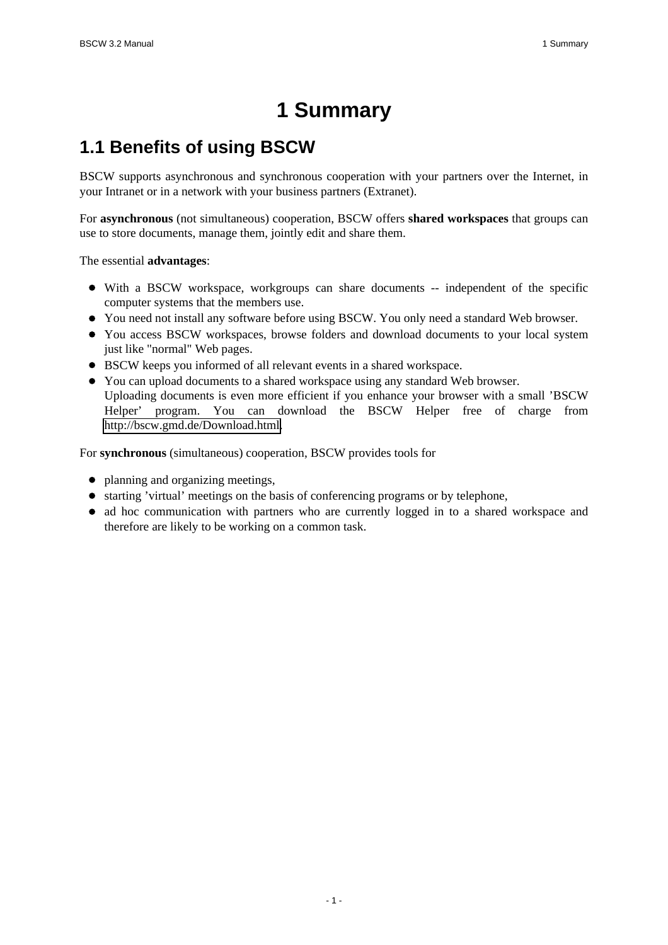# **1 Summary**

# <span id="page-3-1"></span><span id="page-3-0"></span>**1.1 Benefits of using BSCW**

BSCW supports asynchronous and synchronous cooperation with your partners over the Internet, in your Intranet or in a network with your business partners (Extranet).

For **asynchronous** (not simultaneous) cooperation, BSCW offers **shared workspaces** that groups can use to store documents, manage them, jointly edit and share them.

The essential **advantages**:

- With a BSCW workspace, workgroups can share documents -- independent of the specific computer systems that the members use.
- You need not install any software before using BSCW. You only need a standard Web browser.
- You access BSCW workspaces, browse folders and download documents to your local system just like "normal" Web pages.
- BSCW keeps you informed of all relevant events in a shared workspace.
- You can upload documents to a shared workspace using any standard Web browser. Uploading documents is even more efficient if you enhance your browser with a small 'BSCW Helper' program. You can download the BSCW Helper free of charge from [http://bscw.gmd.de/Download.html.](http://bscw.gmd.de/Download.html)

For **synchronous** (simultaneous) cooperation, BSCW provides tools for

- planning and organizing meetings,
- starting 'virtual' meetings on the basis of conferencing programs or by telephone,
- ad hoc communication with partners who are currently logged in to a shared workspace and therefore are likely to be working on a common task.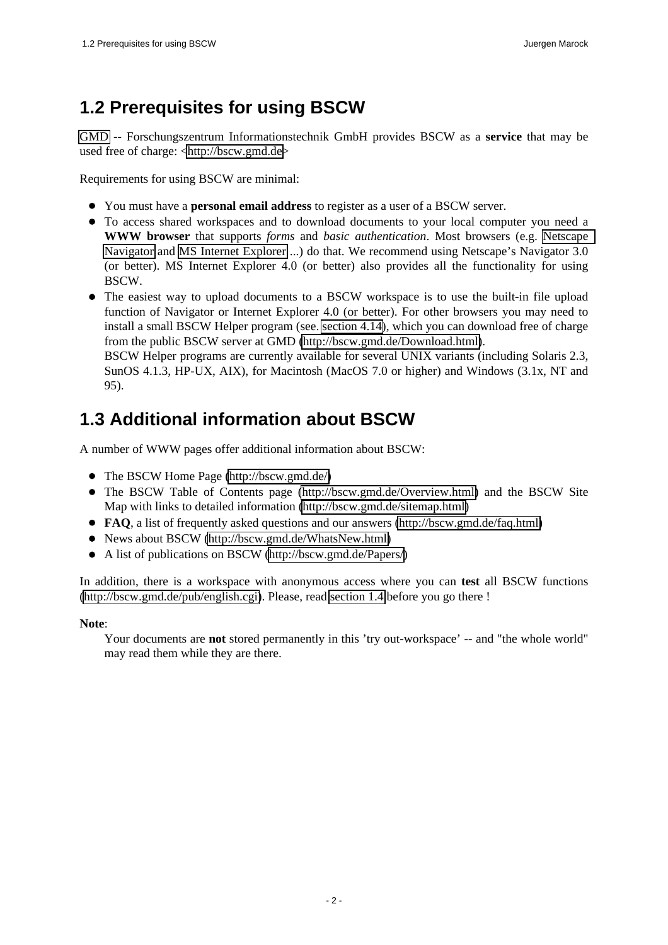# <span id="page-4-0"></span>**1.2 Prerequisites for using BSCW**

[GMD](http://www.gmd.de/) -- Forschungszentrum Informationstechnik GmbH provides BSCW as a **service** that may be used free of charge: [<http://bscw.gmd.de>](http://bscw.gmd.de/)

Requirements for using BSCW are minimal:

- You must have a **personal email address** to register as a user of a BSCW server.
- To access shared workspaces and to download documents to your local computer you need a **WWW browser** that supports *forms* and *basic authentication*. Most browsers (e.g. [Netscape](http://home.netscape.com/)  [Navigator](http://home.netscape.com/) and [MS Internet Explorer](http://www.microsoft.com/ie/download/) ...) do that. We recommend using Netscape's Navigator 3.0 (or better). MS Internet Explorer 4.0 (or better) also provides all the functionality for using **BSCW**
- The easiest way to upload documents to a BSCW workspace is to use the built-in file upload function of Navigator or Internet Explorer 4.0 (or better). For other browsers you may need to install a small BSCW Helper program (see. [section 4.14\)](#page-89-0), which you can download free of charge from the public BSCW server at GMD [\(http://bscw.gmd.de/Download.html\)](http://bscw.gmd.de/Download.html).

BSCW Helper programs are currently available for several UNIX variants (including Solaris 2.3, SunOS 4.1.3, HP-UX, AIX), for Macintosh (MacOS 7.0 or higher) and Windows (3.1x, NT and 95).

# <span id="page-4-1"></span>**1.3 Additional information about BSCW**

A number of WWW pages offer additional information about BSCW:

- The BSCW Home Page [\(http://bscw.gmd.de/\)](http://bscw.gmd.de/)
- The BSCW Table of Contents page [\(http://bscw.gmd.de/Overview.html\)](http://bscw.gmd.de/Overview.html) and the BSCW Site Map with links to detailed information [\(http://bscw.gmd.de/sitemap.html\)](http://bscw.gmd.de/sitemap.html)
- **FAQ**, a list of frequently asked questions and our answers [\(http://bscw.gmd.de/faq.html\)](http://bscw.gmd.de/faq.html)
- News about BSCW [\(http://bscw.gmd.de/WhatsNew.html\)](http://bscw.gmd.de/WhatsNew.html)
- A list of publications on BSCW [\(http://bscw.gmd.de/Papers/\)](http://bscw.gmd.de/Papers/index.html)

In addition, there is a workspace with anonymous access where you can **test** all BSCW functions [\(http://bscw.gmd.de/pub/english.cgi\)](http://bscw.gmd.de/pub/english.cgi). Please, read [section 1.4](#page-5-0) before you go there !

#### **Note**:

Your documents are **not** stored permanently in this 'try out-workspace' -- and "the whole world" may read them while they are there.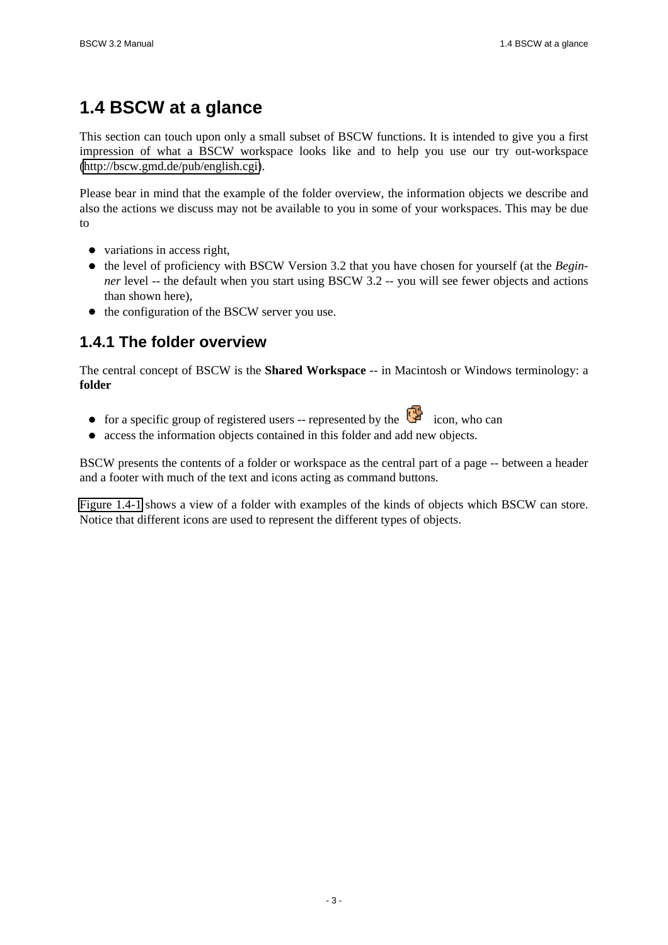# <span id="page-5-0"></span>**1.4 BSCW at a glance**

This section can touch upon only a small subset of BSCW functions. It is intended to give you a first impression of what a BSCW workspace looks like and to help you use our try out-workspace [\(http://bscw.gmd.de/pub/english.cgi\)](http://bscw.gmd.de/pub/english.cgi).

Please bear in mind that the example of the folder overview, the information objects we describe and also the actions we discuss may not be available to you in some of your workspaces. This may be due to

- variations in access right,
- the level of proficiency with BSCW Version 3.2 that you have chosen for yourself (at the *Beginner* level -- the default when you start using BSCW 3.2 -- you will see fewer objects and actions than shown here),
- the configuration of the BSCW server you use.

### <span id="page-5-1"></span>**1.4.1 The folder overview**

The central concept of BSCW is the **Shared Workspace** -- in Macintosh or Windows terminology: a **folder**

- for a specific group of registered users -- represented by the  $\overrightarrow{C}$  icon, who can
- access the information objects contained in this folder and add new objects.

BSCW presents the contents of a folder or workspace as the central part of a page -- between a header and a footer with much of the text and icons acting as command buttons.

[Figure 1.4-1](#page-6-0) shows a view of a folder with examples of the kinds of objects which BSCW can store. Notice that different icons are used to represent the different types of objects.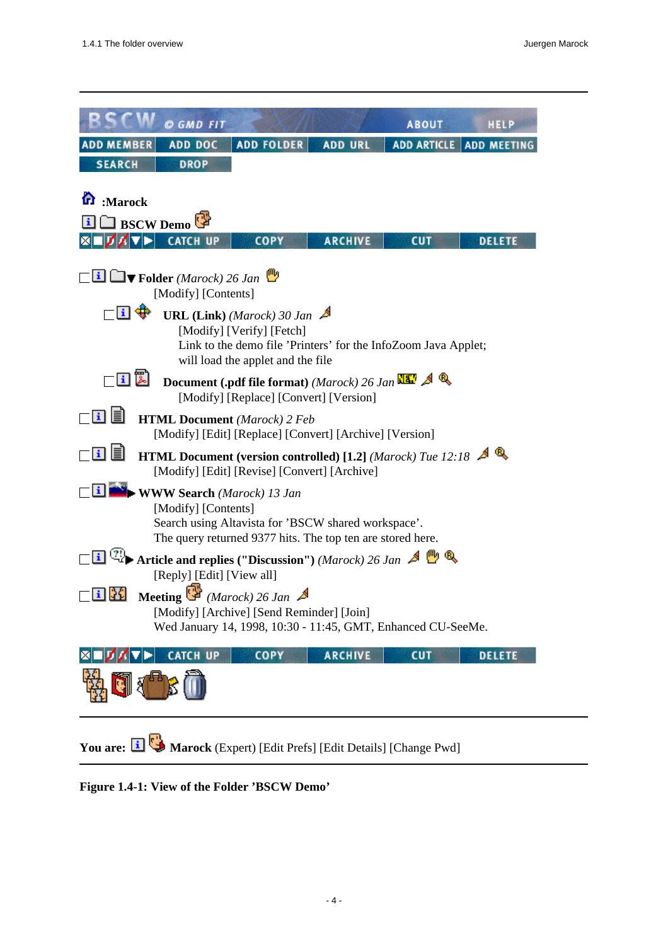<span id="page-6-0"></span>

|                                 | © GMD FIT                                                                   |                                                                                                                                                                                     |                | <b>ABOUT</b> | <b>HELP</b>               |
|---------------------------------|-----------------------------------------------------------------------------|-------------------------------------------------------------------------------------------------------------------------------------------------------------------------------------|----------------|--------------|---------------------------|
| <b>ADD MEMBER</b>               | <b>ADD DOC</b>                                                              | <b>ADD FOLDER</b>                                                                                                                                                                   | <b>ADD URL</b> |              | ADD ARTICLE   ADD MEETING |
| <b>SEARCH</b>                   | <b>DROP</b>                                                                 |                                                                                                                                                                                     |                |              |                           |
| :Marock<br><b>BSCW Demo</b>     | <b>CATCH UP</b>                                                             | COPY                                                                                                                                                                                | <b>ARCHIVE</b> | CUT          | <b>DELETE</b>             |
|                                 | <b>i</b> $\Box \triangledown$ Folder (Marock) 26 Jan<br>[Modify] [Contents] |                                                                                                                                                                                     |                |              |                           |
|                                 |                                                                             | <b>URL</b> (Link) (Marock) 30 Jan $\mathcal{A}$<br>[Modify] [Verify] [Fetch]<br>Link to the demo file 'Printers' for the InfoZoom Java Applet;<br>will load the applet and the file |                |              |                           |
| $\mathbf{i}$                    |                                                                             | <b>Document (.pdf file format)</b> ( <i>Marock</i> ) 26 Jan $\overline{\mathtt{MS}}$ $\mathcal{A}$<br>[Modify] [Replace] [Convert] [Version]                                        |                |              |                           |
| ┌ i I                           |                                                                             | <b>HTML Document</b> (Marock) 2 Feb<br>[Modify] [Edit] [Replace] [Convert] [Archive] [Version]                                                                                      |                |              |                           |
| $\sqcap$ ii $\blacksquare$      |                                                                             | <b>HTML Document (version controlled)</b> [1.2] (Marock) Tue 12:18 $\mathcal{A}$<br>[Modify] [Edit] [Revise] [Convert] [Archive]                                                    |                |              |                           |
|                                 | [Modify] [Contents]                                                         | <b>WWW Search (Marock) 13 Jan</b><br>Search using Altavista for 'BSCW shared workspace'.<br>The query returned 9377 hits. The top ten are stored here.                              |                |              |                           |
|                                 | [Reply] [Edit] [View all]                                                   | Article and replies ("Discussion") ( <i>Marock</i> ) 26 Jan $\mathscr{A}$ <sup>(14</sup> ) Q                                                                                        |                |              |                           |
|                                 |                                                                             | <b>Meeting</b> $\mathbf{P}$ (Marock) 26 Jan $\mathbf{\mathcal{A}}$<br>[Modify] [Archive] [Send Reminder] [Join]<br>Wed January 14, 1998, 10:30 - 11:45, GMT, Enhanced CU-SeeMe.     |                |              |                           |
|                                 | <b>CATCH UP</b>                                                             | COPY                                                                                                                                                                                | <b>ARCHIVE</b> | <b>CUT</b>   | <b>DELETE</b>             |
| $\vec{N}^{\text{B}^{\text{B}}}$ |                                                                             |                                                                                                                                                                                     |                |              |                           |

You are: **H** Marock (Expert) [Edit Prefs] [Edit Details] [Change Pwd]

**Figure 1.4-1: View of the Folder 'BSCW Demo'**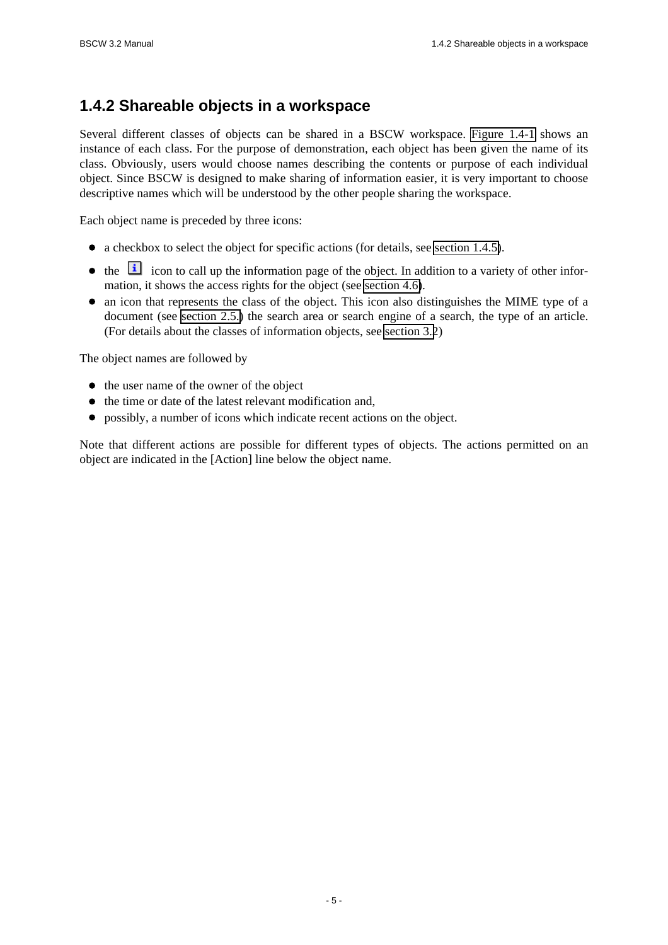### <span id="page-7-0"></span>**1.4.2 Shareable objects in a workspace**

Several different classes of objects can be shared in a BSCW workspace. [Figure 1.4-1](#page-6-0) shows an instance of each class. For the purpose of demonstration, each object has been given the name of its class. Obviously, users would choose names describing the contents or purpose of each individual object. Since BSCW is designed to make sharing of information easier, it is very important to choose descriptive names which will be understood by the other people sharing the workspace.

Each object name is preceded by three icons:

- a checkbox to select the object for specific actions (for details, see [section 1.4.5\)](#page-9-0).
- $\bullet$  the  $\Box$  icon to call up the information page of the object. In addition to a variety of other information, it shows the access rights for the object (see [section 4.6\)](#page-62-0).
- an icon that represents the class of the object. This icon also distinguishes the MIME type of a document (see [section 2.5.\)](#page-18-0) the search area or search engine of a search, the type of an article. (For details about the classes of information objects, see [section 3.2](#page-26-0))

The object names are followed by

- the user name of the owner of the object
- $\bullet$  the time or date of the latest relevant modification and,
- possibly, a number of icons which indicate recent actions on the object.

Note that different actions are possible for different types of objects. The actions permitted on an object are indicated in the [Action] line below the object name.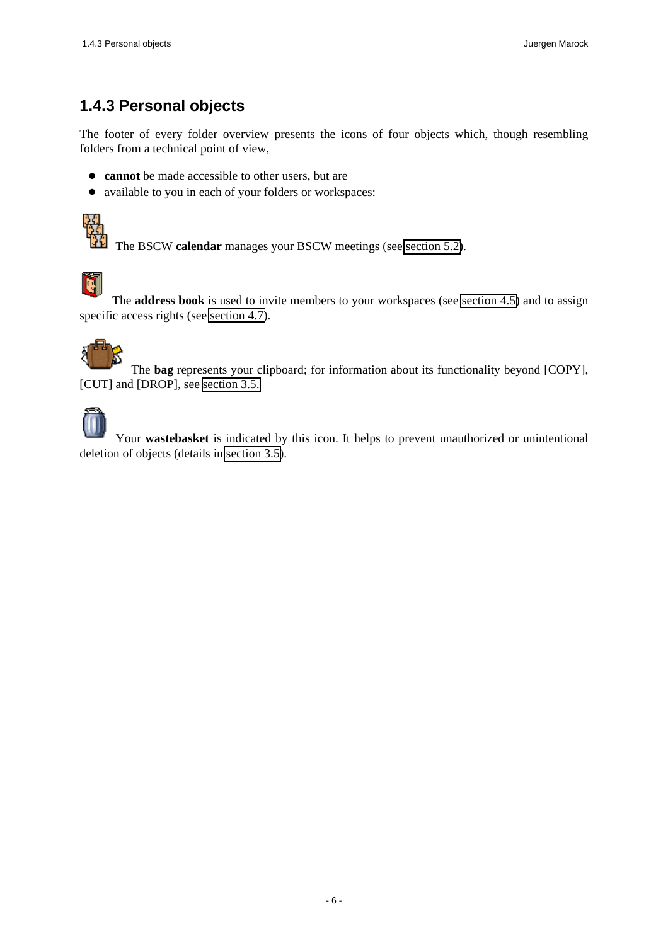# <span id="page-8-0"></span>**1.4.3 Personal objects**

The footer of every folder overview presents the icons of four objects which, though resembling folders from a technical point of view,

- **cannot** be made accessible to other users, but are
- available to you in each of your folders or workspaces:



The BSCW **calendar** manages your BSCW meetings (see [section 5.2\)](#page-95-0).



 The **address book** is used to invite members to your workspaces (see [section 4.5\)](#page-58-0) and to assign specific access rights (see [section 4.7\)](#page-64-0).



 The **bag** represents your clipboard; for information about its functionality beyond [COPY], [CUT] and [DROP], see [section 3.5.](#page-36-1) 



 Your **wastebasket** is indicated by this icon. It helps to prevent unauthorized or unintentional deletion of objects (details in [section 3.5\)](#page-38-0).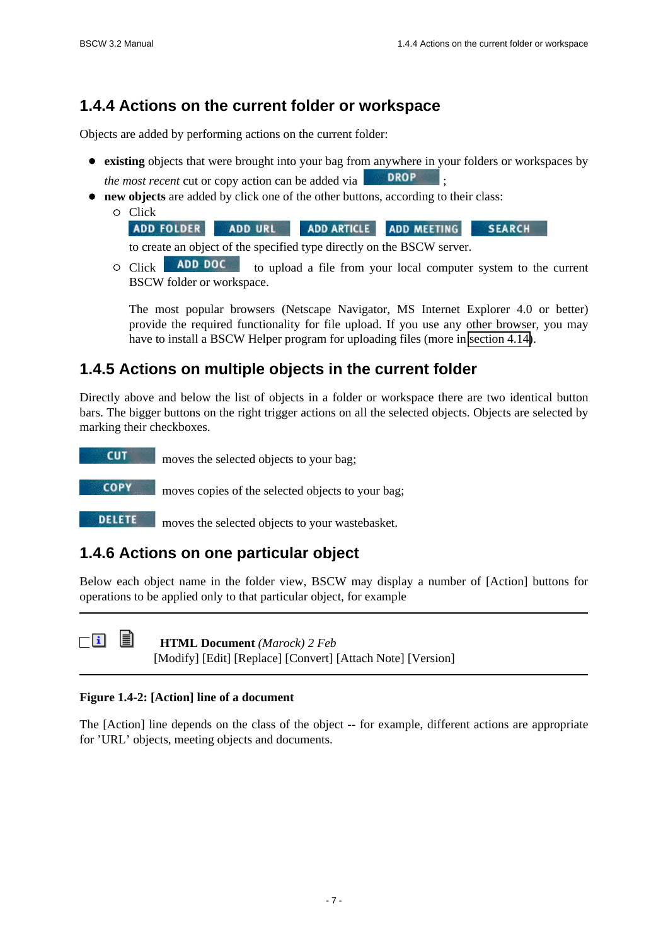### <span id="page-9-0"></span>**1.4.4 Actions on the current folder or workspace**

Objects are added by performing actions on the current folder:

- **existing** objects that were brought into your bag from anywhere in your folders or workspaces by *the most recent* cut or copy action can be added via **DROP**
- **new objects** are added by click one of the other buttons, according to their class:
	- O Click **ADD FOLDER ADD URL** ADD ARTICLE ADD MEETING **SEARCH** to create an object of the specified type directly on the BSCW server.
	- $\circ$  Click **ADD DOC** to upload a file from your local computer system to the current BSCW folder or workspace.

The most popular browsers (Netscape Navigator, MS Internet Explorer 4.0 or better) provide the required functionality for file upload. If you use any other browser, you may have to install a BSCW Helper program for uploading files (more in [section 4.14\)](#page-89-0).

### <span id="page-9-1"></span>**1.4.5 Actions on multiple objects in the current folder**

Directly above and below the list of objects in a folder or workspace there are two identical button bars. The bigger buttons on the right trigger actions on all the selected objects. Objects are selected by marking their checkboxes.



### <span id="page-9-2"></span>**1.4.6 Actions on one particular object**

Below each object name in the folder view, BSCW may display a number of [Action] buttons for operations to be applied only to that particular object, for example



 **HTML Document** *(Marock) 2 Feb* [Modify] [Edit] [Replace] [Convert] [Attach Note] [Version]

#### **Figure 1.4-2: [Action] line of a document**

The [Action] line depends on the class of the object -- for example, different actions are appropriate for 'URL' objects, meeting objects and documents.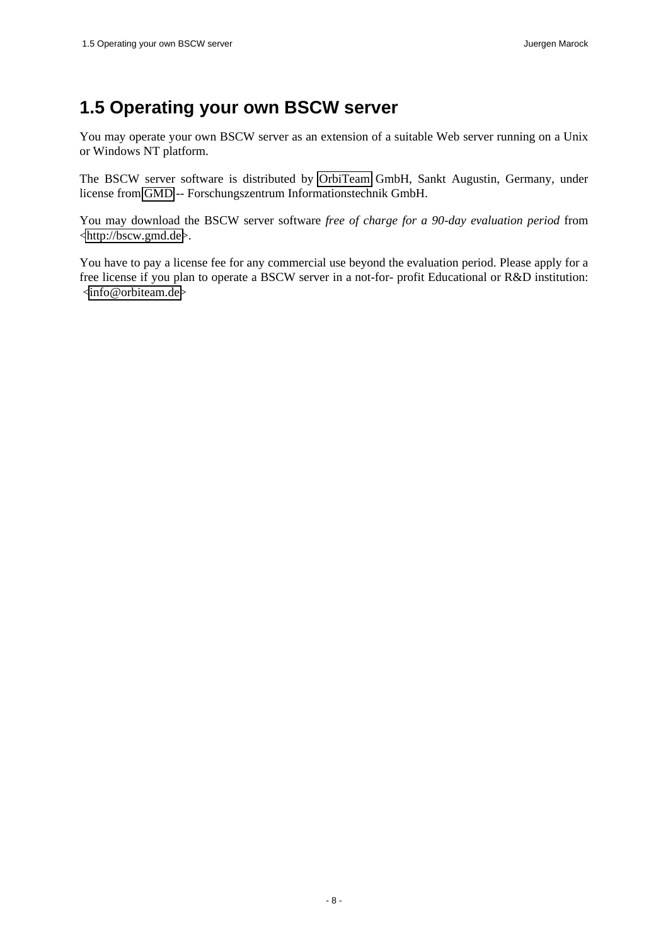# <span id="page-10-0"></span>**1.5 Operating your own BSCW server**

You may operate your own BSCW server as an extension of a suitable Web server running on a Unix or Windows NT platform.

The BSCW server software is distributed by [OrbiTeam](http://www.orbiteam.de/) GmbH, Sankt Augustin, Germany, under license from [GMD](http://www.gmd.de/) -- Forschungszentrum Informationstechnik GmbH.

You may download the BSCW server software *free of charge for a 90-day evaluation period* from [<http://bscw.gmd.de>](http://bscw.gmd.de/).

You have to pay a license fee for any commercial use beyond the evaluation period. Please apply for a free license if you plan to operate a BSCW server in a not-for- profit Educational or R&D institution: [<info@orbiteam.de>](mailto://info@orbiteam.de/)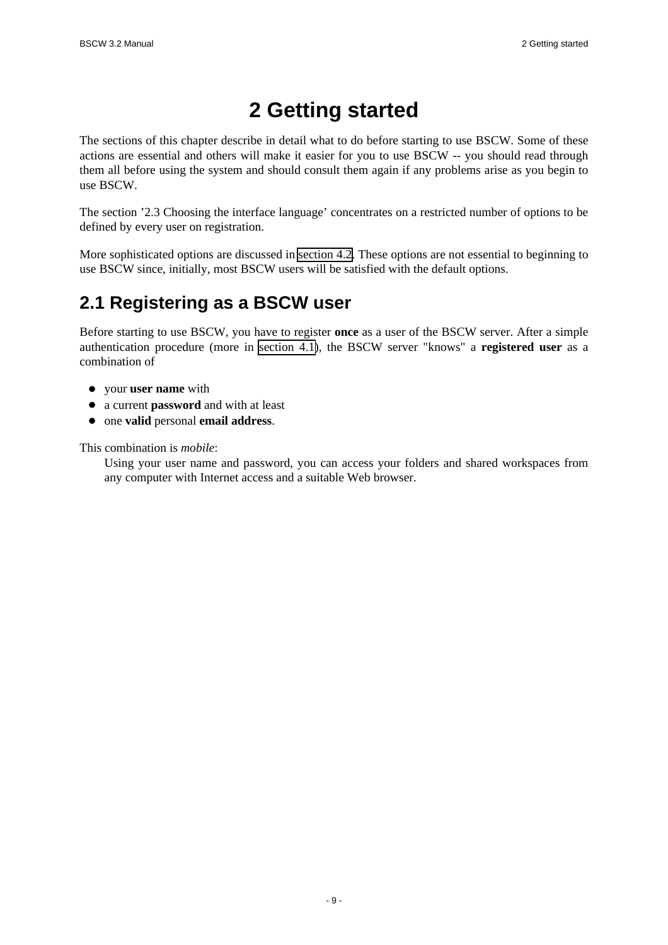# **2 Getting started**

<span id="page-11-0"></span>The sections of this chapter describe in detail what to do before starting to use BSCW. Some of these actions are essential and others will make it easier for you to use BSCW -- you should read through them all before using the system and should consult them again if any problems arise as you begin to use BSCW.

The section '2.3 Choosing the interface language' concentrates on a restricted number of options to be defined by every user on registration.

More sophisticated options are discussed in [section 4.2.](#page-41-0) These options are not essential to beginning to use BSCW since, initially, most BSCW users will be satisfied with the default options.

# <span id="page-11-1"></span>**2.1 Registering as a BSCW user**

Before starting to use BSCW, you have to register **once** as a user of the BSCW server. After a simple authentication procedure (more in [section 4.1\)](#page-39-1), the BSCW server "knows" a **registered user** as a combination of

- your **user name** with
- a current **password** and with at least
- one **valid** personal **email address**.

This combination is *mobile*:

Using your user name and password, you can access your folders and shared workspaces from any computer with Internet access and a suitable Web browser.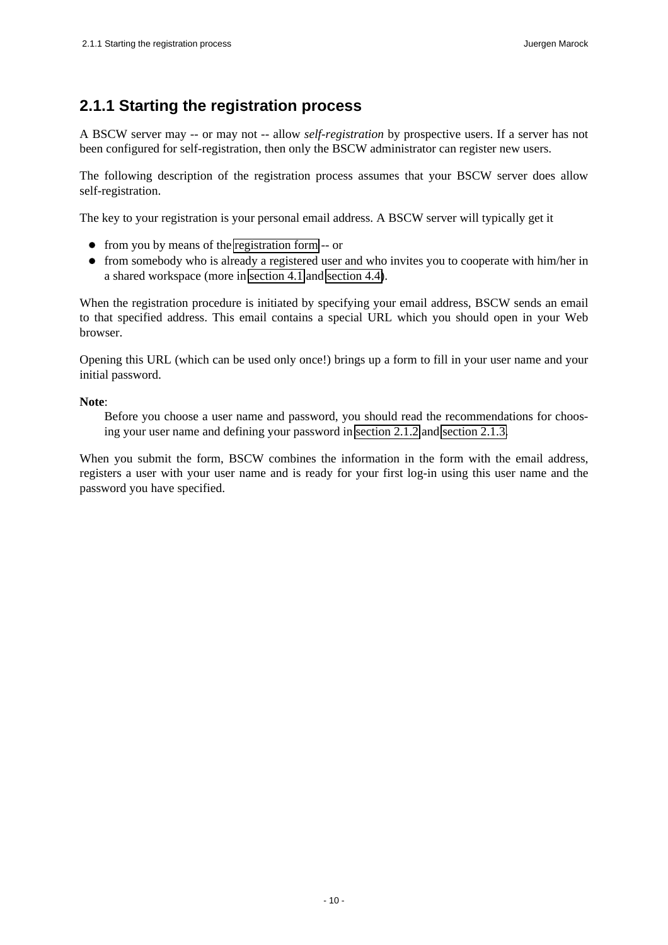### <span id="page-12-0"></span>**2.1.1 Starting the registration process**

A BSCW server may -- or may not -- allow *self-registration* by prospective users. If a server has not been configured for self-registration, then only the BSCW administrator can register new users.

The following description of the registration process assumes that your BSCW server does allow self-registration.

The key to your registration is your personal email address. A BSCW server will typically get it

- from you by means of the [registration form](http://bscw.gmd.de/pub/english.cgi?op=rmail) -- or
- from somebody who is already a registered user and who invites you to cooperate with him/her in a shared workspace (more in [section 4.1](#page-39-1) and [section 4.4\)](#page-52-0).

When the registration procedure is initiated by specifying your email address, BSCW sends an email to that specified address. This email contains a special URL which you should open in your Web browser.

Opening this URL (which can be used only once!) brings up a form to fill in your user name and your initial password.

#### **Note**:

Before you choose a user name and password, you should read the recommendations for choosing your user name and defining your password in [section 2.1.2](#page-13-0) and [section 2.1.3.](#page-13-1)

When you submit the form, BSCW combines the information in the form with the email address, registers a user with your user name and is ready for your first log-in using this user name and the password you have specified.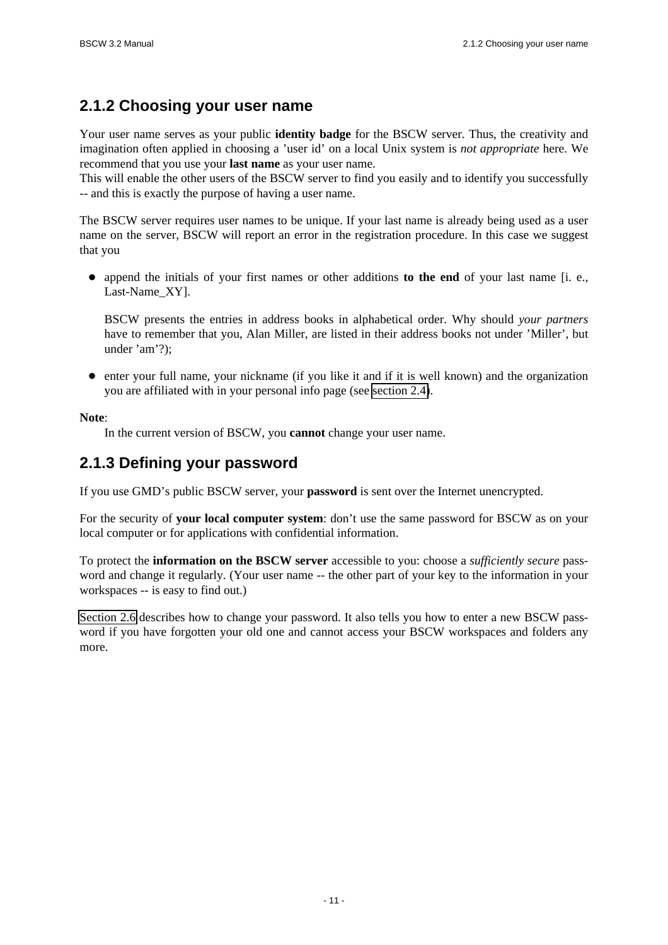# <span id="page-13-0"></span>**2.1.2 Choosing your user name**

Your user name serves as your public **identity badge** for the BSCW server. Thus, the creativity and imagination often applied in choosing a 'user id' on a local Unix system is *not appropriate* here. We recommend that you use your **last name** as your user name.

This will enable the other users of the BSCW server to find you easily and to identify you successfully -- and this is exactly the purpose of having a user name.

The BSCW server requires user names to be unique. If your last name is already being used as a user name on the server, BSCW will report an error in the registration procedure. In this case we suggest that you

append the initials of your first names or other additions **to the end** of your last name [i. e., Last-Name\_XY].

BSCW presents the entries in address books in alphabetical order. Why should *your partners* have to remember that you, Alan Miller, are listed in their address books not under 'Miller', but under 'am'?);

enter your full name, your nickname (if you like it and if it is well known) and the organization you are affiliated with in your personal info page (see [section 2.4\)](#page-16-0).

#### **Note**:

In the current version of BSCW, you **cannot** change your user name.

### <span id="page-13-1"></span>**2.1.3 Defining your password**

If you use GMD's public BSCW server, your **password** is sent over the Internet unencrypted.

For the security of **your local computer system**: don't use the same password for BSCW as on your local computer or for applications with confidential information.

To protect the **information on the BSCW server** accessible to you: choose a *sufficiently secure* password and change it regularly. (Your user name -- the other part of your key to the information in your workspaces -- is easy to find out.)

[Section 2.6](#page-19-0) describes how to change your password. It also tells you how to enter a new BSCW password if you have forgotten your old one and cannot access your BSCW workspaces and folders any more.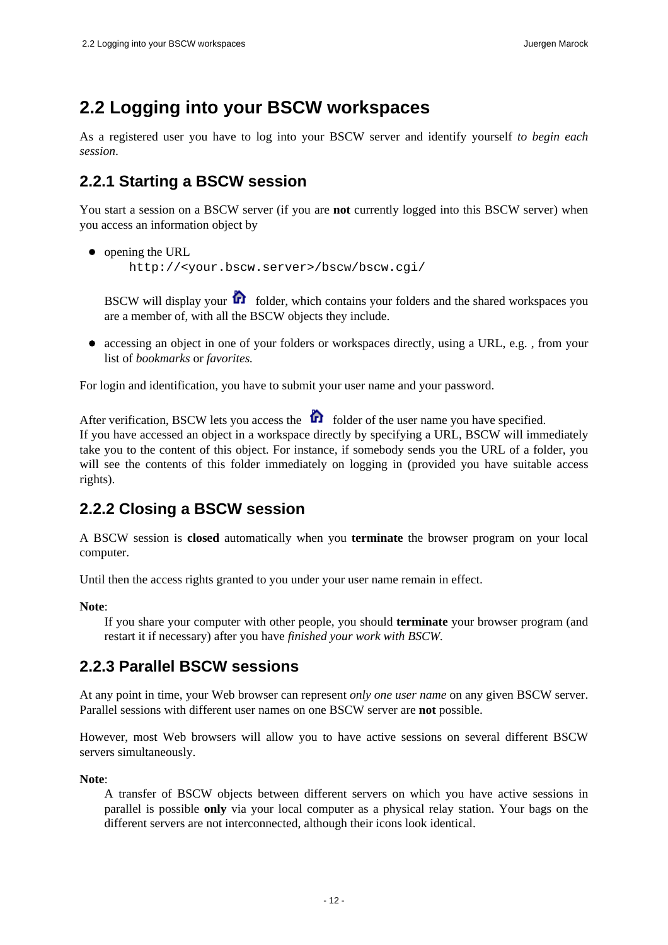# <span id="page-14-0"></span>**2.2 Logging into your BSCW workspaces**

As a registered user you have to log into your BSCW server and identify yourself *to begin each session*.

# <span id="page-14-1"></span>**2.2.1 Starting a BSCW session**

You start a session on a BSCW server (if you are **not** currently logged into this BSCW server) when you access an information object by

• opening the URL http://<your.bscw.server>/bscw/bscw.cgi/

BSCW will display your  $\Omega$  folder, which contains your folders and the shared workspaces you are a member of, with all the BSCW objects they include.

accessing an object in one of your folders or workspaces directly, using a URL, e.g. , from your list of *bookmarks* or *favorites.*

For login and identification, you have to submit your user name and your password.

After verification, BSCW lets you access the  $\bullet$  folder of the user name you have specified. If you have accessed an object in a workspace directly by specifying a URL, BSCW will immediately take you to the content of this object. For instance, if somebody sends you the URL of a folder, you will see the contents of this folder immediately on logging in (provided you have suitable access rights).

### <span id="page-14-2"></span>**2.2.2 Closing a BSCW session**

A BSCW session is **closed** automatically when you **terminate** the browser program on your local computer.

Until then the access rights granted to you under your user name remain in effect.

**Note**:

If you share your computer with other people, you should **terminate** your browser program (and restart it if necessary) after you have *finished your work with BSCW.*

### <span id="page-14-3"></span>**2.2.3 Parallel BSCW sessions**

At any point in time, your Web browser can represent *only one user name* on any given BSCW server. Parallel sessions with different user names on one BSCW server are **not** possible.

However, most Web browsers will allow you to have active sessions on several different BSCW servers simultaneously.

**Note**:

A transfer of BSCW objects between different servers on which you have active sessions in parallel is possible **only** via your local computer as a physical relay station. Your bags on the different servers are not interconnected, although their icons look identical.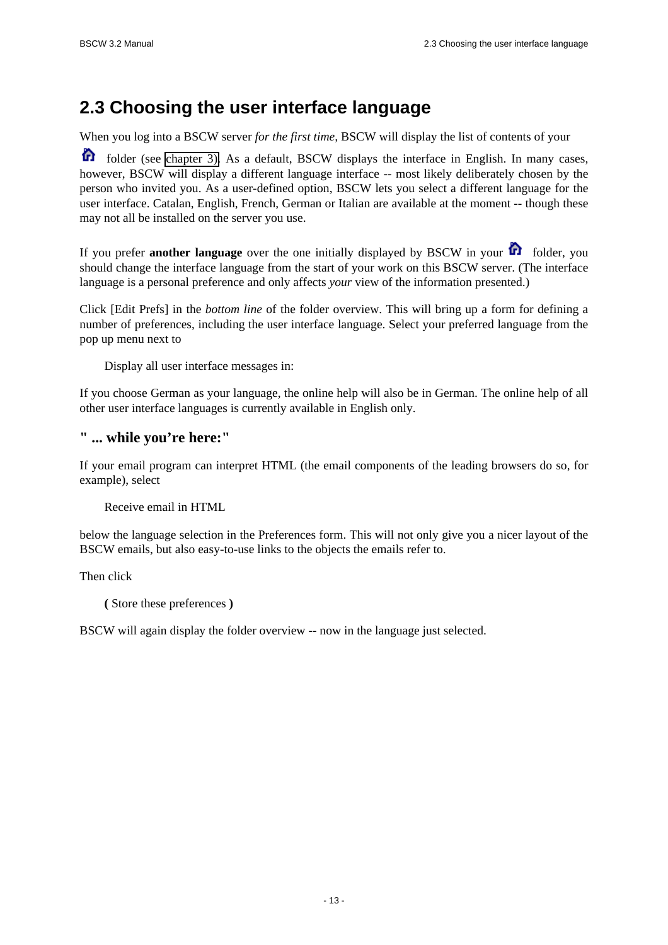# <span id="page-15-0"></span>**2.3 Choosing the user interface language**

When you log into a BSCW server *for the first time,* BSCW will display the list of contents of your

folder (see [chapter 3\).](#page-21-0) As a default, BSCW displays the interface in English. In many cases, however, BSCW will display a different language interface -- most likely deliberately chosen by the person who invited you. As a user-defined option, BSCW lets you select a different language for the user interface. Catalan, English, French, German or Italian are available at the moment -- though these may not all be installed on the server you use.

If you prefer **another language** over the one initially displayed by BSCW in your **n** folder, you should change the interface language from the start of your work on this BSCW server. (The interface language is a personal preference and only affects *your* view of the information presented.)

Click [Edit Prefs] in the *bottom line* of the folder overview. This will bring up a form for defining a number of preferences, including the user interface language. Select your preferred language from the pop up menu next to

Display all user interface messages in:

If you choose German as your language, the online help will also be in German. The online help of all other user interface languages is currently available in English only.

#### **" ... while you're here:"**

If your email program can interpret HTML (the email components of the leading browsers do so, for example), select

Receive email in HTML

below the language selection in the Preferences form. This will not only give you a nicer layout of the BSCW emails, but also easy-to-use links to the objects the emails refer to.

Then click

**(** Store these preferences **)**

BSCW will again display the folder overview -- now in the language just selected.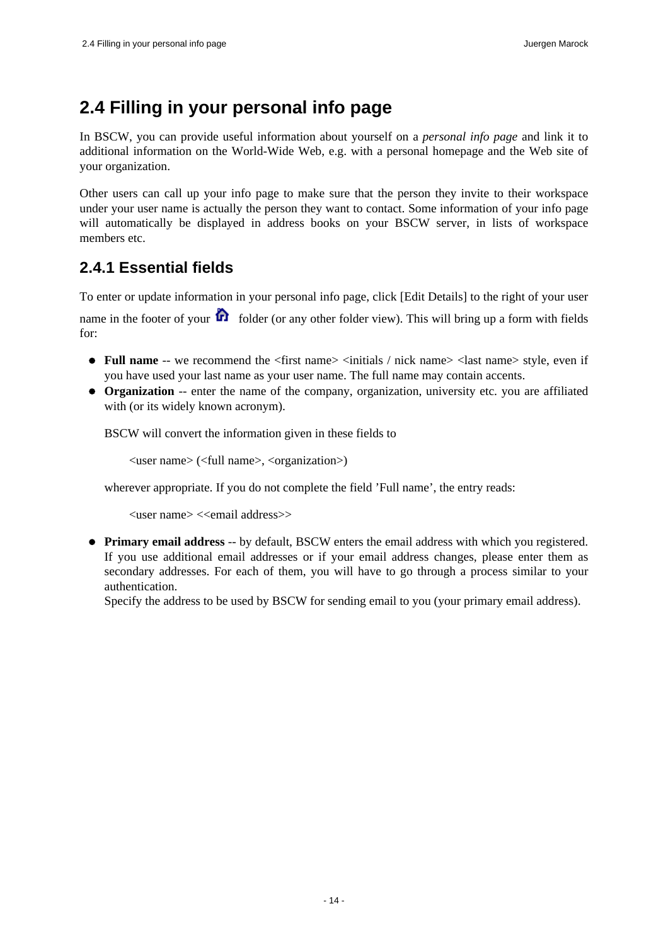# <span id="page-16-0"></span>**2.4 Filling in your personal info page**

In BSCW, you can provide useful information about yourself on a *personal info page* and link it to additional information on the World-Wide Web, e.g. with a personal homepage and the Web site of your organization.

Other users can call up your info page to make sure that the person they invite to their workspace under your user name is actually the person they want to contact. Some information of your info page will automatically be displayed in address books on your BSCW server, in lists of workspace members etc.

### <span id="page-16-1"></span>**2.4.1 Essential fields**

To enter or update information in your personal info page, click [Edit Details] to the right of your user

name in the footer of your  $\bigcap$  folder (or any other folder view). This will bring up a form with fields for:

- Full name -- we recommend the <first name> <initials / nick name> <last name> style, even if you have used your last name as your user name. The full name may contain accents.
- **Organization** -- enter the name of the company, organization, university etc. you are affiliated with (or its widely known acronym).

BSCW will convert the information given in these fields to

<user name> (<full name>, <organization>)

wherever appropriate. If you do not complete the field 'Full name', the entry reads:

<user name> <<email address>>

**Primary email address** -- by default, BSCW enters the email address with which you registered. If you use additional email addresses or if your email address changes, please enter them as secondary addresses. For each of them, you will have to go through a process similar to your authentication.

Specify the address to be used by BSCW for sending email to you (your primary email address).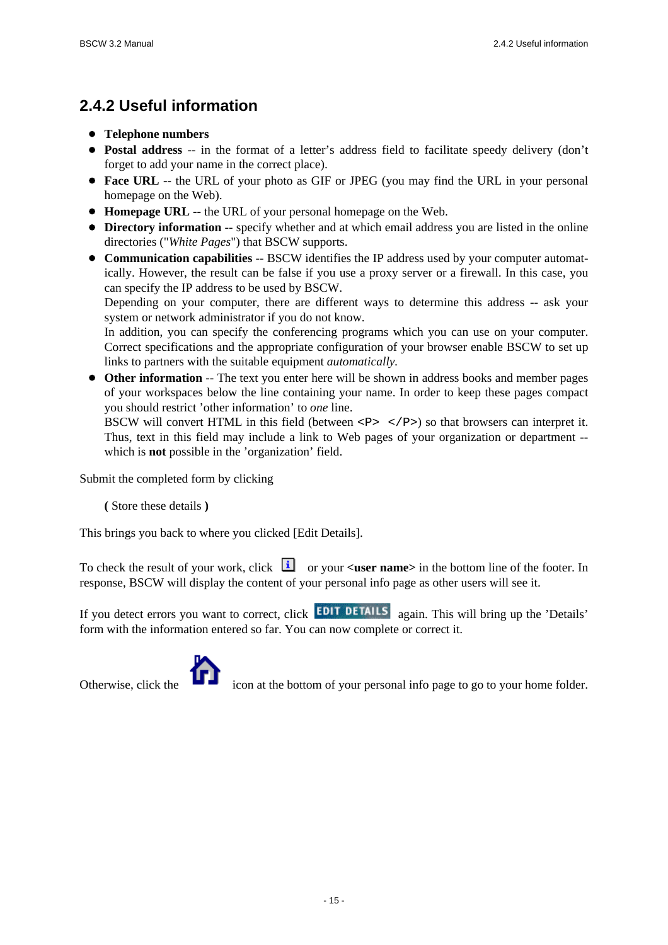# <span id="page-17-0"></span>**2.4.2 Useful information**

- **Telephone numbers**
- **Postal address** -- in the format of a letter's address field to facilitate speedy delivery (don't forget to add your name in the correct place).
- **Face URL** -- the URL of your photo as GIF or JPEG (you may find the URL in your personal homepage on the Web).
- **Homepage URL** -- the URL of your personal homepage on the Web.
- **Directory information** -- specify whether and at which email address you are listed in the online directories ("*White Pages*") that BSCW supports.
- **Communication capabilities** -- BSCW identifies the IP address used by your computer automatically. However, the result can be false if you use a proxy server or a firewall. In this case, you can specify the IP address to be used by BSCW.

Depending on your computer, there are different ways to determine this address -- ask your system or network administrator if you do not know.

In addition, you can specify the conferencing programs which you can use on your computer. Correct specifications and the appropriate configuration of your browser enable BSCW to set up links to partners with the suitable equipment *automatically.*

**Other information** -- The text you enter here will be shown in address books and member pages of your workspaces below the line containing your name. In order to keep these pages compact you should restrict 'other information' to *one* line.

BSCW will convert HTML in this field (between <P> </P> >>>> > so that browsers can interpret it. Thus, text in this field may include a link to Web pages of your organization or department - which is **not** possible in the 'organization' field.

Submit the completed form by clicking

**(** Store these details **)**

This brings you back to where you clicked [Edit Details].

To check the result of your work, click **i** or your **<user name>** in the bottom line of the footer. In response, BSCW will display the content of your personal info page as other users will see it.

If you detect errors you want to correct, click **EDIT DETAILS** again. This will bring up the 'Details' form with the information entered so far. You can now complete or correct it.



Otherwise, click the  $\Box$  icon at the bottom of your personal info page to go to your home folder.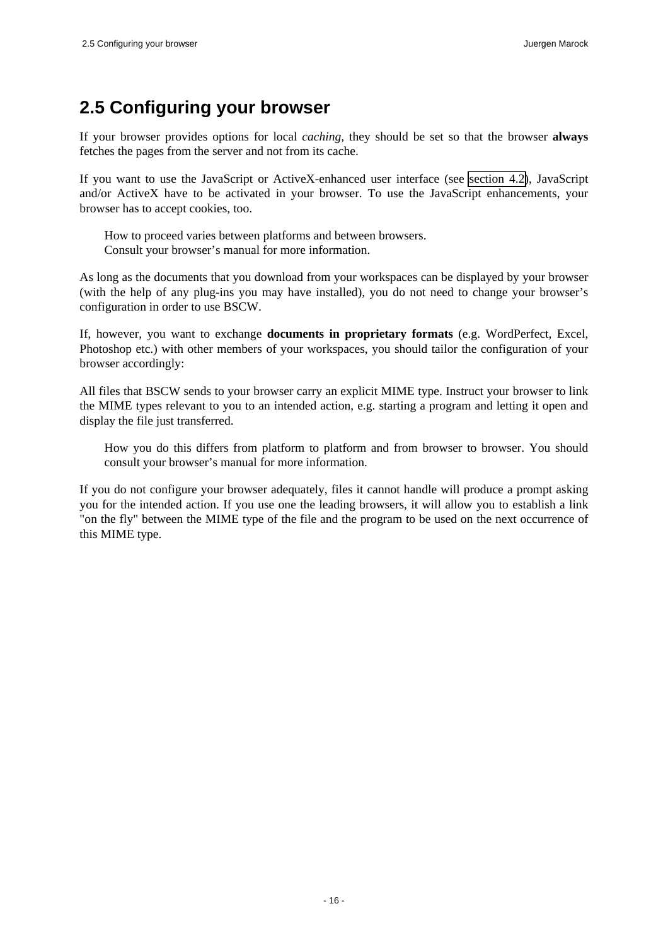# <span id="page-18-0"></span>**2.5 Configuring your browser**

If your browser provides options for local *caching,* they should be set so that the browser **always** fetches the pages from the server and not from its cache.

If you want to use the JavaScript or ActiveX-enhanced user interface (see [section 4.2\)](#page-44-0), JavaScript and/or ActiveX have to be activated in your browser. To use the JavaScript enhancements, your browser has to accept cookies, too.

How to proceed varies between platforms and between browsers. Consult your browser's manual for more information.

As long as the documents that you download from your workspaces can be displayed by your browser (with the help of any plug-ins you may have installed), you do not need to change your browser's configuration in order to use BSCW.

If, however, you want to exchange **documents in proprietary formats** (e.g. WordPerfect, Excel, Photoshop etc.) with other members of your workspaces, you should tailor the configuration of your browser accordingly:

All files that BSCW sends to your browser carry an explicit MIME type. Instruct your browser to link the MIME types relevant to you to an intended action, e.g. starting a program and letting it open and display the file just transferred.

How you do this differs from platform to platform and from browser to browser. You should consult your browser's manual for more information.

If you do not configure your browser adequately, files it cannot handle will produce a prompt asking you for the intended action. If you use one the leading browsers, it will allow you to establish a link "on the fly" between the MIME type of the file and the program to be used on the next occurrence of this MIME type.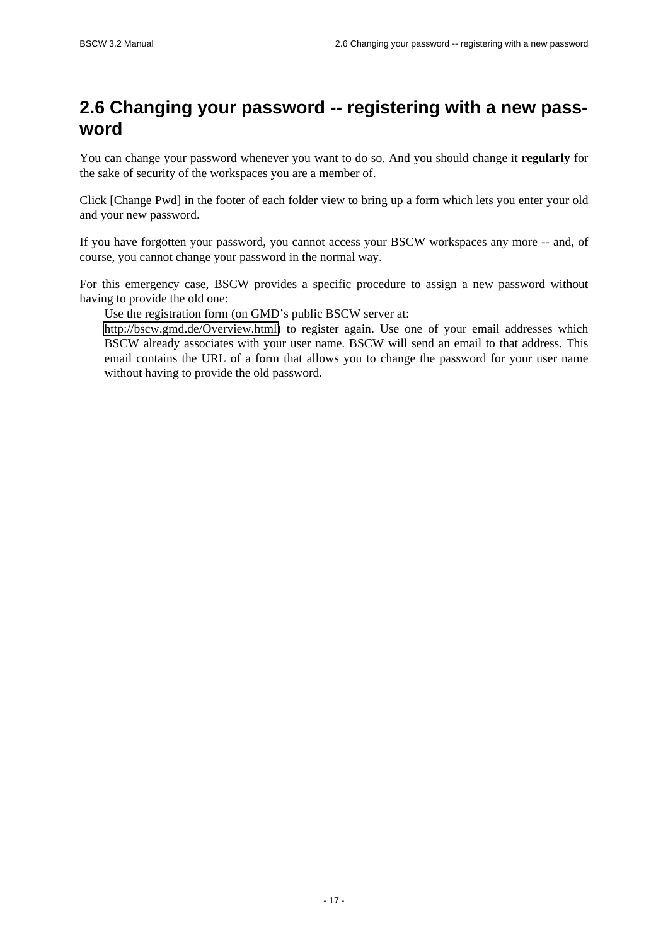# <span id="page-19-0"></span>**2.6 Changing your password -- registering with a new password**

You can change your password whenever you want to do so. And you should change it **regularly** for the sake of security of the workspaces you are a member of.

Click [Change Pwd] in the footer of each folder view to bring up a form which lets you enter your old and your new password.

If you have forgotten your password, you cannot access your BSCW workspaces any more -- and, of course, you cannot change your password in the normal way.

For this emergency case, BSCW provides a specific procedure to assign a new password without having to provide the old one:

Use the registration form (on GMD's public BSCW server at:

[http://bscw.gmd.de/Overview.html\)](http://bscw.gmd.de/Overview.html) to register again. Use one of your email addresses which BSCW already associates with your user name. BSCW will send an email to that address. This email contains the URL of a form that allows you to change the password for your user name without having to provide the old password.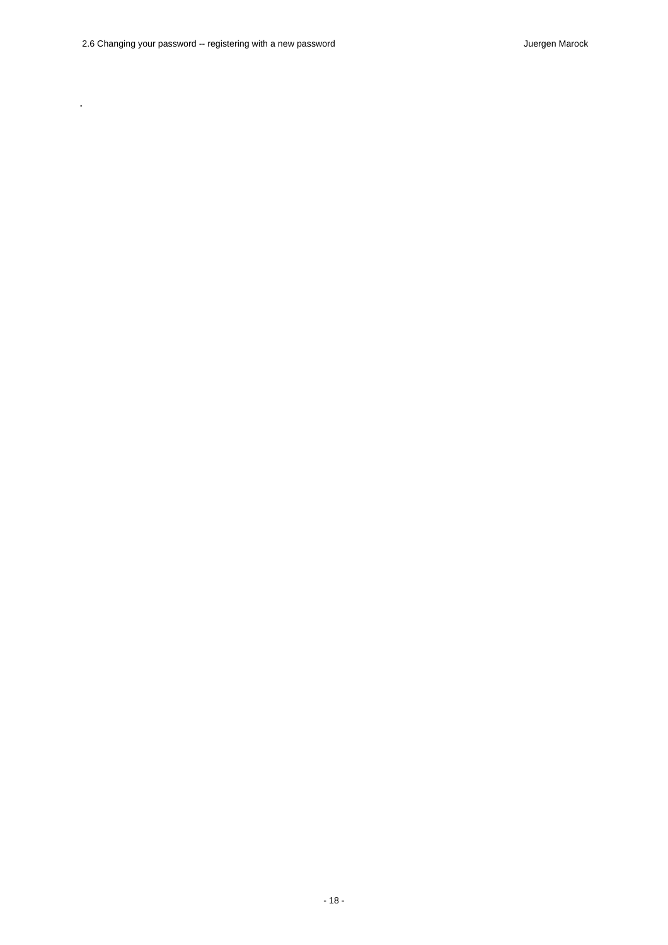.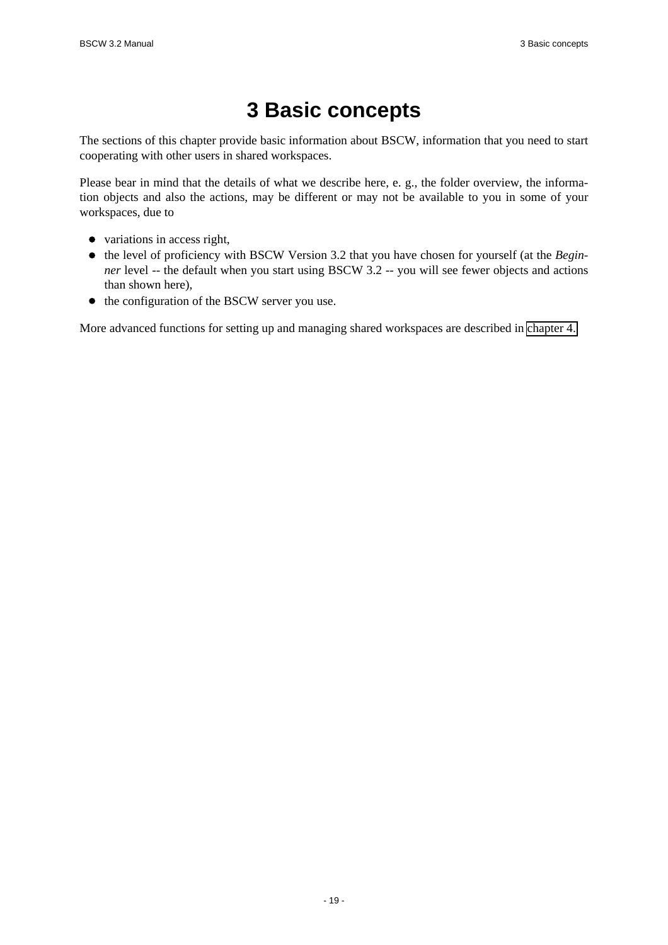# **3 Basic concepts**

<span id="page-21-0"></span>The sections of this chapter provide basic information about BSCW, information that you need to start cooperating with other users in shared workspaces.

Please bear in mind that the details of what we describe here, e. g., the folder overview, the information objects and also the actions, may be different or may not be available to you in some of your workspaces, due to

- variations in access right,
- the level of proficiency with BSCW Version 3.2 that you have chosen for yourself (at the *Beginner* level -- the default when you start using BSCW 3.2 -- you will see fewer objects and actions than shown here),
- $\bullet$  the configuration of the BSCW server you use.

More advanced functions for setting up and managing shared workspaces are described in [chapter 4.](#page-39-0)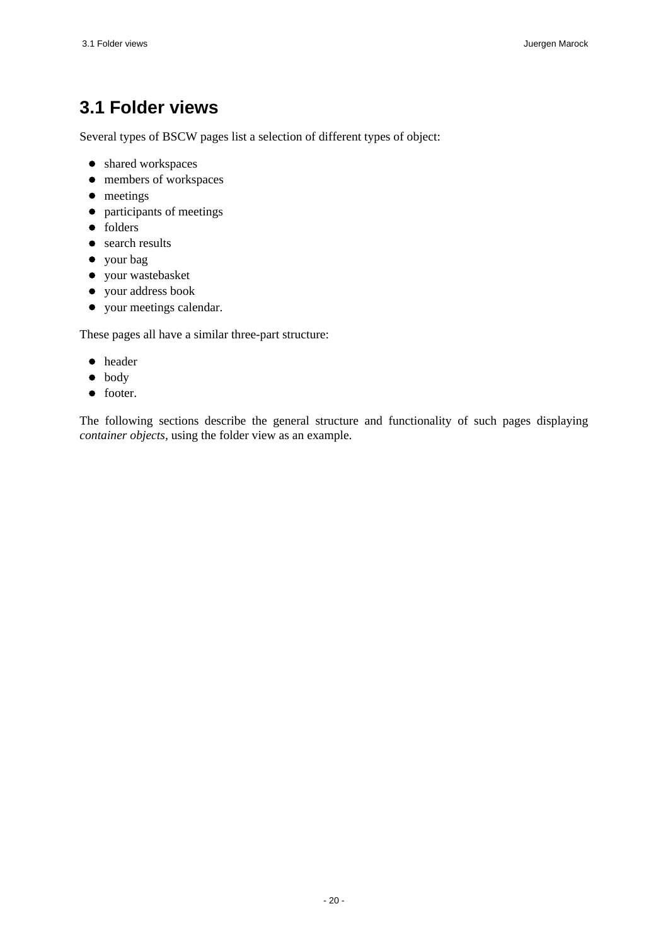# <span id="page-22-0"></span>**3.1 Folder views**

Several types of BSCW pages list a selection of different types of object:

- shared workspaces
- members of workspaces
- meetings
- participants of meetings
- folders
- search results
- your bag
- your wastebasket
- your address book
- your meetings calendar.

These pages all have a similar three-part structure:

- header
- body
- footer.

The following sections describe the general structure and functionality of such pages displaying *container objects,* using the folder view as an example.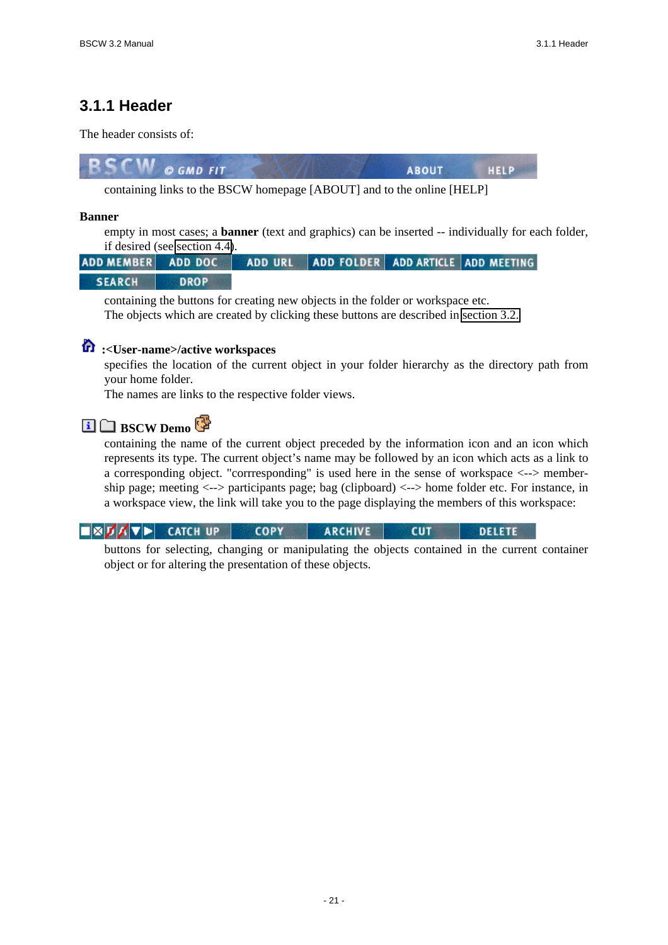### <span id="page-23-0"></span>**3.1.1 Header**

The header consists of:



containing links to the BSCW homepage [ABOUT] and to the online [HELP]

#### **Banner**

empty in most cases; a **banner** (text and graphics) can be inserted -- individually for each folder, if desired (see [section 4.4\)](#page-55-0).

|                    |  | ADD MEMBER   ADD DOC   ADD URL   ADD FOLDER   ADD ARTICLE   ADD MEETING |  |
|--------------------|--|-------------------------------------------------------------------------|--|
| <b>SEARCH DROP</b> |  |                                                                         |  |

containing the buttons for creating new objects in the folder or workspace etc. The objects which are created by clicking these buttons are described in [section 3.2.](#page-26-0)

#### **n** :< User-name>/active workspaces

specifies the location of the current object in your folder hierarchy as the directory path from your home folder.

The names are links to the respective folder views.

### **B** BSCW Demo

containing the name of the current object preceded by the information icon and an icon which represents its type. The current object's name may be followed by an icon which acts as a link to a corresponding object. "corrresponding" is used here in the sense of workspace <--> membership page; meeting  $\langle - \rangle$  participants page; bag (clipboard)  $\langle - \rangle$  home folder etc. For instance, in a workspace view, the link will take you to the page displaying the members of this workspace:

#### $\blacksquare$  $\boxtimes$  $\blacksquare$  $\blacksquare$  $\blacksquare$  $\blacksquare$  $\blacksquare$  $\blacksquare$ COPY | **ARCHIVE CUT DELETE**

buttons for selecting, changing or manipulating the objects contained in the current container object or for altering the presentation of these objects.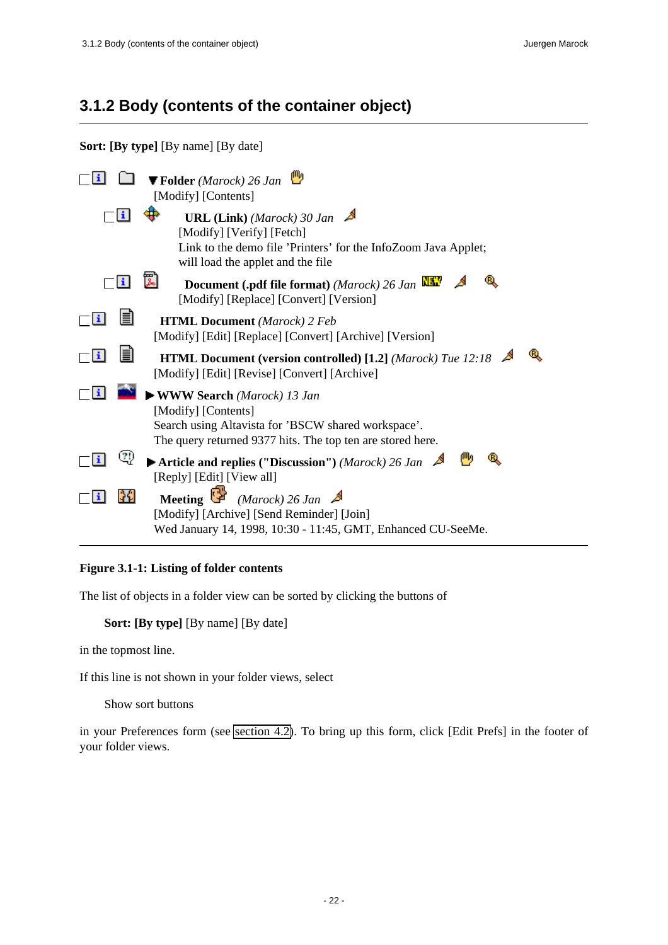### <span id="page-24-0"></span>**3.1.2 Body (contents of the container object)**

**Sort: [By type]** [By name] [By date]

|  | 們<br>▼ Folder (Marock) 26 Jan<br>[Modify] [Contents]                                                                                                                              |
|--|-----------------------------------------------------------------------------------------------------------------------------------------------------------------------------------|
|  | <b>URL</b> (Link) (Marock) 30 Jan $\triangle$<br>[Modify] [Verify] [Fetch]<br>Link to the demo file 'Printers' for the InfoZoom Java Applet;<br>will load the applet and the file |
|  | œ.<br>Document (.pdf file format) (Marock) 26 Jan<br>[Modify] [Replace] [Convert] [Version]                                                                                       |
|  | <b>HTML Document</b> (Marock) 2 Feb<br>[Modify] [Edit] [Replace] [Convert] [Archive] [Version]                                                                                    |
|  | <b>HTML Document (version controlled) [1.2] (Marock) Tue 12:18</b><br>[Modify] [Edit] [Revise] [Convert] [Archive]                                                                |
|  | <b>WWW Search (Marock) 13 Jan</b><br>[Modify] [Contents]<br>Search using Altavista for 'BSCW shared workspace'.<br>The query returned 9377 hits. The top ten are stored here.     |
|  | 伵<br>Article and replies ("Discussion") (Marock) 26 Jan<br>[Reply] [Edit] [View all]                                                                                              |
|  | (Marock) 26 Jan $\mathcal A$<br>Meeting $\mathbb{F}$<br>[Modify] [Archive] [Send Reminder] [Join]<br>Wed January 14, 1998, 10:30 - 11:45, GMT, Enhanced CU-SeeMe.                 |

#### **Figure 3.1-1: Listing of folder contents**

The list of objects in a folder view can be sorted by clicking the buttons of

**Sort: [By type]** [By name] [By date]

in the topmost line.

If this line is not shown in your folder views, select

Show sort buttons

in your Preferences form (see [section 4.2\)](#page-41-0). To bring up this form, click [Edit Prefs] in the footer of your folder views.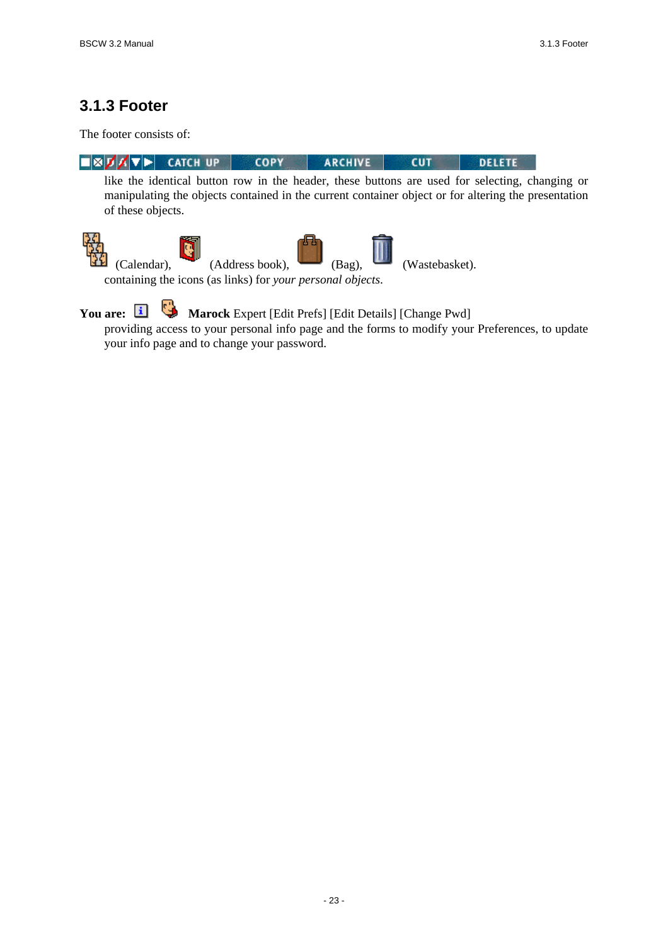### <span id="page-25-0"></span>**3.1.3 Footer**

The footer consists of:

#### $\blacksquare \boxtimes \textbf{X} \blacktriangledown \blacktriangleright$  CATCH UP **COPY ARCHIVE CUT DELETE** like the identical button row in the header, these buttons are used for selecting, changing or manipulating the objects contained in the current container object or for altering the presentation of these objects. (Calendar), (Address book), (Bag), (Wastebasket). containing the icons (as links) for *your personal objects*. You are: **i** Marock Expert [Edit Prefs] [Edit Details] [Change Pwd] providing access to your personal info page and the forms to modify your Preferences, to update your info page and to change your password.

- 23 -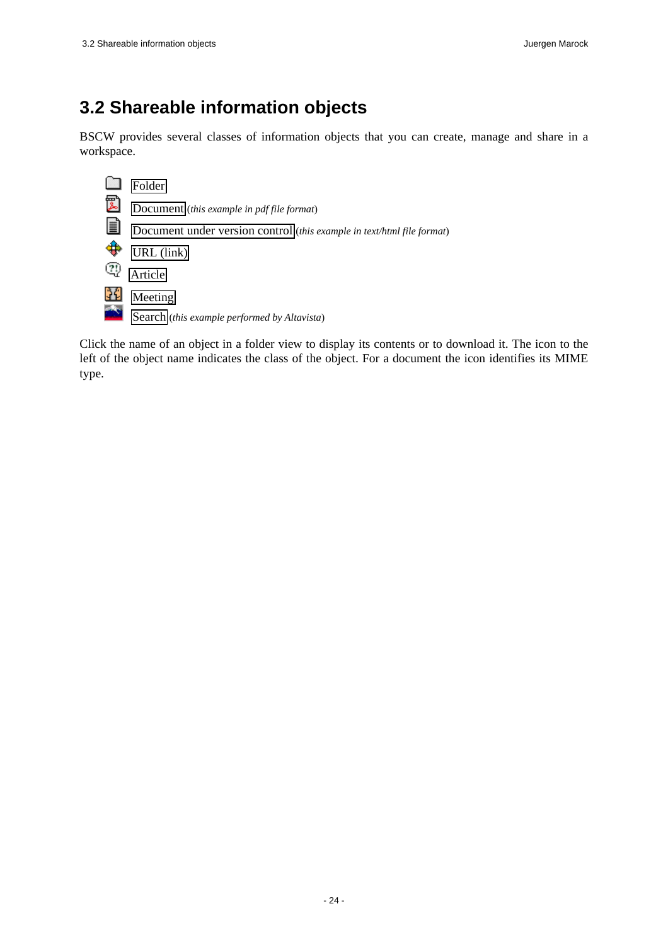# <span id="page-26-0"></span>**3.2 Shareable information objects**

BSCW provides several classes of information objects that you can create, manage and share in a workspace.

|                    | Folder                                                                 |
|--------------------|------------------------------------------------------------------------|
| أيتقر              | Document (this example in pdf file format)                             |
| 目                  | Document under version control (this example in text/html file format) |
|                    | URL (link)                                                             |
| $\left( 71\right)$ | Article                                                                |
|                    | Meeting                                                                |
|                    | Search (this example performed by Altavista)                           |
|                    |                                                                        |

Click the name of an object in a folder view to display its contents or to download it. The icon to the left of the object name indicates the class of the object. For a document the icon identifies its MIME type.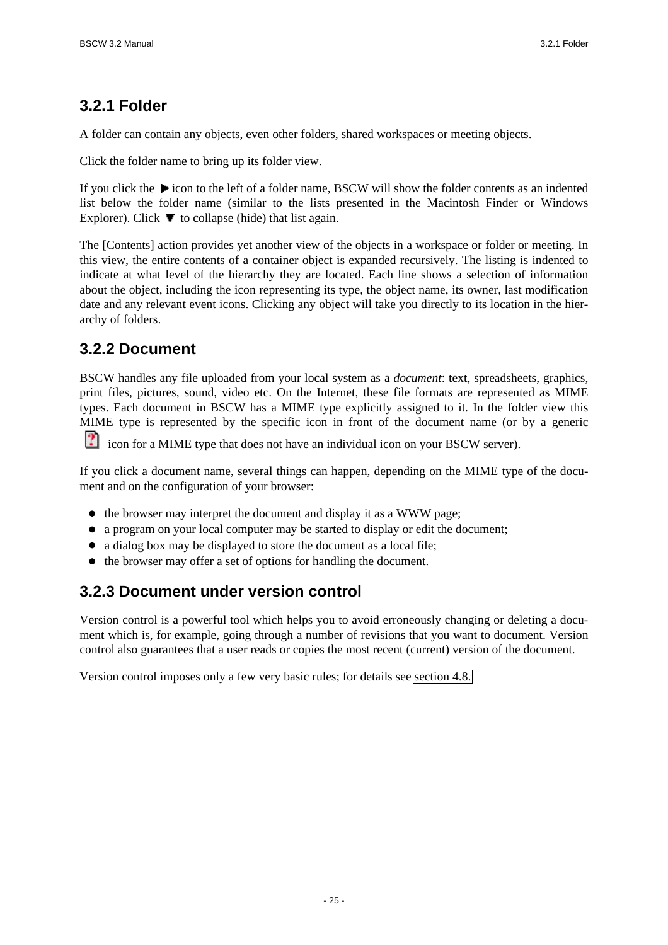### <span id="page-27-0"></span>**3.2.1 Folder**

A folder can contain any objects, even other folders, shared workspaces or meeting objects.

Click the folder name to bring up its folder view.

If you click the  $\blacktriangleright$  icon to the left of a folder name, BSCW will show the folder contents as an indented list below the folder name (similar to the lists presented in the Macintosh Finder or Windows Explorer). Click  $\blacktriangledown$  to collapse (hide) that list again.

The [Contents] action provides yet another view of the objects in a workspace or folder or meeting. In this view, the entire contents of a container object is expanded recursively. The listing is indented to indicate at what level of the hierarchy they are located. Each line shows a selection of information about the object, including the icon representing its type, the object name, its owner, last modification date and any relevant event icons. Clicking any object will take you directly to its location in the hierarchy of folders.

### <span id="page-27-1"></span>**3.2.2 Document**

BSCW handles any file uploaded from your local system as a *document*: text, spreadsheets, graphics, print files, pictures, sound, video etc. On the Internet, these file formats are represented as MIME types. Each document in BSCW has a MIME type explicitly assigned to it. In the folder view this MIME type is represented by the specific icon in front of the document name (or by a generic

icon for a MIME type that does not have an individual icon on your BSCW server).

If you click a document name, several things can happen, depending on the MIME type of the document and on the configuration of your browser:

- the browser may interpret the document and display it as a WWW page;
- a program on your local computer may be started to display or edit the document;
- a dialog box may be displayed to store the document as a local file;
- the browser may offer a set of options for handling the document.

### <span id="page-27-2"></span>**3.2.3 Document under version control**

Version control is a powerful tool which helps you to avoid erroneously changing or deleting a document which is, for example, going through a number of revisions that you want to document. Version control also guarantees that a user reads or copies the most recent (current) version of the document.

Version control imposes only a few very basic rules; for details see [section 4.8.](#page-72-0)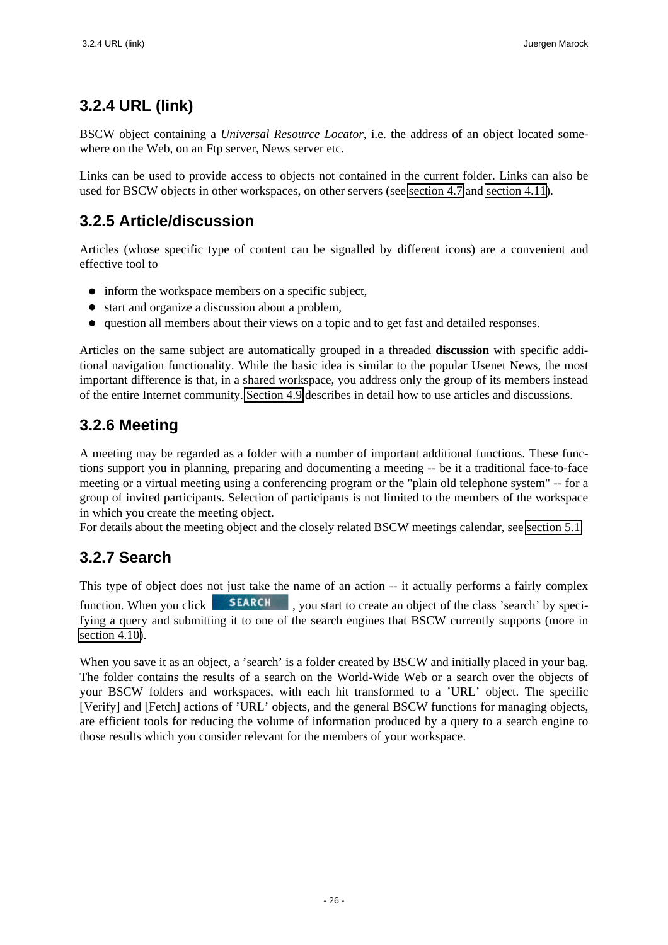# <span id="page-28-0"></span>**3.2.4 URL (link)**

BSCW object containing a *Universal Resource Locator,* i.e. the address of an object located somewhere on the Web, on an Ftp server, News server etc.

Links can be used to provide access to objects not contained in the current folder. Links can also be used for BSCW objects in other workspaces, on other servers (see [section 4.7](#page-71-0) and [section 4.11\)](#page-84-0).

# <span id="page-28-1"></span>**3.2.5 Article/discussion**

Articles (whose specific type of content can be signalled by different icons) are a convenient and effective tool to

- inform the workspace members on a specific subject,
- start and organize a discussion about a problem,
- question all members about their views on a topic and to get fast and detailed responses.

Articles on the same subject are automatically grouped in a threaded **discussion** with specific additional navigation functionality. While the basic idea is similar to the popular Usenet News, the most important difference is that, in a shared workspace, you address only the group of its members instead of the entire Internet community. [Section 4.9](#page-77-0) describes in detail how to use articles and discussions.

# <span id="page-28-2"></span>**3.2.6 Meeting**

A meeting may be regarded as a folder with a number of important additional functions. These functions support you in planning, preparing and documenting a meeting -- be it a traditional face-to-face meeting or a virtual meeting using a conferencing program or the "plain old telephone system" -- for a group of invited participants. Selection of participants is not limited to the members of the workspace in which you create the meeting object.

For details about the meeting object and the closely related BSCW meetings calendar, see [section 5.1.](#page-91-1)

# <span id="page-28-3"></span>**3.2.7 Search**

This type of object does not just take the name of an action -- it actually performs a fairly complex function. When you click **SEARCH**, you start to create an object of the class 'search' by specifying a query and submitting it to one of the search engines that BSCW currently supports (more in [section 4.10\)](#page-80-0).

When you save it as an object, a 'search' is a folder created by BSCW and initially placed in your bag. The folder contains the results of a search on the World-Wide Web or a search over the objects of your BSCW folders and workspaces, with each hit transformed to a 'URL' object. The specific [Verify] and [Fetch] actions of 'URL' objects, and the general BSCW functions for managing objects, are efficient tools for reducing the volume of information produced by a query to a search engine to those results which you consider relevant for the members of your workspace.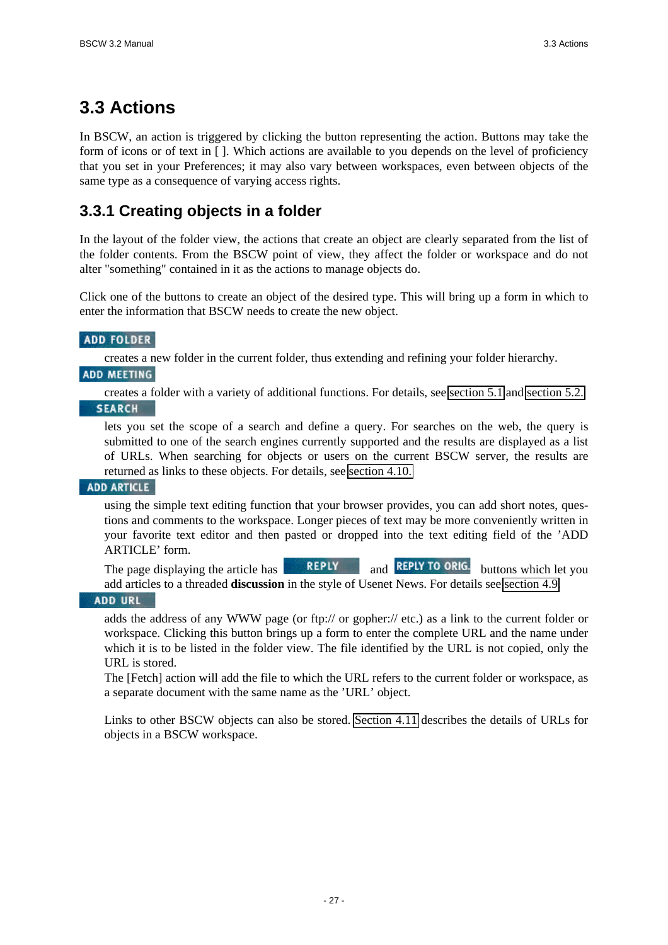# <span id="page-29-0"></span>**3.3 Actions**

In BSCW, an action is triggered by clicking the button representing the action. Buttons may take the form of icons or of text in [ ]. Which actions are available to you depends on the level of proficiency that you set in your Preferences; it may also vary between workspaces, even between objects of the same type as a consequence of varying access rights.

# <span id="page-29-1"></span>**3.3.1 Creating objects in a folder**

In the layout of the folder view, the actions that create an object are clearly separated from the list of the folder contents. From the BSCW point of view, they affect the folder or workspace and do not alter "something" contained in it as the actions to manage objects do.

Click one of the buttons to create an object of the desired type. This will bring up a form in which to enter the information that BSCW needs to create the new object.

#### **ADD FOLDER**

creates a new folder in the current folder, thus extending and refining your folder hierarchy.

#### **ADD MEETING**

creates a folder with a variety of additional functions. For details, see [section 5.1](#page-91-1) and [section 5.2.](#page-95-0)  **SEARCH** 

lets you set the scope of a search and define a query. For searches on the web, the query is submitted to one of the search engines currently supported and the results are displayed as a list of URLs. When searching for objects or users on the current BSCW server, the results are returned as links to these objects. For details, see [section 4.10.](#page-80-0) 

#### **ADD ARTICLE**

using the simple text editing function that your browser provides, you can add short notes, questions and comments to the workspace. Longer pieces of text may be more conveniently written in your favorite text editor and then pasted or dropped into the text editing field of the 'ADD ARTICLE' form.

The page displaying the article has **EXECUTER REPLY TO ORIG.** buttons which let you add articles to a threaded **discussion** in the style of Usenet News. For details see [section 4.9.](#page-77-0)

#### **ADD URL**

adds the address of any WWW page (or ftp:// or gopher:// etc.) as a link to the current folder or workspace. Clicking this button brings up a form to enter the complete URL and the name under which it is to be listed in the folder view. The file identified by the URL is not copied, only the URL is stored.

The [Fetch] action will add the file to which the URL refers to the current folder or workspace, as a separate document with the same name as the 'URL' object.

Links to other BSCW objects can also be stored. [Section 4.11](#page-84-0) describes the details of URLs for objects in a BSCW workspace.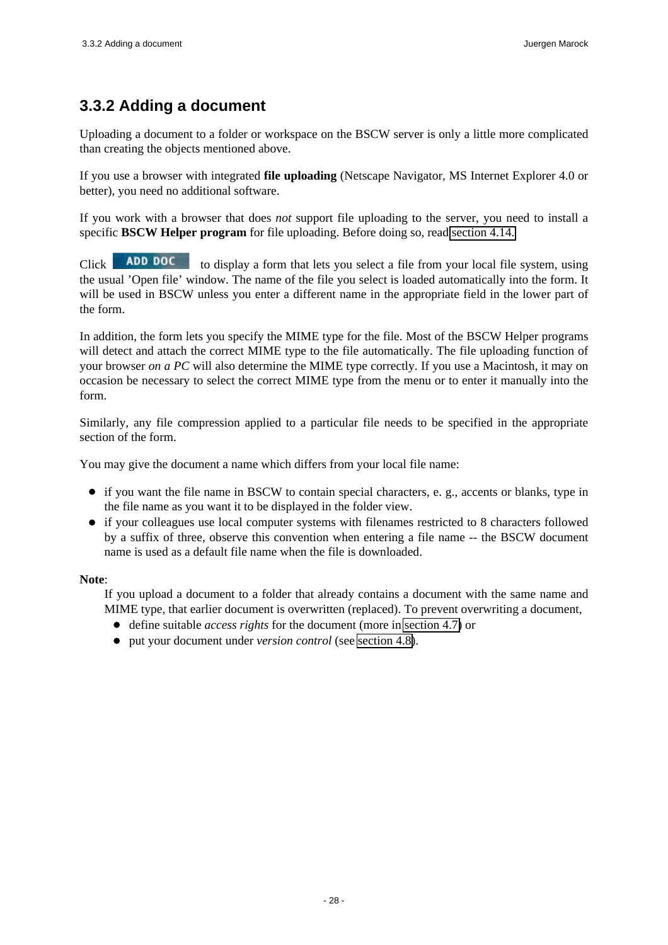# <span id="page-30-0"></span>**3.3.2 Adding a document**

Uploading a document to a folder or workspace on the BSCW server is only a little more complicated than creating the objects mentioned above.

If you use a browser with integrated **file uploading** (Netscape Navigator, MS Internet Explorer 4.0 or better), you need no additional software.

If you work with a browser that does *not* support file uploading to the server, you need to install a specific **BSCW Helper program** for file uploading. Before doing so, read [section 4.14.](#page-89-0) 

Click **ADD DOC** to display a form that lets you select a file from your local file system, using the usual 'Open file' window. The name of the file you select is loaded automatically into the form. It will be used in BSCW unless you enter a different name in the appropriate field in the lower part of the form.

In addition, the form lets you specify the MIME type for the file. Most of the BSCW Helper programs will detect and attach the correct MIME type to the file automatically. The file uploading function of your browser *on a PC* will also determine the MIME type correctly. If you use a Macintosh, it may on occasion be necessary to select the correct MIME type from the menu or to enter it manually into the form.

Similarly, any file compression applied to a particular file needs to be specified in the appropriate section of the form.

You may give the document a name which differs from your local file name:

- if you want the file name in BSCW to contain special characters, e. g., accents or blanks, type in the file name as you want it to be displayed in the folder view.
- if your colleagues use local computer systems with filenames restricted to 8 characters followed by a suffix of three, observe this convention when entering a file name -- the BSCW document name is used as a default file name when the file is downloaded.

#### **Note**:

If you upload a document to a folder that already contains a document with the same name and MIME type, that earlier document is overwritten (replaced). To prevent overwriting a document,

- define suitable *access rights* for the document (more in [section 4.7\)](#page-64-0) or
- put your document under *version control* (see [section 4.8\)](#page-72-0).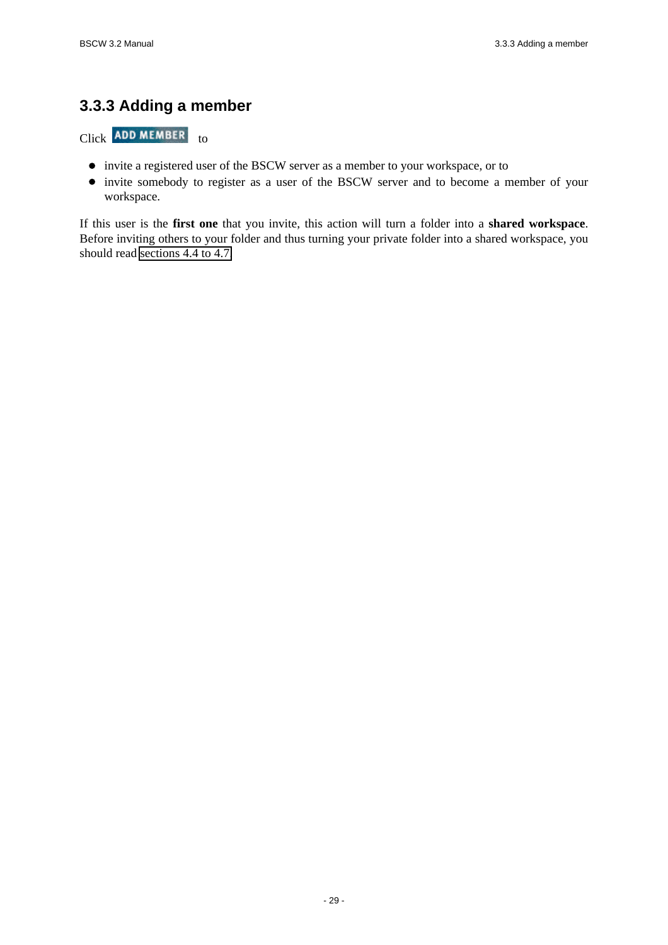# <span id="page-31-0"></span>**3.3.3 Adding a member**

Click ADD MEMBER to

- invite a registered user of the BSCW server as a member to your workspace, or to
- invite somebody to register as a user of the BSCW server and to become a member of your workspace.

If this user is the **first one** that you invite, this action will turn a folder into a **shared workspace**. Before inviting others to your folder and thus turning your private folder into a shared workspace, you should read [sections 4.4 to 4.7.](#page-39-0)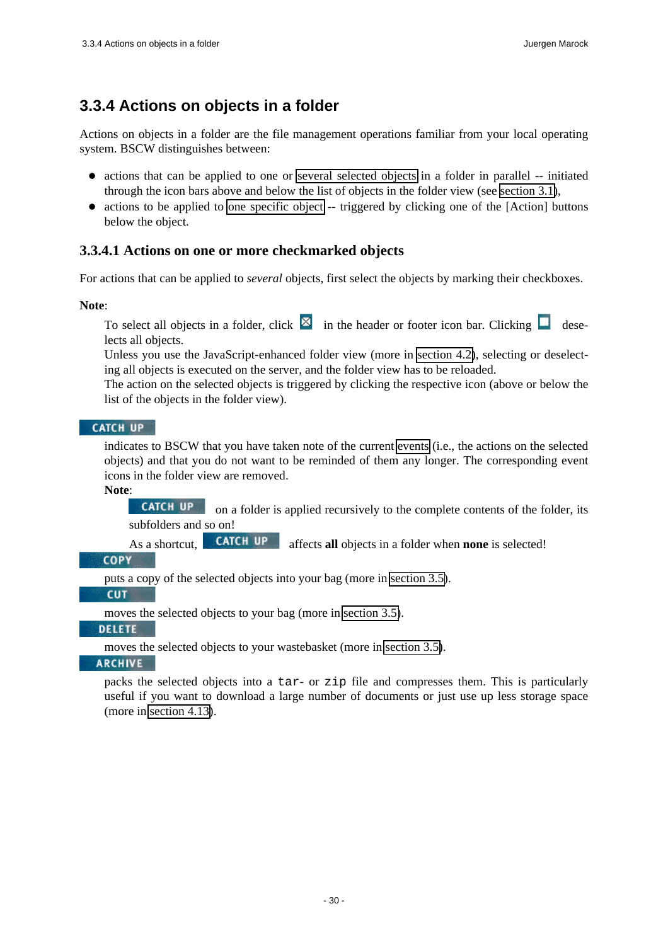# <span id="page-32-0"></span>**3.3.4 Actions on objects in a folder**

Actions on objects in a folder are the file management operations familiar from your local operating system. BSCW distinguishes between:

- actions that can be applied to one or [several selected objects](#page-32-1) in a folder in parallel -- initiated through the icon bars above and below the list of objects in the folder view (see [section 3.1\)](#page-22-0),
- actions to be applied to [one specific object](#page-32-1) -- triggered by clicking one of the [Action] buttons below the object.

### <span id="page-32-1"></span>**3.3.4.1 Actions on one or more checkmarked objects**

For actions that can be applied to *several* objects, first select the objects by marking their checkboxes.

#### **Note**:

To select all objects in a folder, click  $\boxtimes$  in the header or footer icon bar. Clicking  $\Box$  deselects all objects.

Unless you use the JavaScript-enhanced folder view (more in [section 4.2\)](#page-41-0), selecting or deselecting all objects is executed on the server, and the folder view has to be reloaded.

The action on the selected objects is triggered by clicking the respective icon (above or below the list of the objects in the folder view).

#### **CATCH UP**

indicates to BSCW that you have taken note of the current [events](#page-34-0) (i.e., the actions on the selected objects) and that you do not want to be reminded of them any longer. The corresponding event icons in the folder view are removed.

#### **Note**:

**CATCH UP**  on a folder is applied recursively to the complete contents of the folder, its subfolders and so on!

As a shortcut, **CATCH UP** affects **all** objects in a folder when **none** is selected!

#### **COPY**

puts a copy of the selected objects into your bag (more in [section 3.5\)](#page-36-1).

#### **CUT**

moves the selected objects to your bag (more in [section 3.5\)](#page-36-1).

#### **DELETE**

moves the selected objects to your wastebasket (more in [section 3.5\)](#page-38-0).

#### **ARCHIVE**

packs the selected objects into a tar- or zip file and compresses them. This is particularly useful if you want to download a large number of documents or just use up less storage space (more in [section 4.13\)](#page-88-0).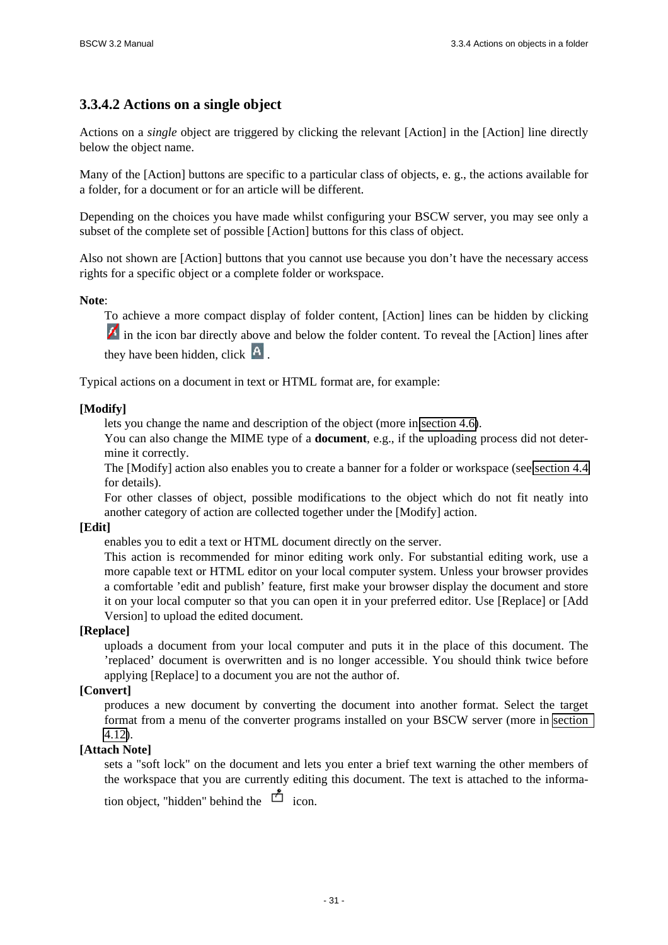### <span id="page-33-0"></span>**3.3.4.2 Actions on a single object**

Actions on a *single* object are triggered by clicking the relevant [Action] in the [Action] line directly below the object name.

Many of the [Action] buttons are specific to a particular class of objects, e. g., the actions available for a folder, for a document or for an article will be different.

Depending on the choices you have made whilst configuring your BSCW server, you may see only a subset of the complete set of possible [Action] buttons for this class of object.

Also not shown are [Action] buttons that you cannot use because you don't have the necessary access rights for a specific object or a complete folder or workspace.

**Note**:

To achieve a more compact display of folder content, [Action] lines can be hidden by clicking If in the icon bar directly above and below the folder content. To reveal the [Action] lines after they have been hidden, click  $\mathbf{A}$ .

Typical actions on a document in text or HTML format are, for example:

#### **[Modify]**

lets you change the name and description of the object (more in [section 4.6\)](#page-62-0).

You can also change the MIME type of a **document**, e.g., if the uploading process did not determine it correctly.

The [Modify] action also enables you to create a banner for a folder or workspace (see [section 4.4](#page-55-0) for details).

For other classes of object, possible modifications to the object which do not fit neatly into another category of action are collected together under the [Modify] action.

**[Edit]**

enables you to edit a text or HTML document directly on the server.

This action is recommended for minor editing work only. For substantial editing work, use a more capable text or HTML editor on your local computer system. Unless your browser provides a comfortable 'edit and publish' feature, first make your browser display the document and store it on your local computer so that you can open it in your preferred editor. Use [Replace] or [Add Version] to upload the edited document.

#### **[Replace]**

uploads a document from your local computer and puts it in the place of this document. The 'replaced' document is overwritten and is no longer accessible. You should think twice before applying [Replace] to a document you are not the author of.

#### **[Convert]**

produces a new document by converting the document into another format. Select the target format from a menu of the converter programs installed on your BSCW server (more in [section](#page-87-0)  [4.12\)](#page-87-0).

#### **[Attach Note]**

sets a "soft lock" on the document and lets you enter a brief text warning the other members of the workspace that you are currently editing this document. The text is attached to the information object, "hidden" behind the  $\overrightarrow{CD}$  icon.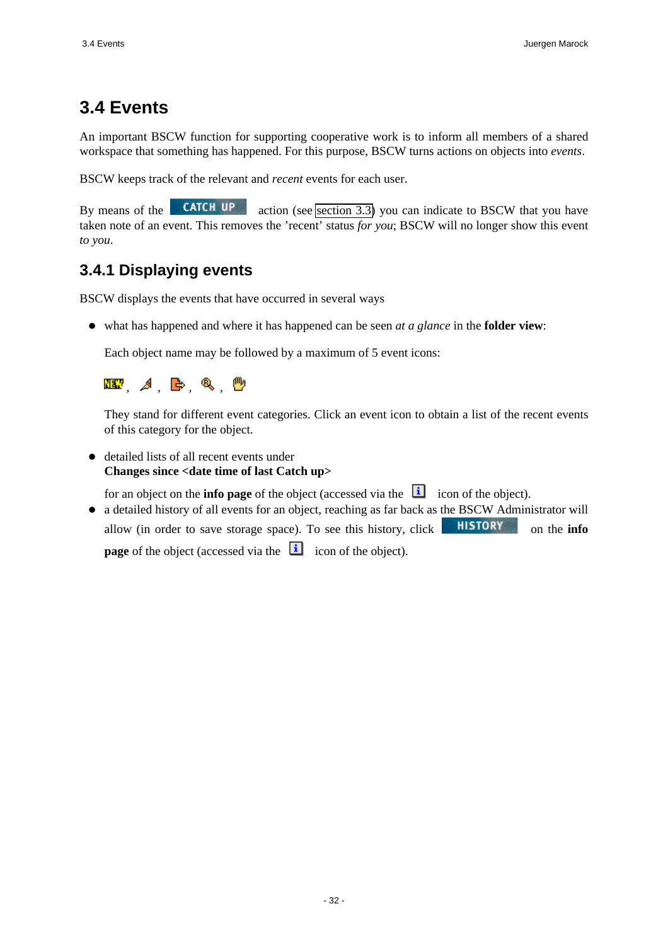# <span id="page-34-0"></span>**3.4 Events**

An important BSCW function for supporting cooperative work is to inform all members of a shared workspace that something has happened. For this purpose, BSCW turns actions on objects into *events*.

BSCW keeps track of the relevant and *recent* events for each user.

By means of the **CATCH UP** action (see [section 3.3\)](#page-29-0) you can indicate to BSCW that you have taken note of an event. This removes the 'recent' status *for you*; BSCW will no longer show this event *to you*.

# <span id="page-34-1"></span>**3.4.1 Displaying events**

BSCW displays the events that have occurred in several ways

what has happened and where it has happened can be seen *at a glance* in the **folder view**:

Each object name may be followed by a maximum of 5 event icons:

### $\mathbb{H}$  , and  $\mathbb{B}$  ,  $\mathbb{R}$  ,  $\mathbb{B}$

They stand for different event categories. Click an event icon to obtain a list of the recent events of this category for the object.

detailed lists of all recent events under **Changes since <date time of last Catch up>**

for an object on the **info page** of the object (accessed via the **i** icon of the object).

a detailed history of all events for an object, reaching as far back as the BSCW Administrator will allow (in order to save storage space). To see this history, click **HISTORY** on the **info page** of the object (accessed via the **i** icon of the object).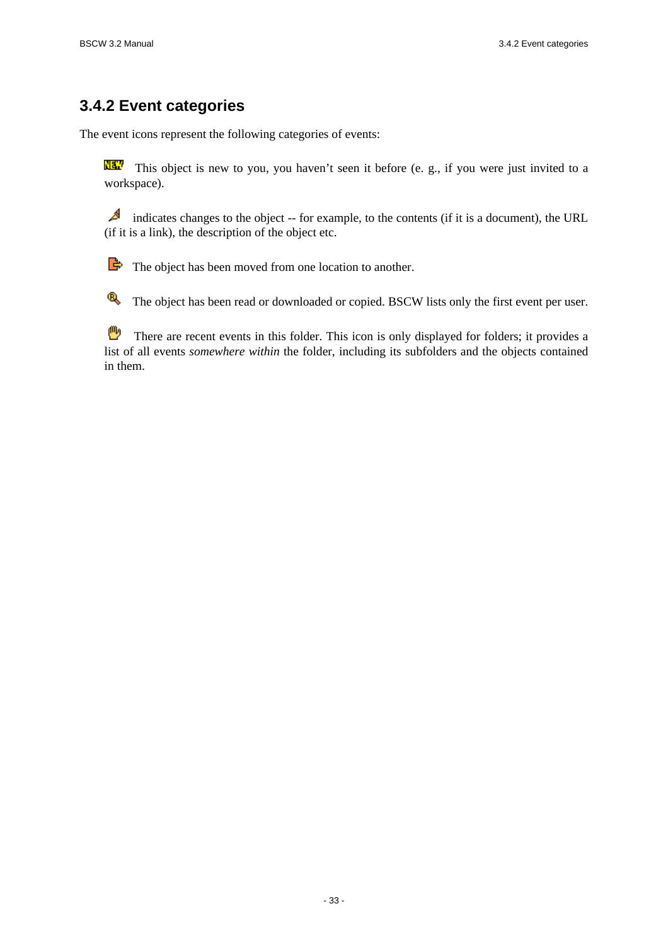### <span id="page-35-0"></span>**3.4.2 Event categories**

The event icons represent the following categories of events:

This object is new to you, you haven't seen it before (e. g., if you were just invited to a workspace).

 $\triangle$  indicates changes to the object -- for example, to the contents (if it is a document), the URL (if it is a link), the description of the object etc.

The object has been moved from one location to another.

The object has been read or downloaded or copied. BSCW lists only the first event per user.

侧 There are recent events in this folder. This icon is only displayed for folders; it provides a list of all events *somewhere within* the folder, including its subfolders and the objects contained in them.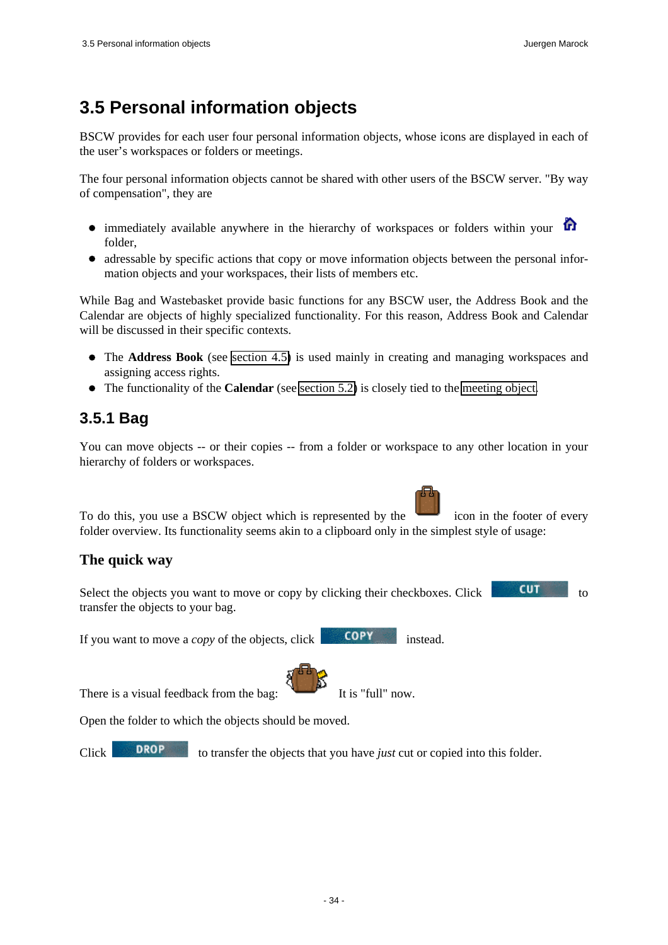# **3.5 Personal information objects**

BSCW provides for each user four personal information objects, whose icons are displayed in each of the user's workspaces or folders or meetings.

The four personal information objects cannot be shared with other users of the BSCW server. "By way of compensation", they are

- immediately available anywhere in the hierarchy of workspaces or folders within your folder,
- adressable by specific actions that copy or move information objects between the personal information objects and your workspaces, their lists of members etc.

While Bag and Wastebasket provide basic functions for any BSCW user, the Address Book and the Calendar are objects of highly specialized functionality. For this reason, Address Book and Calendar will be discussed in their specific contexts.

- The **Address Book** (see [section 4.5\)](#page-58-0) is used mainly in creating and managing workspaces and assigning access rights.
- The functionality of the **Calendar** (see [section 5.2\)](#page-95-0) is closely tied to the [meeting object.](#page-91-0)

# **3.5.1 Bag**

You can move objects -- or their copies -- from a folder or workspace to any other location in your hierarchy of folders or workspaces.

To do this, you use a BSCW object which is represented by the icon in the footer of every folder overview. Its functionality seems akin to a clipboard only in the simplest style of usage:

## **The quick way**

Select the objects you want to move or copy by clicking their checkboxes. Click  $\begin{bmatrix} 1 & 0 \\ 0 & 1 \end{bmatrix}$  to transfer the objects to your bag.

If you want to move a *copy* of the objects, click **COPY** instead.

There is a visual feedback from the bag: It is "full" now.

Open the folder to which the objects should be moved.

Click **DROP** to transfer the objects that you have *just* cut or copied into this folder.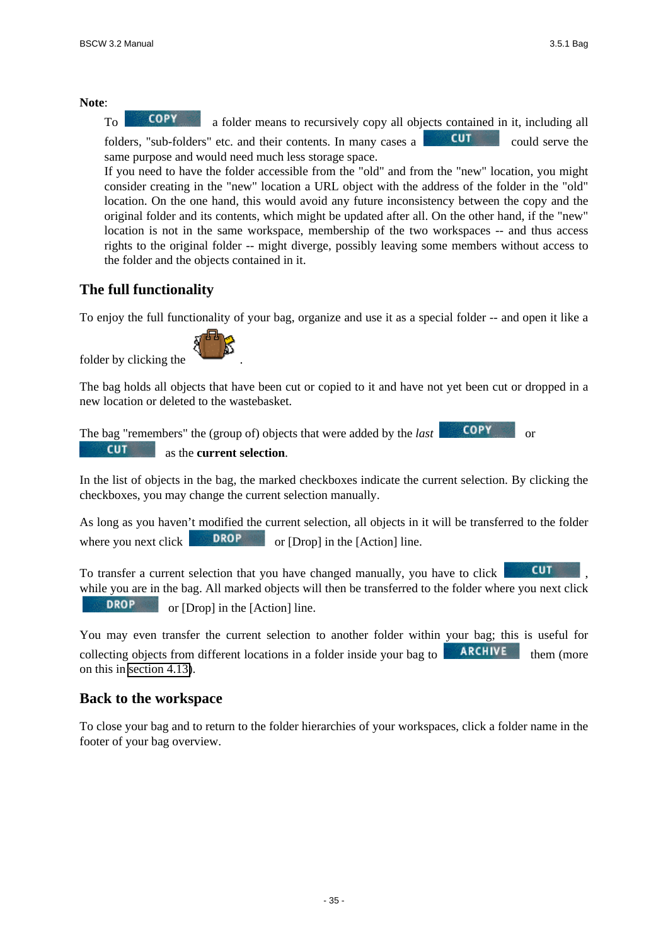To **COPY** a folder means to recursively copy all objects contained in it, including all

folders, "sub-folders" etc. and their contents. In many cases a  $\Box$  CUT could serve the same purpose and would need much less storage space.

If you need to have the folder accessible from the "old" and from the "new" location, you might consider creating in the "new" location a URL object with the address of the folder in the "old" location. On the one hand, this would avoid any future inconsistency between the copy and the original folder and its contents, which might be updated after all. On the other hand, if the "new" location is not in the same workspace, membership of the two workspaces -- and thus access rights to the original folder -- might diverge, possibly leaving some members without access to the folder and the objects contained in it.

### **The full functionality**

To enjoy the full functionality of your bag, organize and use it as a special folder -- and open it like a



folder by clicking the

The bag holds all objects that have been cut or copied to it and have not yet been cut or dropped in a new location or deleted to the wastebasket.

The bag "remembers" the (group of) objects that were added by the *last* **COPY** or **CUT** as the **current selection**.

In the list of objects in the bag, the marked checkboxes indicate the current selection. By clicking the checkboxes, you may change the current selection manually.

As long as you haven't modified the current selection, all objects in it will be transferred to the folder where you next click **DROP** or [Drop] in the [Action] line.

To transfer a current selection that you have changed manually, you have to click while you are in the bag. All marked objects will then be transferred to the folder where you next click **DROP** or [Drop] in the [Action] line.

You may even transfer the current selection to another folder within your bag; this is useful for collecting objects from different locations in a folder inside your bag to **ARCHIVE** them (more on this in [section 4.13\)](#page-88-0).

## **Back to the workspace**

To close your bag and to return to the folder hierarchies of your workspaces, click a folder name in the footer of your bag overview.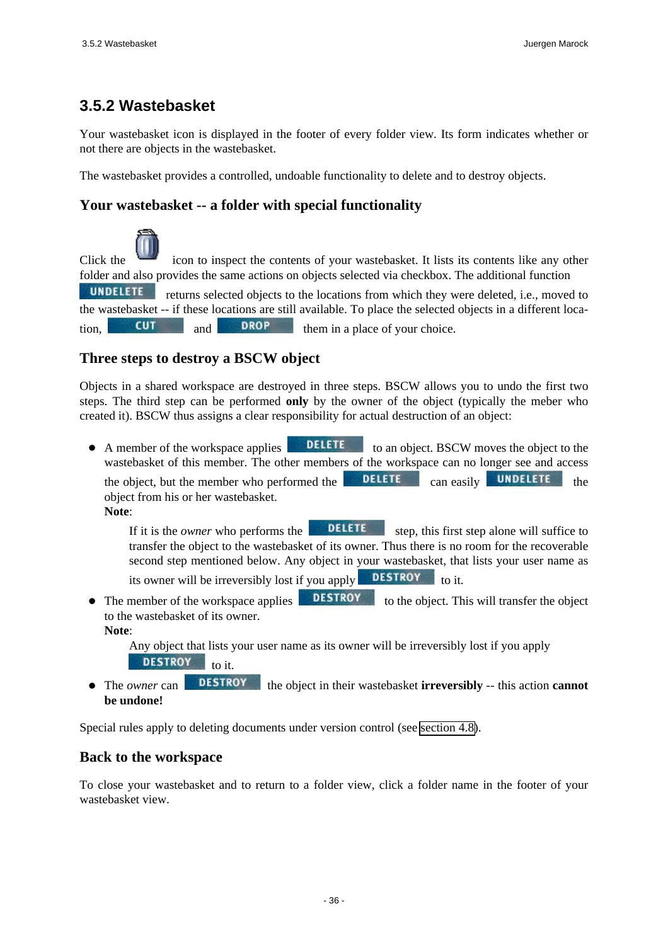## <span id="page-38-0"></span>**3.5.2 Wastebasket**

Your wastebasket icon is displayed in the footer of every folder view. Its form indicates whether or not there are objects in the wastebasket.

The wastebasket provides a controlled, undoable functionality to delete and to destroy objects.

### **Your wastebasket -- a folder with special functionality**



Click the icon to inspect the contents of your wastebasket. It lists its contents like any other folder and also provides the same actions on objects selected via checkbox. The additional function

**UNDELETE**  returns selected objects to the locations from which they were deleted, i.e., moved to the wastebasket -- if these locations are still available. To place the selected objects in a different location, and them in a place of your choice.

### **Three steps to destroy a BSCW object**

Objects in a shared workspace are destroyed in three steps. BSCW allows you to undo the first two steps. The third step can be performed **only** by the owner of the object (typically the meber who created it). BSCW thus assigns a clear responsibility for actual destruction of an object:

• A member of the workspace applies **DELETE** to an object. BSCW moves the object to the wastebasket of this member. The other members of the workspace can no longer see and access the object, but the member who performed the **DELETE** can easily **UNDELETE** the object from his or her wastebasket.

**Note**:

If it is the *owner* who performs the **DELETE** step, this first step alone will suffice to transfer the object to the wastebasket of its owner. Thus there is no room for the recoverable second step mentioned below. Any object in your wastebasket, that lists your user name as

its owner will be irreversibly lost if you apply **DESTROY** to it.

• The member of the workspace applies **DESTROY** to the object. This will transfer the object to the wastebasket of its owner. **Note**:

Any object that lists your user name as its owner will be irreversibly lost if you apply **DESTROY** to it.

The *owner* can **DESTROY** the object in their wastebasket **irreversibly** -- this action **cannot be undone!**

Special rules apply to deleting documents under version control (see [section 4.8\)](#page-75-0).

### **Back to the workspace**

To close your wastebasket and to return to a folder view, click a folder name in the footer of your wastebasket view.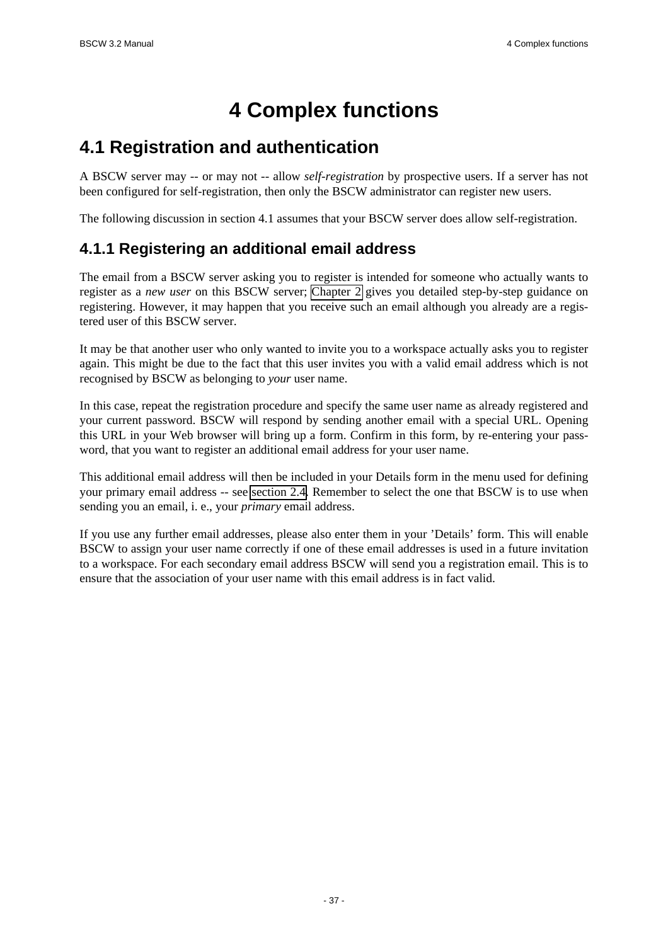# **4 Complex functions**

# **4.1 Registration and authentication**

A BSCW server may -- or may not -- allow *self-registration* by prospective users. If a server has not been configured for self-registration, then only the BSCW administrator can register new users.

The following discussion in section 4.1 assumes that your BSCW server does allow self-registration.

## **4.1.1 Registering an additional email address**

The email from a BSCW server asking you to register is intended for someone who actually wants to register as a *new user* on this BSCW server; [Chapter 2](#page-11-0) gives you detailed step-by-step guidance on registering. However, it may happen that you receive such an email although you already are a registered user of this BSCW server.

It may be that another user who only wanted to invite you to a workspace actually asks you to register again. This might be due to the fact that this user invites you with a valid email address which is not recognised by BSCW as belonging to *your* user name.

In this case, repeat the registration procedure and specify the same user name as already registered and your current password. BSCW will respond by sending another email with a special URL. Opening this URL in your Web browser will bring up a form. Confirm in this form, by re-entering your password, that you want to register an additional email address for your user name.

This additional email address will then be included in your Details form in the menu used for defining your primary email address -- see [section 2.4.](#page-16-0) Remember to select the one that BSCW is to use when sending you an email, i. e., your *primary* email address.

If you use any further email addresses, please also enter them in your 'Details' form. This will enable BSCW to assign your user name correctly if one of these email addresses is used in a future invitation to a workspace. For each secondary email address BSCW will send you a registration email. This is to ensure that the association of your user name with this email address is in fact valid.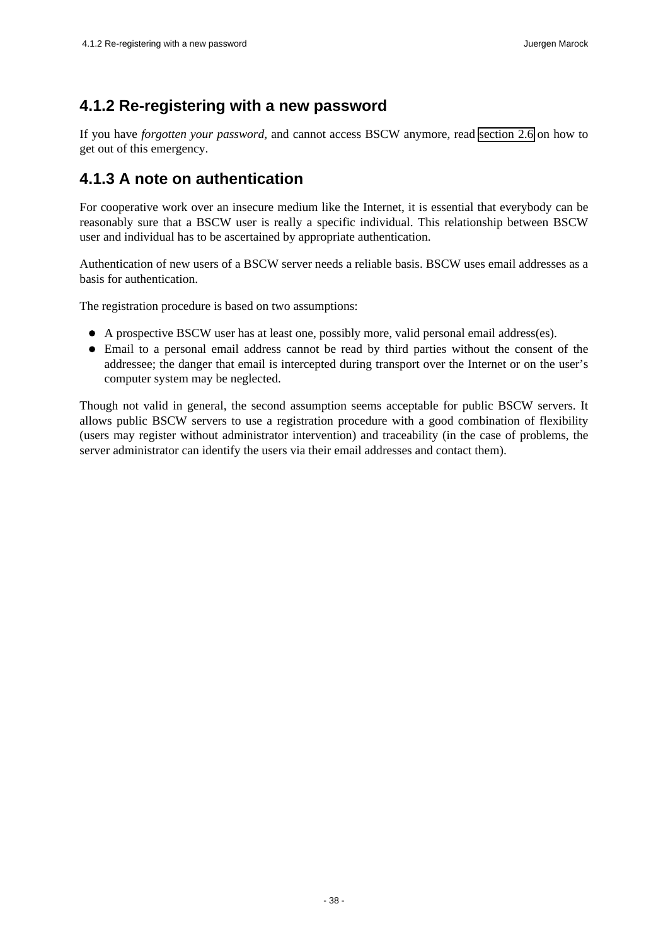## **4.1.2 Re-registering with a new password**

If you have *forgotten your password,* and cannot access BSCW anymore, read [section 2.6](#page-19-0) on how to get out of this emergency.

## **4.1.3 A note on authentication**

For cooperative work over an insecure medium like the Internet, it is essential that everybody can be reasonably sure that a BSCW user is really a specific individual. This relationship between BSCW user and individual has to be ascertained by appropriate authentication.

Authentication of new users of a BSCW server needs a reliable basis. BSCW uses email addresses as a basis for authentication.

The registration procedure is based on two assumptions:

- A prospective BSCW user has at least one, possibly more, valid personal email address(es).
- Email to a personal email address cannot be read by third parties without the consent of the addressee; the danger that email is intercepted during transport over the Internet or on the user's computer system may be neglected.

Though not valid in general, the second assumption seems acceptable for public BSCW servers. It allows public BSCW servers to use a registration procedure with a good combination of flexibility (users may register without administrator intervention) and traceability (in the case of problems, the server administrator can identify the users via their email addresses and contact them).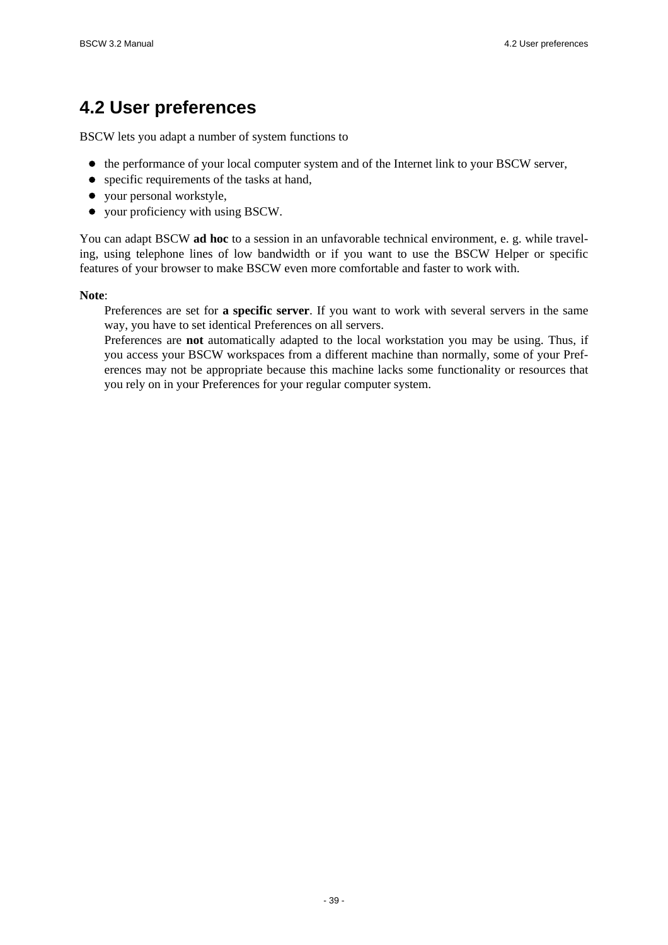# **4.2 User preferences**

BSCW lets you adapt a number of system functions to

- the performance of your local computer system and of the Internet link to your BSCW server,
- specific requirements of the tasks at hand,
- your personal workstyle,
- your proficiency with using BSCW.

You can adapt BSCW **ad hoc** to a session in an unfavorable technical environment, e. g. while traveling, using telephone lines of low bandwidth or if you want to use the BSCW Helper or specific features of your browser to make BSCW even more comfortable and faster to work with.

### **Note**:

Preferences are set for **a specific server**. If you want to work with several servers in the same way, you have to set identical Preferences on all servers.

Preferences are **not** automatically adapted to the local workstation you may be using. Thus, if you access your BSCW workspaces from a different machine than normally, some of your Preferences may not be appropriate because this machine lacks some functionality or resources that you rely on in your Preferences for your regular computer system.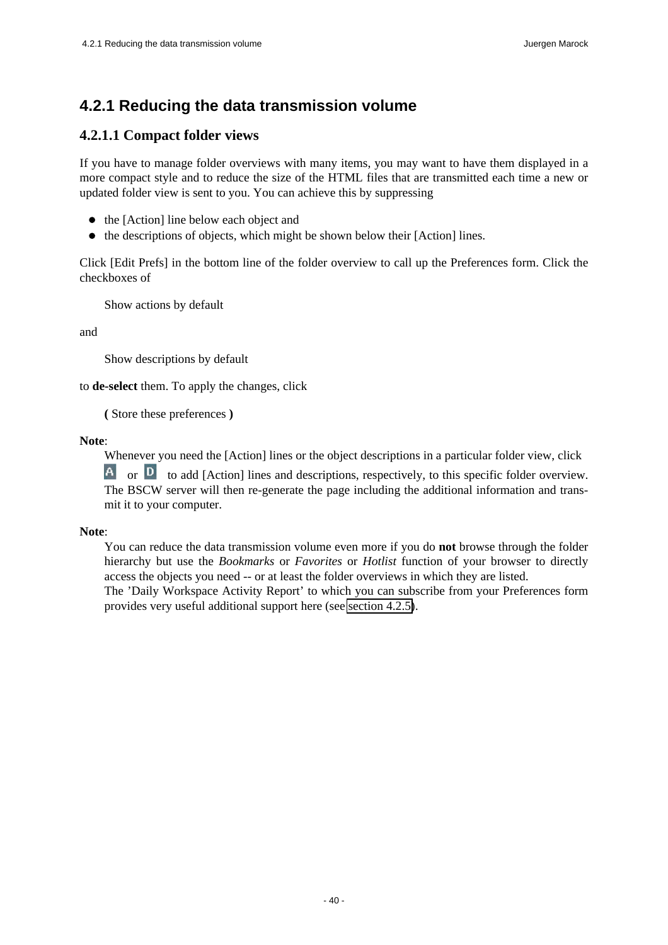## **4.2.1 Reducing the data transmission volume**

### **4.2.1.1 Compact folder views**

If you have to manage folder overviews with many items, you may want to have them displayed in a more compact style and to reduce the size of the HTML files that are transmitted each time a new or updated folder view is sent to you. You can achieve this by suppressing

- the [Action] line below each object and
- the descriptions of objects, which might be shown below their [Action] lines.

Click [Edit Prefs] in the bottom line of the folder overview to call up the Preferences form. Click the checkboxes of

Show actions by default

and

Show descriptions by default

to **de-select** them. To apply the changes, click

**(** Store these preferences **)**

### **Note**:

Whenever you need the [Action] lines or the object descriptions in a particular folder view, click

A or **D** to add [Action] lines and descriptions, respectively, to this specific folder overview. The BSCW server will then re-generate the page including the additional information and transmit it to your computer.

### **Note**:

You can reduce the data transmission volume even more if you do **not** browse through the folder hierarchy but use the *Bookmarks* or *Favorites* or *Hotlist* function of your browser to directly access the objects you need -- or at least the folder overviews in which they are listed. The 'Daily Workspace Activity Report' to which you can subscribe from your Preferences form provides very useful additional support here (see [section 4.2.5\)](#page-48-0).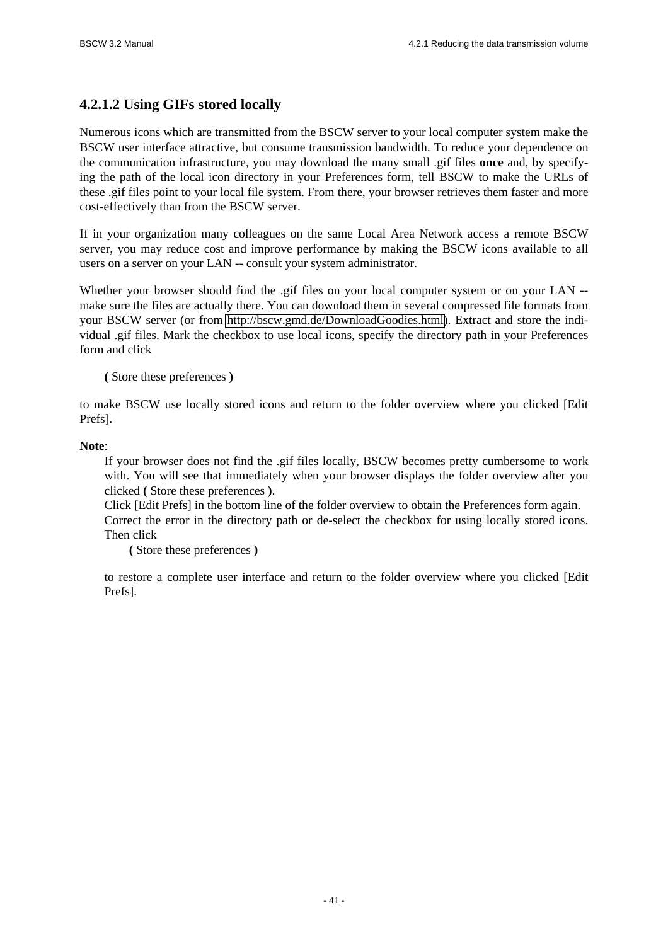## **4.2.1.2 Using GIFs stored locally**

Numerous icons which are transmitted from the BSCW server to your local computer system make the BSCW user interface attractive, but consume transmission bandwidth. To reduce your dependence on the communication infrastructure, you may download the many small .gif files **once** and, by specifying the path of the local icon directory in your Preferences form, tell BSCW to make the URLs of these .gif files point to your local file system. From there, your browser retrieves them faster and more cost-effectively than from the BSCW server.

If in your organization many colleagues on the same Local Area Network access a remote BSCW server, you may reduce cost and improve performance by making the BSCW icons available to all users on a server on your LAN -- consult your system administrator.

Whether your browser should find the .gif files on your local computer system or on your LAN -make sure the files are actually there. You can download them in several compressed file formats from your BSCW server (or from [http://bscw.gmd.de/DownloadGoodies.html\)](http://bscw.gmd.de/DownloadGoodies.html). Extract and store the individual .gif files. Mark the checkbox to use local icons, specify the directory path in your Preferences form and click

**(** Store these preferences **)**

to make BSCW use locally stored icons and return to the folder overview where you clicked [Edit Prefs].

**Note**:

If your browser does not find the .gif files locally, BSCW becomes pretty cumbersome to work with. You will see that immediately when your browser displays the folder overview after you clicked **(** Store these preferences **)**.

Click [Edit Prefs] in the bottom line of the folder overview to obtain the Preferences form again. Correct the error in the directory path or de-select the checkbox for using locally stored icons. Then click

**(** Store these preferences **)**

to restore a complete user interface and return to the folder overview where you clicked [Edit Prefs].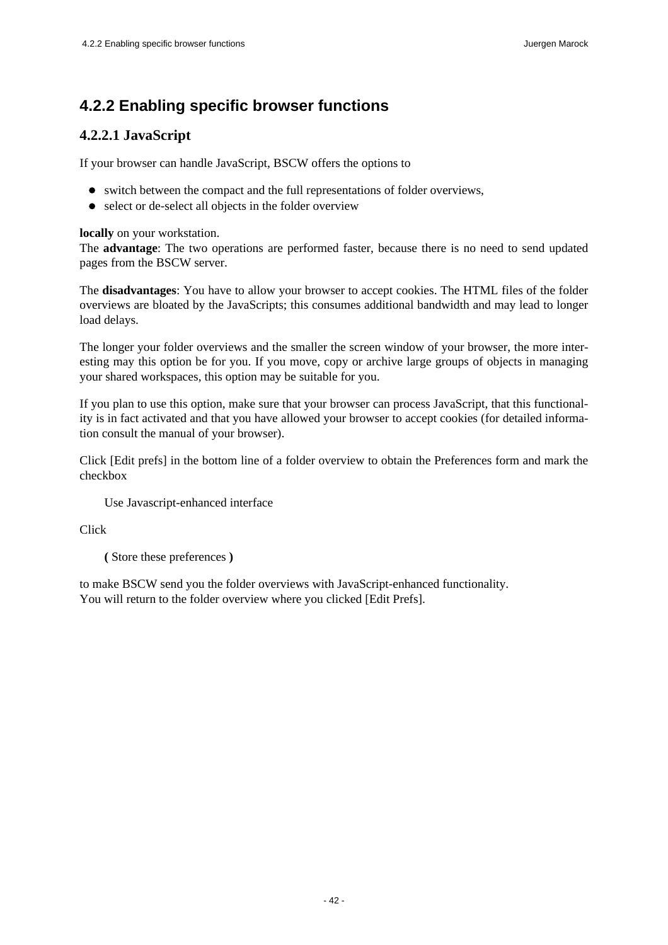# **4.2.2 Enabling specific browser functions**

## **4.2.2.1 JavaScript**

If your browser can handle JavaScript, BSCW offers the options to

- switch between the compact and the full representations of folder overviews,
- select or de-select all objects in the folder overview

### **locally** on your workstation.

The **advantage**: The two operations are performed faster, because there is no need to send updated pages from the BSCW server.

The **disadvantages**: You have to allow your browser to accept cookies. The HTML files of the folder overviews are bloated by the JavaScripts; this consumes additional bandwidth and may lead to longer load delays.

The longer your folder overviews and the smaller the screen window of your browser, the more interesting may this option be for you. If you move, copy or archive large groups of objects in managing your shared workspaces, this option may be suitable for you.

If you plan to use this option, make sure that your browser can process JavaScript, that this functionality is in fact activated and that you have allowed your browser to accept cookies (for detailed information consult the manual of your browser).

Click [Edit prefs] in the bottom line of a folder overview to obtain the Preferences form and mark the checkbox

Use Javascript-enhanced interface

Click

**(** Store these preferences **)**

to make BSCW send you the folder overviews with JavaScript-enhanced functionality. You will return to the folder overview where you clicked [Edit Prefs].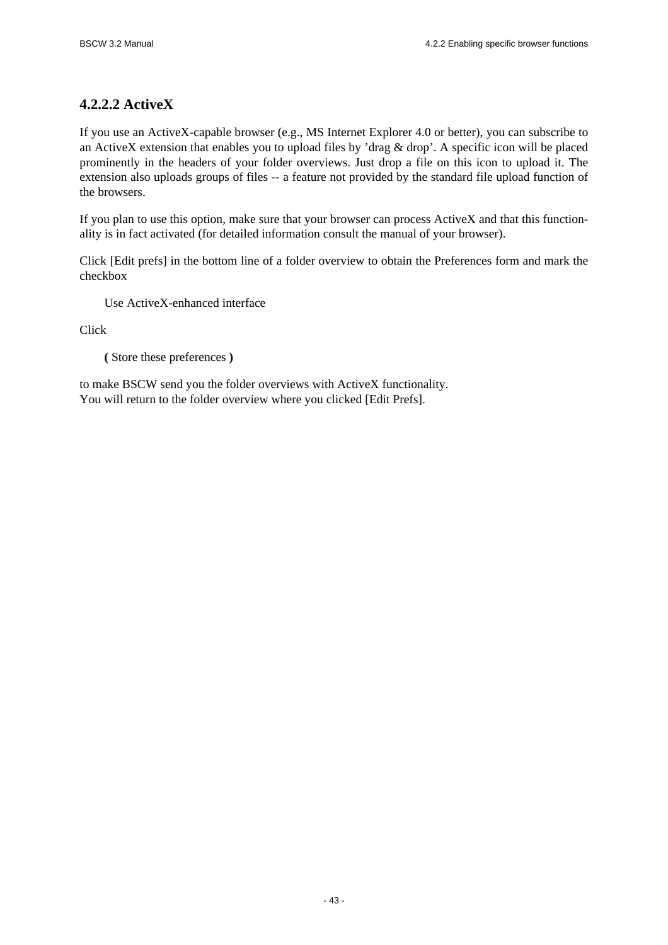## **4.2.2.2 ActiveX**

If you use an ActiveX-capable browser (e.g., MS Internet Explorer 4.0 or better), you can subscribe to an ActiveX extension that enables you to upload files by 'drag & drop'. A specific icon will be placed prominently in the headers of your folder overviews. Just drop a file on this icon to upload it. The extension also uploads groups of files -- a feature not provided by the standard file upload function of the browsers.

If you plan to use this option, make sure that your browser can process ActiveX and that this functionality is in fact activated (for detailed information consult the manual of your browser).

Click [Edit prefs] in the bottom line of a folder overview to obtain the Preferences form and mark the checkbox

Use ActiveX-enhanced interface

Click

**(** Store these preferences **)**

to make BSCW send you the folder overviews with ActiveX functionality. You will return to the folder overview where you clicked [Edit Prefs].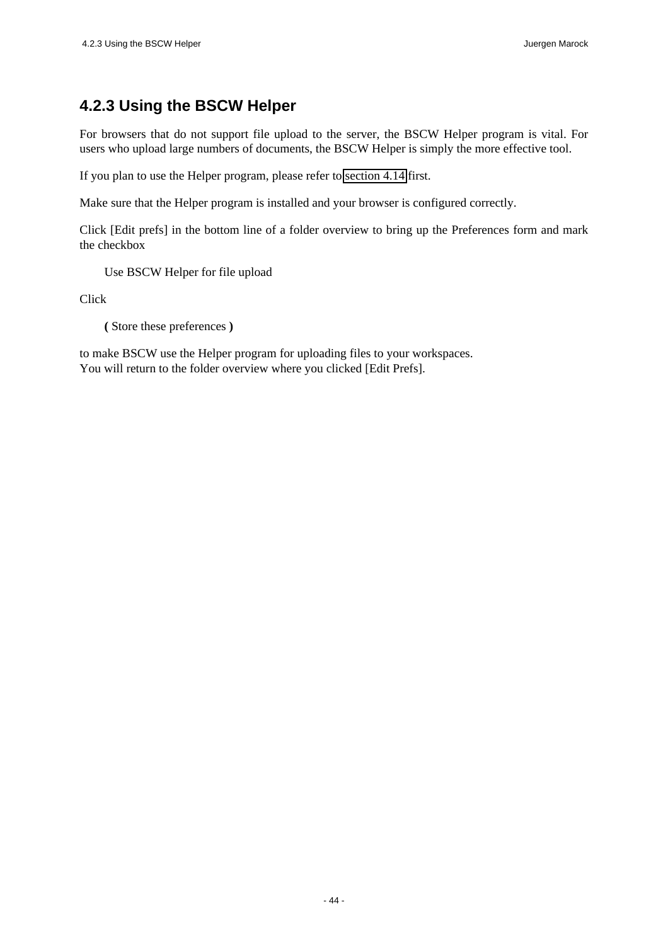## **4.2.3 Using the BSCW Helper**

For browsers that do not support file upload to the server, the BSCW Helper program is vital. For users who upload large numbers of documents, the BSCW Helper is simply the more effective tool.

If you plan to use the Helper program, please refer to [section 4.14](#page-89-0) first.

Make sure that the Helper program is installed and your browser is configured correctly.

Click [Edit prefs] in the bottom line of a folder overview to bring up the Preferences form and mark the checkbox

Use BSCW Helper for file upload

Click

**(** Store these preferences **)**

to make BSCW use the Helper program for uploading files to your workspaces. You will return to the folder overview where you clicked [Edit Prefs].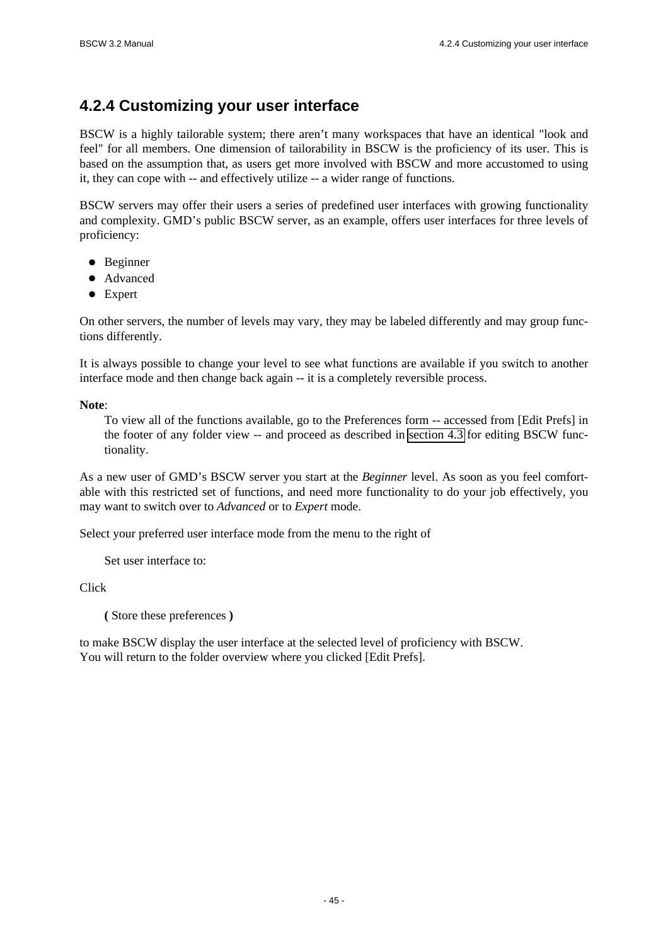## **4.2.4 Customizing your user interface**

BSCW is a highly tailorable system; there aren't many workspaces that have an identical "look and feel" for all members. One dimension of tailorability in BSCW is the proficiency of its user. This is based on the assumption that, as users get more involved with BSCW and more accustomed to using it, they can cope with -- and effectively utilize -- a wider range of functions.

BSCW servers may offer their users a series of predefined user interfaces with growing functionality and complexity. GMD's public BSCW server, as an example, offers user interfaces for three levels of proficiency:

- Beginner
- Advanced
- Expert

On other servers, the number of levels may vary, they may be labeled differently and may group functions differently.

It is always possible to change your level to see what functions are available if you switch to another interface mode and then change back again -- it is a completely reversible process.

**Note**:

To view all of the functions available, go to the Preferences form -- accessed from [Edit Prefs] in the footer of any folder view -- and proceed as described in [section 4.3](#page-50-0) for editing BSCW functionality.

As a new user of GMD's BSCW server you start at the *Beginner* level. As soon as you feel comfortable with this restricted set of functions, and need more functionality to do your job effectively, you may want to switch over to *Advanced* or to *Expert* mode.

Select your preferred user interface mode from the menu to the right of

Set user interface to:

Click

**(** Store these preferences **)**

to make BSCW display the user interface at the selected level of proficiency with BSCW. You will return to the folder overview where you clicked [Edit Prefs].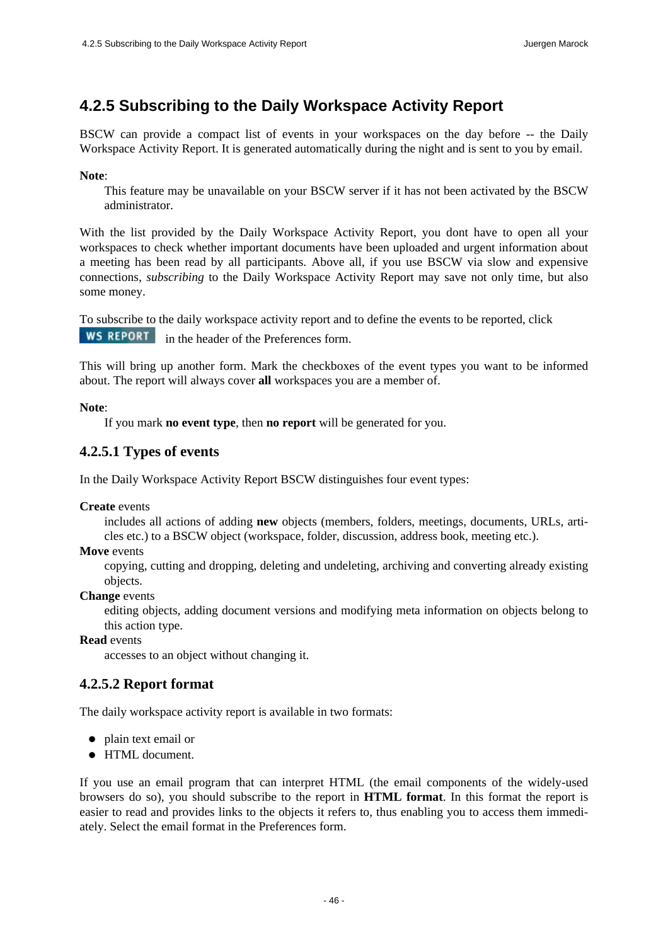## <span id="page-48-0"></span>**4.2.5 Subscribing to the Daily Workspace Activity Report**

BSCW can provide a compact list of events in your workspaces on the day before -- the Daily Workspace Activity Report. It is generated automatically during the night and is sent to you by email.

#### **Note**:

This feature may be unavailable on your BSCW server if it has not been activated by the BSCW administrator.

With the list provided by the Daily Workspace Activity Report, you dont have to open all your workspaces to check whether important documents have been uploaded and urgent information about a meeting has been read by all participants. Above all, if you use BSCW via slow and expensive connections, *subscribing* to the Daily Workspace Activity Report may save not only time, but also some money.

To subscribe to the daily workspace activity report and to define the events to be reported, click **WS REPORT** in the header of the Preferences form.

This will bring up another form. Mark the checkboxes of the event types you want to be informed about. The report will always cover **all** workspaces you are a member of.

#### **Note**:

If you mark **no event type**, then **no report** will be generated for you.

### **4.2.5.1 Types of events**

In the Daily Workspace Activity Report BSCW distinguishes four event types:

#### **Create** events

includes all actions of adding **new** objects (members, folders, meetings, documents, URLs, articles etc.) to a BSCW object (workspace, folder, discussion, address book, meeting etc.).

#### **Move** events

copying, cutting and dropping, deleting and undeleting, archiving and converting already existing objects.

#### **Change** events

editing objects, adding document versions and modifying meta information on objects belong to this action type.

**Read** events

accesses to an object without changing it.

### **4.2.5.2 Report format**

The daily workspace activity report is available in two formats:

- plain text email or
- HTML document.

If you use an email program that can interpret HTML (the email components of the widely-used browsers do so), you should subscribe to the report in **HTML format**. In this format the report is easier to read and provides links to the objects it refers to, thus enabling you to access them immediately. Select the email format in the Preferences form.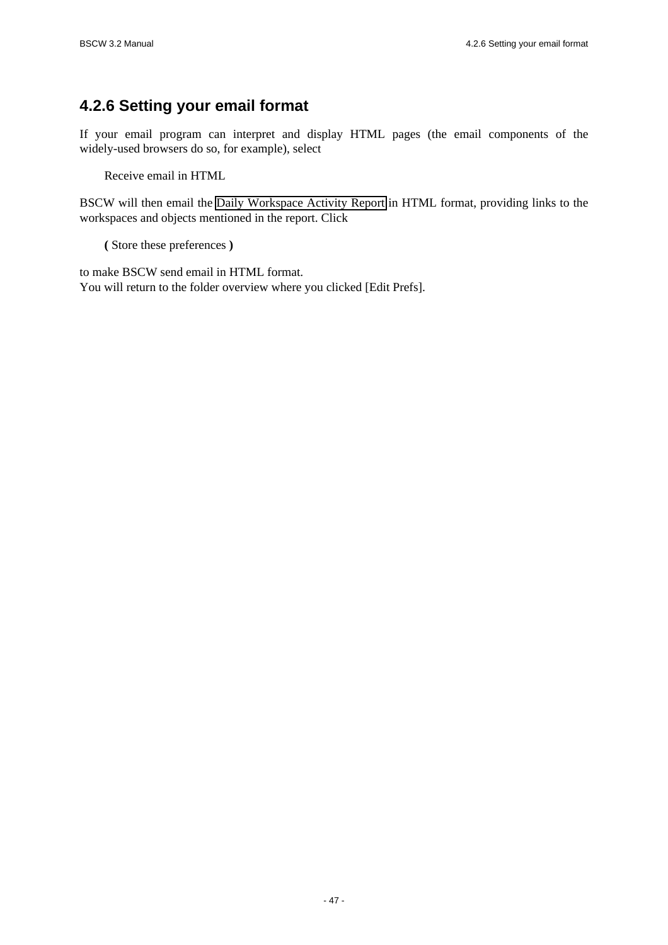## **4.2.6 Setting your email format**

If your email program can interpret and display HTML pages (the email components of the widely-used browsers do so, for example), select

Receive email in HTML

BSCW will then email the [Daily Workspace Activity Report](#page-48-0) in HTML format, providing links to the workspaces and objects mentioned in the report. Click

**(** Store these preferences **)**

to make BSCW send email in HTML format. You will return to the folder overview where you clicked [Edit Prefs].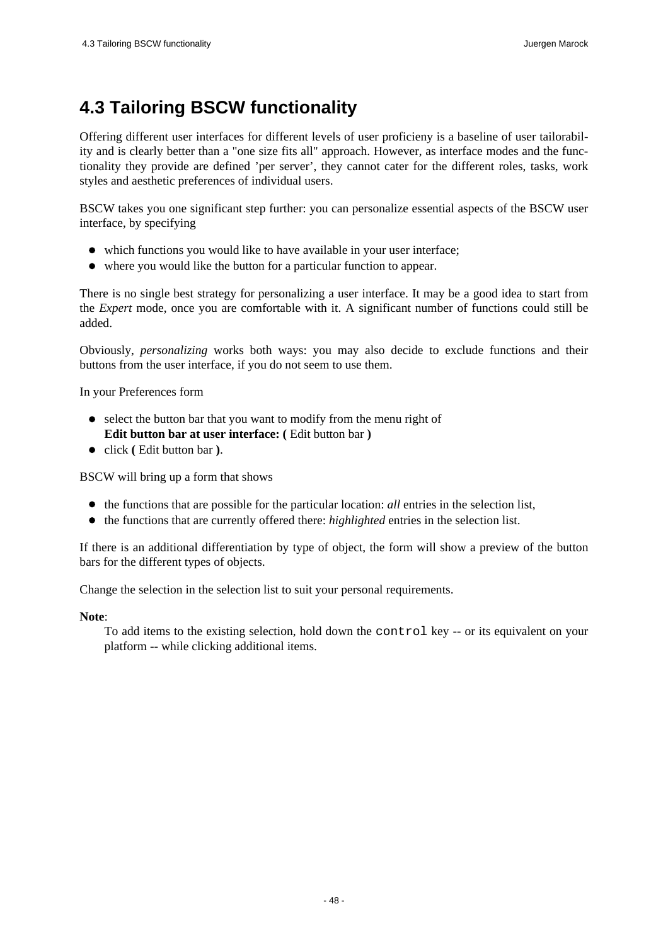# <span id="page-50-0"></span>**4.3 Tailoring BSCW functionality**

Offering different user interfaces for different levels of user proficieny is a baseline of user tailorability and is clearly better than a "one size fits all" approach. However, as interface modes and the functionality they provide are defined 'per server', they cannot cater for the different roles, tasks, work styles and aesthetic preferences of individual users.

BSCW takes you one significant step further: you can personalize essential aspects of the BSCW user interface, by specifying

- which functions you would like to have available in your user interface;
- where you would like the button for a particular function to appear.

There is no single best strategy for personalizing a user interface. It may be a good idea to start from the *Expert* mode, once you are comfortable with it. A significant number of functions could still be added.

Obviously, *personalizing* works both ways: you may also decide to exclude functions and their buttons from the user interface, if you do not seem to use them.

In your Preferences form

- select the button bar that you want to modify from the menu right of **Edit button bar at user interface: (** Edit button bar **)**
- click **(** Edit button bar **)**.

BSCW will bring up a form that shows

- $\bullet$  the functions that are possible for the particular location: *all* entries in the selection list,
- the functions that are currently offered there: *highlighted* entries in the selection list.

If there is an additional differentiation by type of object, the form will show a preview of the button bars for the different types of objects.

Change the selection in the selection list to suit your personal requirements.

**Note**:

To add items to the existing selection, hold down the control key -- or its equivalent on your platform -- while clicking additional items.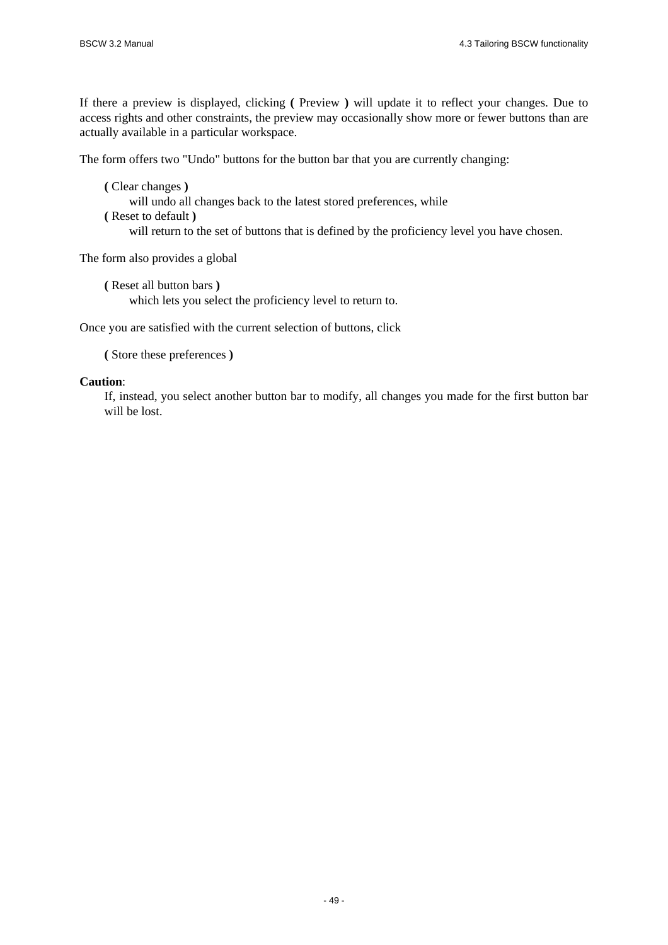If there a preview is displayed, clicking **(** Preview **)** will update it to reflect your changes. Due to access rights and other constraints, the preview may occasionally show more or fewer buttons than are actually available in a particular workspace.

The form offers two "Undo" buttons for the button bar that you are currently changing:

**(** Clear changes **)** will undo all changes back to the latest stored preferences, while **(** Reset to default **)** will return to the set of buttons that is defined by the proficiency level you have chosen.

The form also provides a global

**(** Reset all button bars **)** which lets you select the proficiency level to return to.

Once you are satisfied with the current selection of buttons, click

```
( Store these preferences )
```
### **Caution**:

If, instead, you select another button bar to modify, all changes you made for the first button bar will be lost.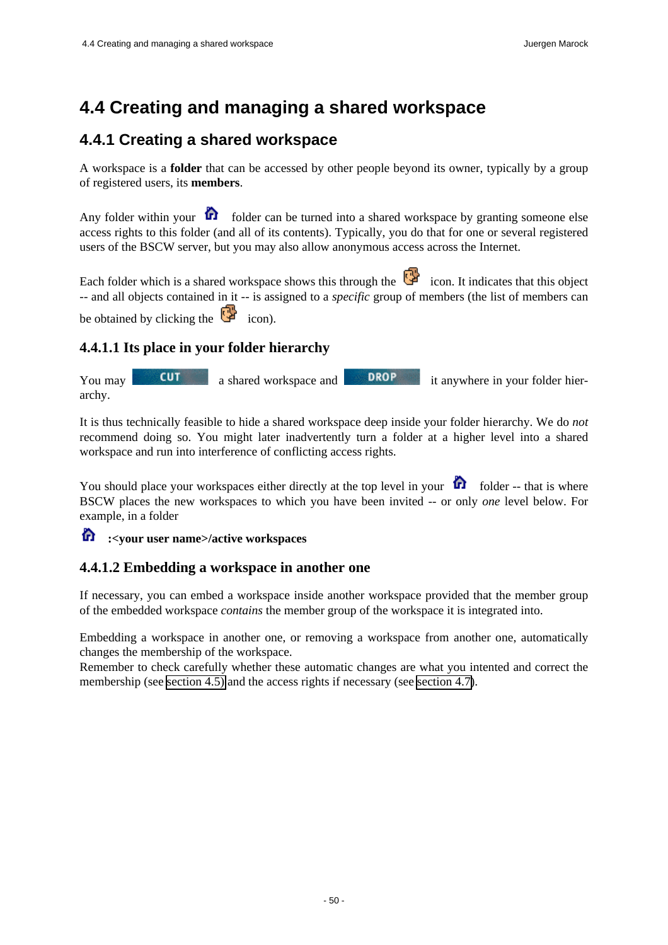# **4.4 Creating and managing a shared workspace**

## **4.4.1 Creating a shared workspace**

A workspace is a **folder** that can be accessed by other people beyond its owner, typically by a group of registered users, its **members**.

Any folder within your  $\mathbf{\Omega}$  folder can be turned into a shared workspace by granting someone else access rights to this folder (and all of its contents). Typically, you do that for one or several registered users of the BSCW server, but you may also allow anonymous access across the Internet.

Each folder which is a shared workspace shows this through the  $\Box$  icon. It indicates that this object -- and all objects contained in it -- is assigned to a *specific* group of members (the list of members can be obtained by clicking the  $\mathbb{G}$  icon).

## **4.4.1.1 Its place in your folder hierarchy**



It is thus technically feasible to hide a shared workspace deep inside your folder hierarchy. We do *not* recommend doing so. You might later inadvertently turn a folder at a higher level into a shared workspace and run into interference of conflicting access rights.

You should place your workspaces either directly at the top level in your  $\bullet$  folder -- that is where BSCW places the new workspaces to which you have been invited -- or only *one* level below. For example, in a folder

#### 价 **:<your user name>/active workspaces**

### **4.4.1.2 Embedding a workspace in another one**

If necessary, you can embed a workspace inside another workspace provided that the member group of the embedded workspace *contains* the member group of the workspace it is integrated into.

Embedding a workspace in another one, or removing a workspace from another one, automatically changes the membership of the workspace.

Remember to check carefully whether these automatic changes are what you intented and correct the membership (see [section 4.5\)](#page-56-0) and the access rights if necessary (see [section 4.7\)](#page-64-0).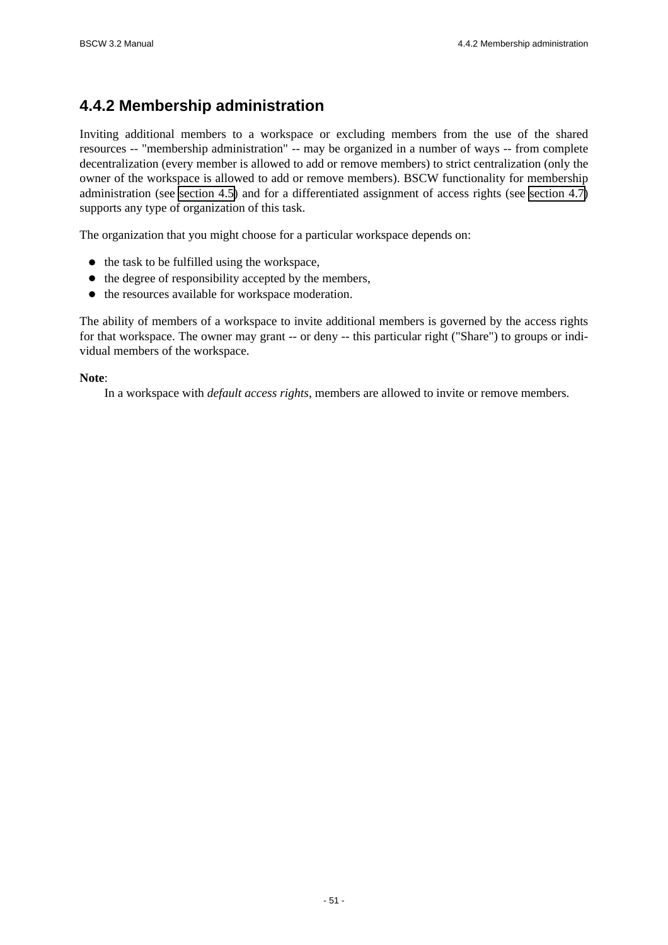# **4.4.2 Membership administration**

Inviting additional members to a workspace or excluding members from the use of the shared resources -- "membership administration" -- may be organized in a number of ways -- from complete decentralization (every member is allowed to add or remove members) to strict centralization (only the owner of the workspace is allowed to add or remove members). BSCW functionality for membership administration (see [section 4.5\)](#page-56-0) and for a differentiated assignment of access rights (see [section 4.7\)](#page-64-0) supports any type of organization of this task.

The organization that you might choose for a particular workspace depends on:

- $\bullet$  the task to be fulfilled using the workspace,
- $\bullet$  the degree of responsibility accepted by the members,
- $\bullet$  the resources available for workspace moderation.

The ability of members of a workspace to invite additional members is governed by the access rights for that workspace. The owner may grant -- or deny -- this particular right ("Share") to groups or individual members of the workspace.

### **Note**:

In a workspace with *default access rights*, members are allowed to invite or remove members.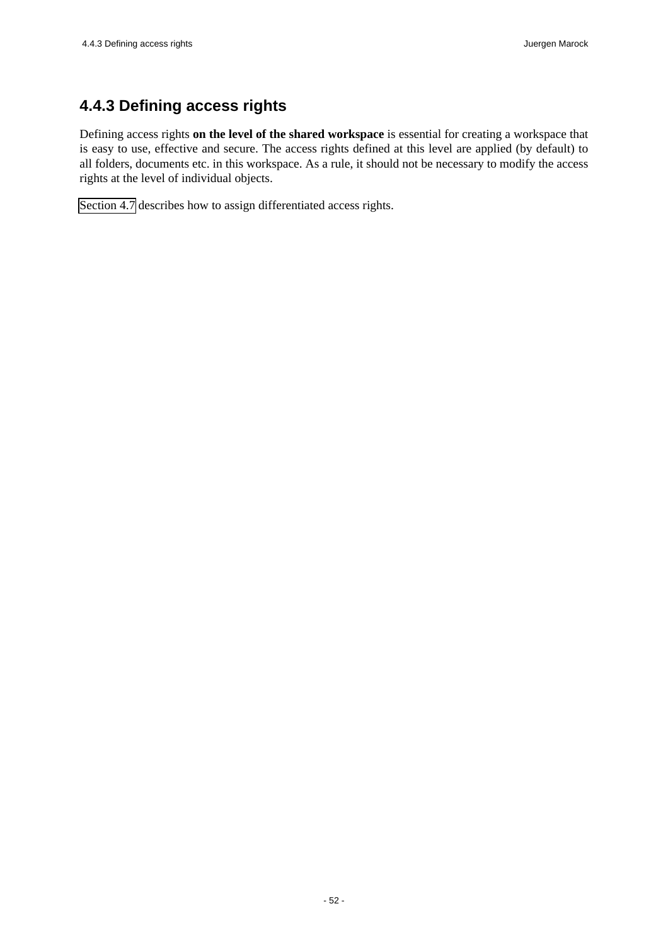# <span id="page-54-0"></span>**4.4.3 Defining access rights**

Defining access rights **on the level of the shared workspace** is essential for creating a workspace that is easy to use, effective and secure. The access rights defined at this level are applied (by default) to all folders, documents etc. in this workspace. As a rule, it should not be necessary to modify the access rights at the level of individual objects.

[Section 4.7](#page-64-0) describes how to assign differentiated access rights.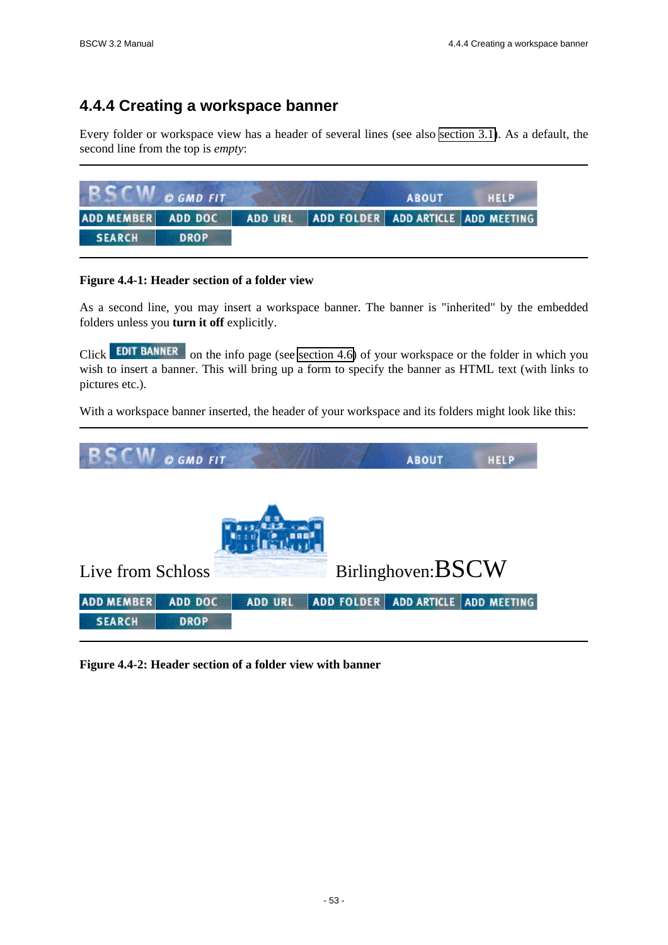# **4.4.4 Creating a workspace banner**

Every folder or workspace view has a header of several lines (see also [section 3.1\)](#page-22-0). As a default, the second line from the top is *empty*:

| <b>BSCW OGMD FIT</b> |             |                |                                    | <b>ABOUT</b> | <b>HELP</b> |
|----------------------|-------------|----------------|------------------------------------|--------------|-------------|
| ADD MEMBER ADD DOC   |             | <b>ADD URL</b> | ADD FOLDER ADD ARTICLE ADD MEETING |              |             |
| <b>SEARCH</b>        | <b>DROP</b> |                |                                    |              |             |

### **Figure 4.4-1: Header section of a folder view**

As a second line, you may insert a workspace banner. The banner is "inherited" by the embedded folders unless you **turn it off** explicitly.

Click **EDIT BANNER** on the info page (see [section 4.6\)](#page-62-0) of your workspace or the folder in which you wish to insert a banner. This will bring up a form to specify the banner as HTML text (with links to pictures etc.).

With a workspace banner inserted, the header of your workspace and its folders might look like this:



**Figure 4.4-2: Header section of a folder view with banner**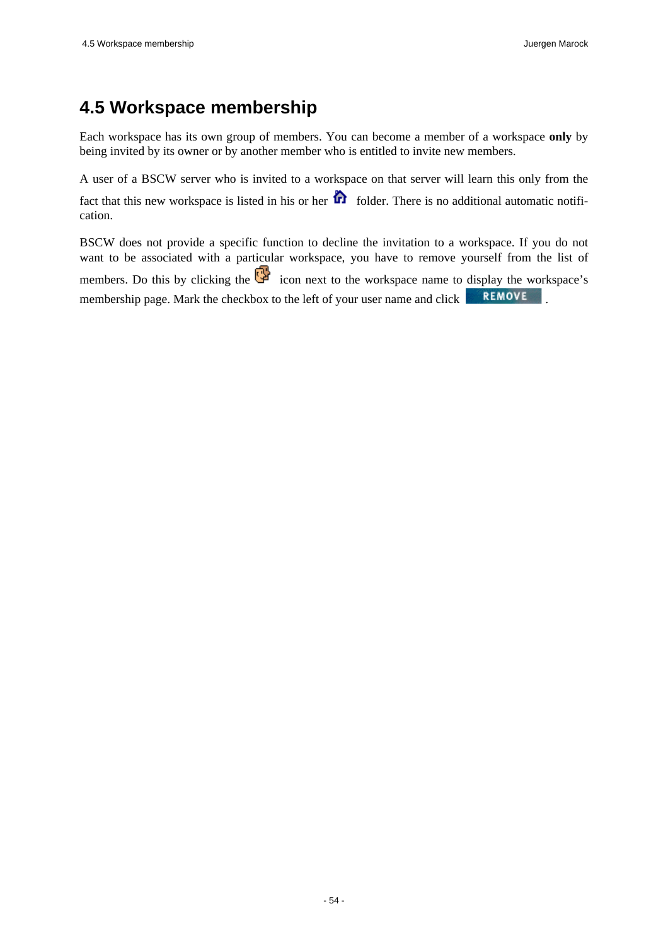# <span id="page-56-0"></span>**4.5 Workspace membership**

Each workspace has its own group of members. You can become a member of a workspace **only** by being invited by its owner or by another member who is entitled to invite new members.

A user of a BSCW server who is invited to a workspace on that server will learn this only from the

fact that this new workspace is listed in his or her  $\bullet$  folder. There is no additional automatic notification.

BSCW does not provide a specific function to decline the invitation to a workspace. If you do not want to be associated with a particular workspace, you have to remove yourself from the list of members. Do this by clicking the  $\mathbb{Q}^{\perp}$  icon next to the workspace name to display the workspace's membership page. Mark the checkbox to the left of your user name and click **REMOVE**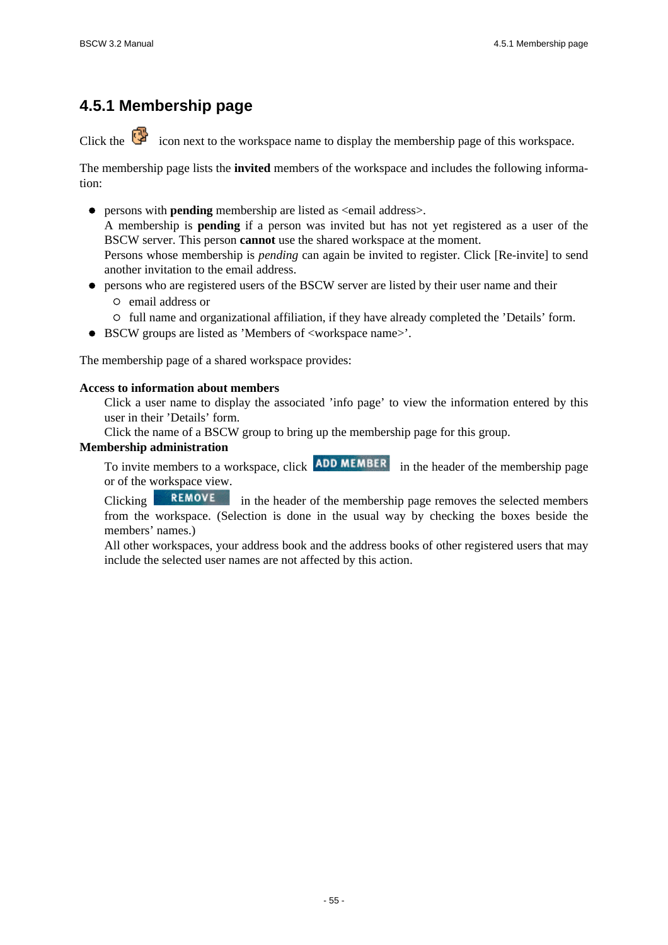## **4.5.1 Membership page**

Click the  $\Box$  icon next to the workspace name to display the membership page of this workspace.

The membership page lists the **invited** members of the workspace and includes the following information:

- **•** persons with **pending** membership are listed as  $\leq$ email address>. A membership is **pending** if a person was invited but has not yet registered as a user of the BSCW server. This person **cannot** use the shared workspace at the moment. Persons whose membership is *pending* can again be invited to register. Click [Re-invite] to send another invitation to the email address.
- persons who are registered users of the BSCW server are listed by their user name and their email address or
	- $\circ$  full name and organizational affiliation, if they have already completed the 'Details' form.
- BSCW groups are listed as 'Members of <workspace name>'.

The membership page of a shared workspace provides:

#### **Access to information about members**

Click a user name to display the associated 'info page' to view the information entered by this user in their 'Details' form.

Click the name of a BSCW group to bring up the membership page for this group.

#### **Membership administration**

To invite members to a workspace, click **ADD MEMBER** in the header of the membership page or of the workspace view.

Clicking **EMOVE** in the header of the membership page removes the selected members from the workspace. (Selection is done in the usual way by checking the boxes beside the members' names.)

All other workspaces, your address book and the address books of other registered users that may include the selected user names are not affected by this action.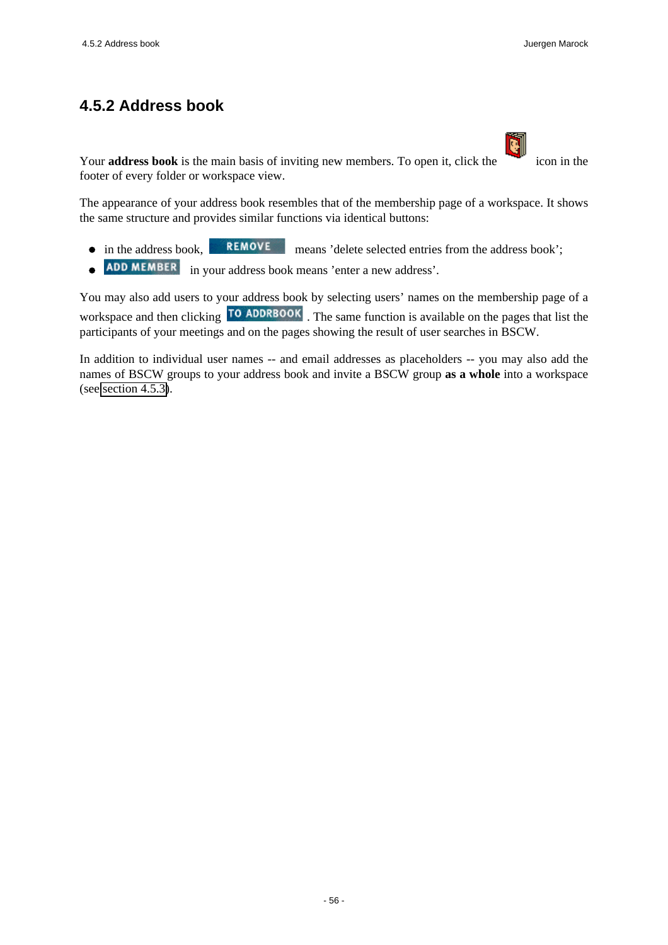## <span id="page-58-0"></span>**4.5.2 Address book**



Your **address book** is the main basis of inviting new members. To open it, click the icon in the footer of every folder or workspace view.

The appearance of your address book resembles that of the membership page of a workspace. It shows the same structure and provides similar functions via identical buttons:

- in the address book, **REMOVE** means 'delete selected entries from the address book';
- ADD MEMBER in your address book means 'enter a new address'.  $\bullet$

You may also add users to your address book by selecting users' names on the membership page of a workspace and then clicking  $\overline{10}$  ADDRBOOK. The same function is available on the pages that list the participants of your meetings and on the pages showing the result of user searches in BSCW.

In addition to individual user names -- and email addresses as placeholders -- you may also add the names of BSCW groups to your address book and invite a BSCW group **as a whole** into a workspace (see [section 4.5.3\)](#page-59-0).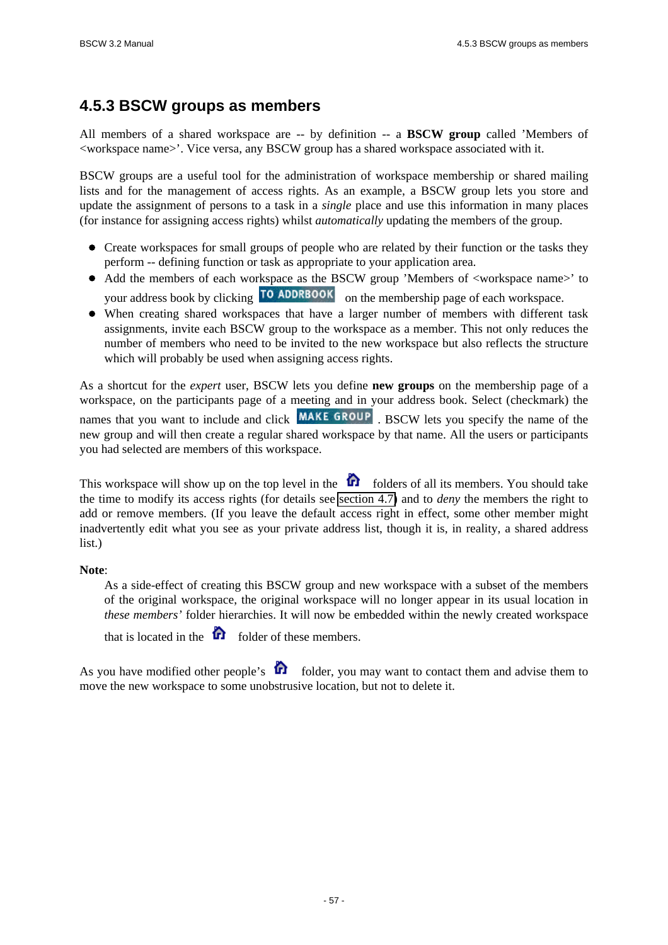## <span id="page-59-0"></span>**4.5.3 BSCW groups as members**

All members of a shared workspace are -- by definition -- a **BSCW group** called 'Members of <workspace name>'. Vice versa, any BSCW group has a shared workspace associated with it.

BSCW groups are a useful tool for the administration of workspace membership or shared mailing lists and for the management of access rights. As an example, a BSCW group lets you store and update the assignment of persons to a task in a *single* place and use this information in many places (for instance for assigning access rights) whilst *automatically* updating the members of the group.

- Create workspaces for small groups of people who are related by their function or the tasks they perform -- defining function or task as appropriate to your application area.
- Add the members of each workspace as the BSCW group 'Members of <workspace name>' to your address book by clicking **TO ADDRBOOK** on the membership page of each workspace.
- When creating shared workspaces that have a larger number of members with different task assignments, invite each BSCW group to the workspace as a member. This not only reduces the number of members who need to be invited to the new workspace but also reflects the structure which will probably be used when assigning access rights.

As a shortcut for the *expert* user, BSCW lets you define **new groups** on the membership page of a workspace, on the participants page of a meeting and in your address book. Select (checkmark) the names that you want to include and click **MAKE GROUP**. BSCW lets you specify the name of the new group and will then create a regular shared workspace by that name. All the users or participants you had selected are members of this workspace.

This workspace will show up on the top level in the  $\bullet$  folders of all its members. You should take the time to modify its access rights (for details see [section 4.7\)](#page-64-0) and to *deny* the members the right to add or remove members. (If you leave the default access right in effect, some other member might inadvertently edit what you see as your private address list, though it is, in reality, a shared address list.)

### **Note**:

As a side-effect of creating this BSCW group and new workspace with a subset of the members of the original workspace, the original workspace will no longer appear in its usual location in *these members'* folder hierarchies. It will now be embedded within the newly created workspace

that is located in the  $\bullet$  folder of these members.

As you have modified other people's  $\bullet$  folder, you may want to contact them and advise them to move the new workspace to some unobstrusive location, but not to delete it.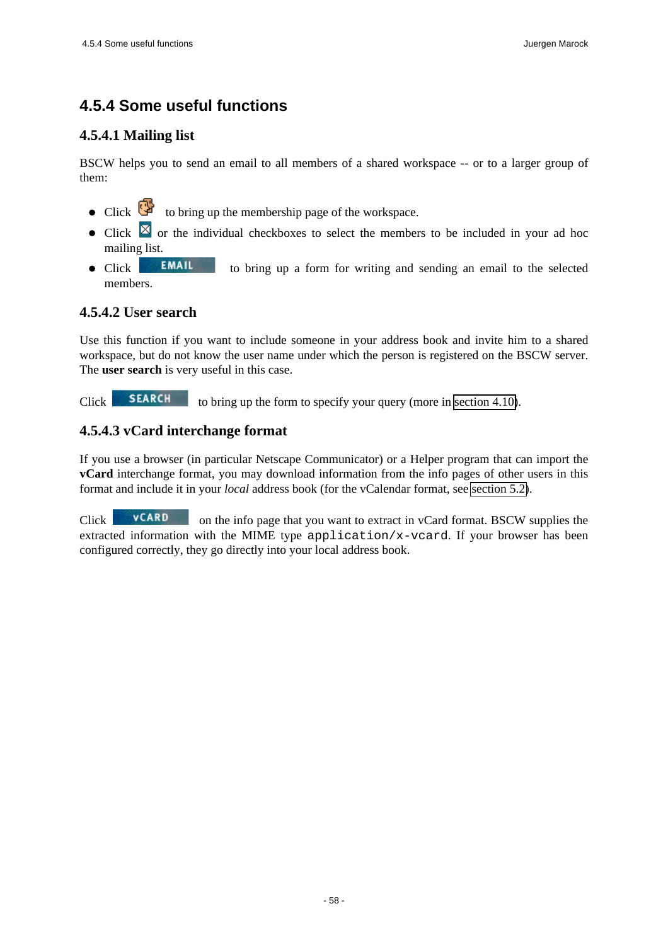## **4.5.4 Some useful functions**

## **4.5.4.1 Mailing list**

BSCW helps you to send an email to all members of a shared workspace -- or to a larger group of them:

- $\bullet$  Click  $\bullet$  to bring up the membership page of the workspace.
- $\bullet$  Click  $\boxtimes$  or the individual checkboxes to select the members to be included in your ad hoc mailing list.
- Click **EMAIL** to bring up a form for writing and sending an email to the selected members.

## **4.5.4.2 User search**

Use this function if you want to include someone in your address book and invite him to a shared workspace, but do not know the user name under which the person is registered on the BSCW server. The **user search** is very useful in this case.

Click **SEARCH** to bring up the form to specify your query (more in [section 4.10\)](#page-80-0).

## **4.5.4.3 vCard interchange format**

If you use a browser (in particular Netscape Communicator) or a Helper program that can import the **vCard** interchange format, you may download information from the info pages of other users in this format and include it in your *local* address book (for the vCalendar format, see [section 5.2\)](#page-96-0).

Click **CLICK CLICK** on the info page that you want to extract in vCard format. BSCW supplies the extracted information with the MIME type application/ $x$ -vcard. If your browser has been configured correctly, they go directly into your local address book.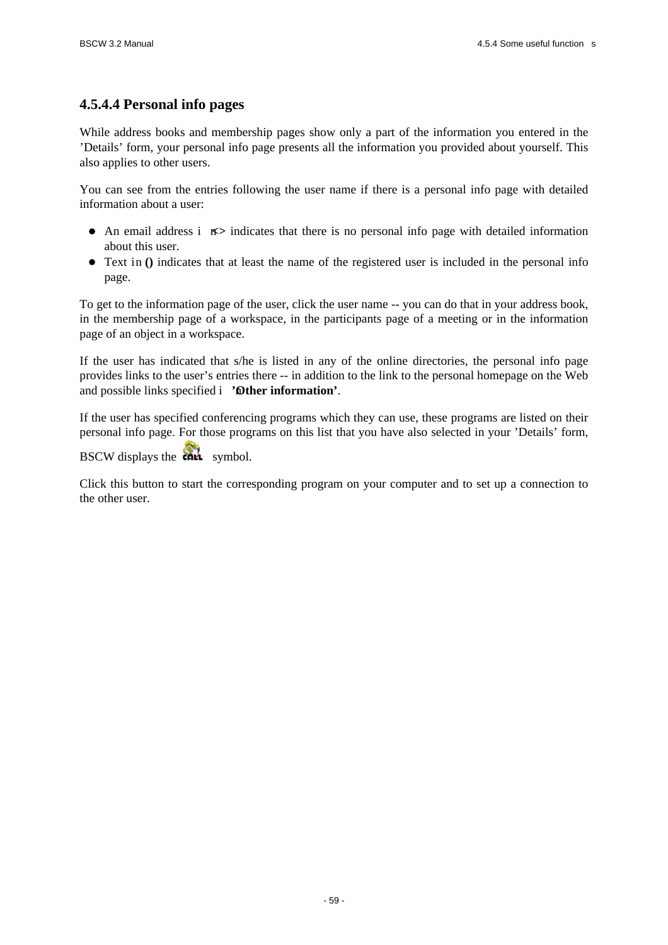### **4.5.4.4 Personal info pages**

While address books and membership pages show only a part of the information you entered in the 'Details' form, your personal info page presents all the information you provided about yourself. This also applies to other users.

You can see from the entries following the user name if there is a personal info page with detailed information about a user:

- An email address i  $\kappa$  indicates that there is no personal info page with detailed information about this user.
- Text in **()** indicates that at least the name of the registered user is included in the personal info page.

To get to the information page of the user, click the user name -- you can do that in your address book, in the membership page of a workspace, in the participants page of a meeting or in the information page of an object in a workspace.

If the user has indicated that s/he is listed in any of the online directories, the personal info page provides links to the user's entries there -- in addition to the link to the personal homepage on the Web and possible links specified i **'Other information'**.

If the user has specified conferencing programs which they can use, these programs are listed on their personal info page. For those programs on this list that you have also selected in your 'Details' form,

BSCW displays the car symbol.

Click this button to start the corresponding program on your computer and to set up a connection to the other user.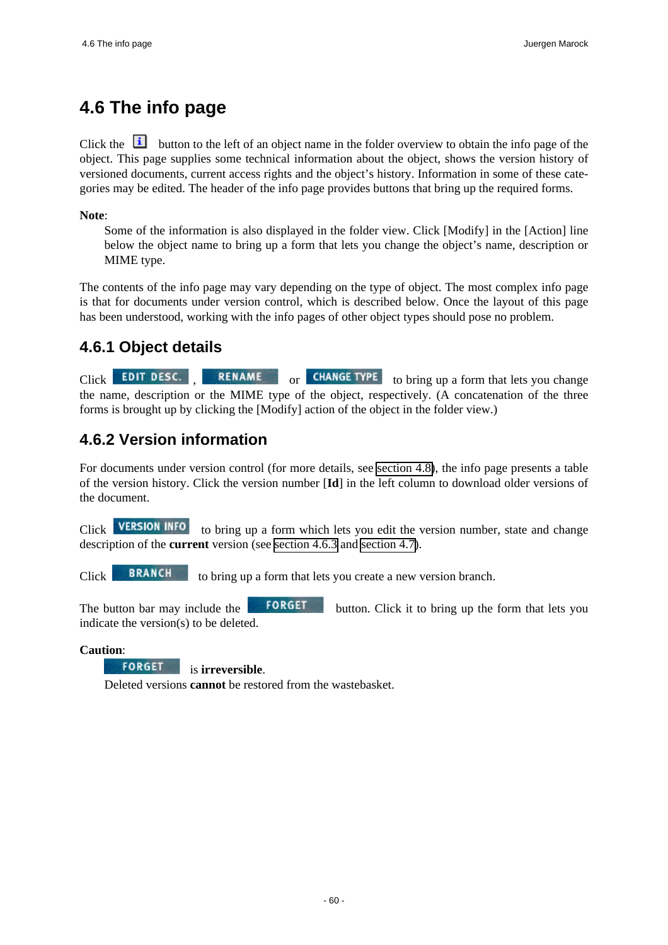# <span id="page-62-0"></span>**4.6 The info page**

Click the **i** button to the left of an object name in the folder overview to obtain the info page of the object. This page supplies some technical information about the object, shows the version history of versioned documents, current access rights and the object's history. Information in some of these categories may be edited. The header of the info page provides buttons that bring up the required forms.

**Note**:

Some of the information is also displayed in the folder view. Click [Modify] in the [Action] line below the object name to bring up a form that lets you change the object's name, description or MIME type.

The contents of the info page may vary depending on the type of object. The most complex info page is that for documents under version control, which is described below. Once the layout of this page has been understood, working with the info pages of other object types should pose no problem.

## **4.6.1 Object details**

Click **EDIT DESC.** RENAME or **CHANGE TYPE** to bring up a form that lets you change the name, description or the MIME type of the object, respectively. (A concatenation of the three forms is brought up by clicking the [Modify] action of the object in the folder view.)

## **4.6.2 Version information**

For documents under version control (for more details, see [section 4.8\)](#page-72-0), the info page presents a table of the version history. Click the version number [**Id**] in the left column to download older versions of the document.

Click **VERSION INFO** to bring up a form which lets you edit the version number, state and change description of the **current** version (see [section 4.6.3](#page-54-0) and [section 4.7\)](#page-64-0).

Click **BRANCH** to bring up a form that lets you create a new version branch.

The button bar may include the **FORGET** button. Click it to bring up the form that lets you indicate the version(s) to be deleted.

### **Caution**:

## **FORGET** is **irreversible**.

Deleted versions **cannot** be restored from the wastebasket.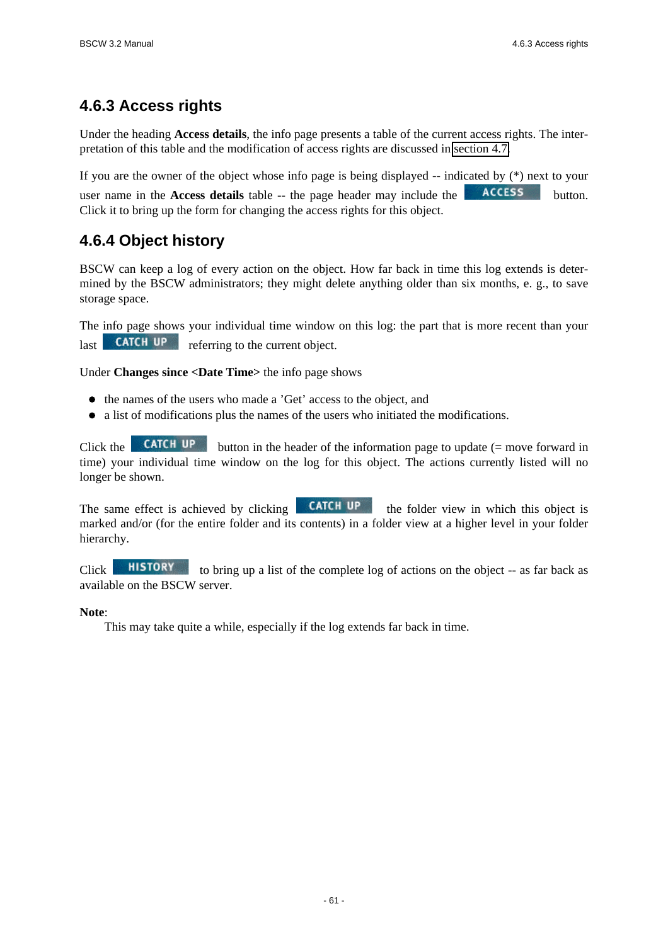# **4.6.3 Access rights**

Under the heading **Access details**, the info page presents a table of the current access rights. The interpretation of this table and the modification of access rights are discussed in [section 4.7.](#page-64-0)

If you are the owner of the object whose info page is being displayed -- indicated by (\*) next to your user name in the **Access details** table -- the page header may include the **ACCESS** button. Click it to bring up the form for changing the access rights for this object.

## **4.6.4 Object history**

BSCW can keep a log of every action on the object. How far back in time this log extends is determined by the BSCW administrators; they might delete anything older than six months, e. g., to save storage space.

The info page shows your individual time window on this log: the part that is more recent than your  $\text{last}$  **CATCH UP** referring to the current object.

Under **Changes since <Date Time>** the info page shows

- the names of the users who made a 'Get' access to the object, and
- a list of modifications plus the names of the users who initiated the modifications.

Click the **CATCH UP** button in the header of the information page to update  $(= \text{move forward in})$ time) your individual time window on the log for this object. The actions currently listed will no longer be shown.

The same effect is achieved by clicking **CATCH UP** the folder view in which this object is marked and/or (for the entire folder and its contents) in a folder view at a higher level in your folder hierarchy.

Click **HISTORY** to bring up a list of the complete log of actions on the object -- as far back as available on the BSCW server.

### **Note**:

This may take quite a while, especially if the log extends far back in time.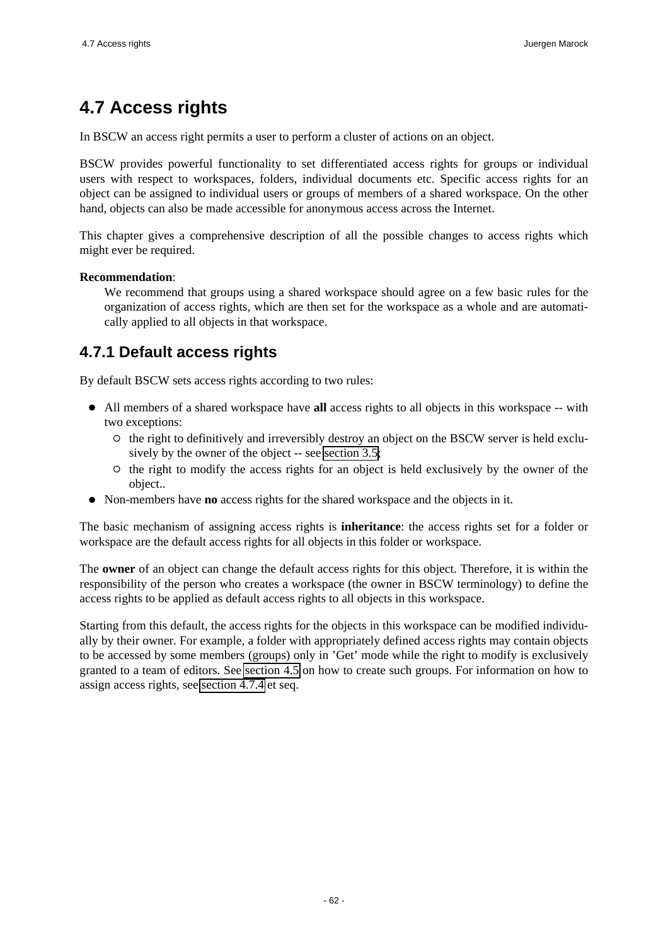# <span id="page-64-0"></span>**4.7 Access rights**

In BSCW an access right permits a user to perform a cluster of actions on an object.

BSCW provides powerful functionality to set differentiated access rights for groups or individual users with respect to workspaces, folders, individual documents etc. Specific access rights for an object can be assigned to individual users or groups of members of a shared workspace. On the other hand, objects can also be made accessible for anonymous access across the Internet.

This chapter gives a comprehensive description of all the possible changes to access rights which might ever be required.

### **Recommendation**:

We recommend that groups using a shared workspace should agree on a few basic rules for the organization of access rights, which are then set for the workspace as a whole and are automatically applied to all objects in that workspace.

# **4.7.1 Default access rights**

By default BSCW sets access rights according to two rules:

- All members of a shared workspace have **all** access rights to all objects in this workspace -- with two exceptions:
	- $\circ$  the right to definitively and irreversibly destroy an object on the BSCW server is held exclusively by the owner of the object -- see [section 3.5;](#page-38-0)
	- $\circ$  the right to modify the access rights for an object is held exclusively by the owner of the object..
- Non-members have **no** access rights for the shared workspace and the objects in it.

The basic mechanism of assigning access rights is **inheritance**: the access rights set for a folder or workspace are the default access rights for all objects in this folder or workspace.

The **owner** of an object can change the default access rights for this object. Therefore, it is within the responsibility of the person who creates a workspace (the owner in BSCW terminology) to define the access rights to be applied as default access rights to all objects in this workspace.

Starting from this default, the access rights for the objects in this workspace can be modified individually by their owner. For example, a folder with appropriately defined access rights may contain objects to be accessed by some members (groups) only in 'Get' mode while the right to modify is exclusively granted to a team of editors. See [section 4.5](#page-59-0) on how to create such groups. For information on how to assign access rights, see [section 4.7.4](#page-67-0) et seq.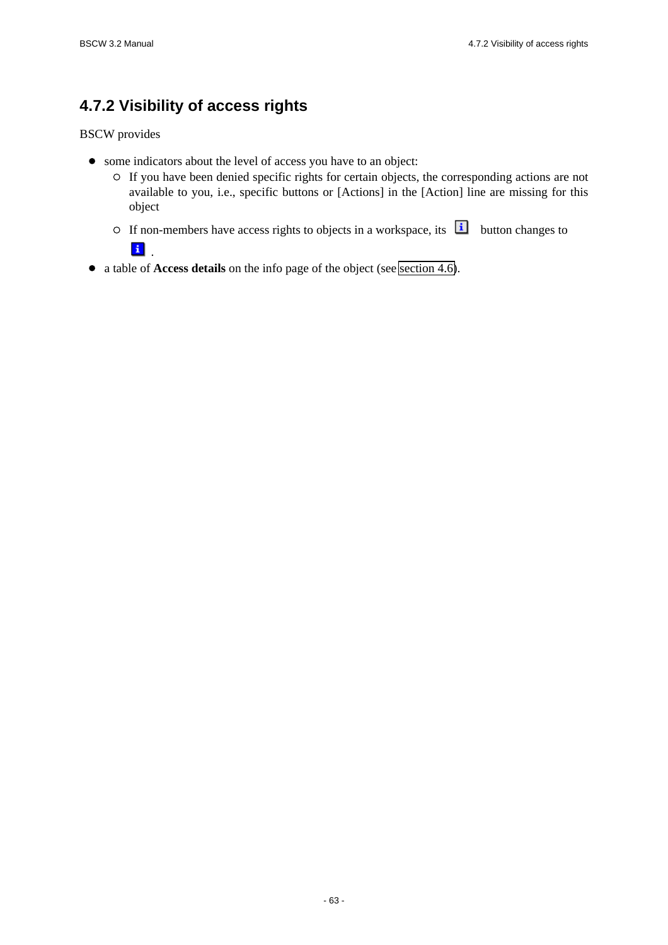# **4.7.2 Visibility of access rights**

BSCW provides

- some indicators about the level of access you have to an object:
	- If you have been denied specific rights for certain objects, the corresponding actions are not available to you, i.e., specific buttons or [Actions] in the [Action] line are missing for this object
	- If non-members have access rights to objects in a workspace, its **i** button changes to .
- a table of **Access details** on the info page of the object (see [section 4.6\)](#page-62-0).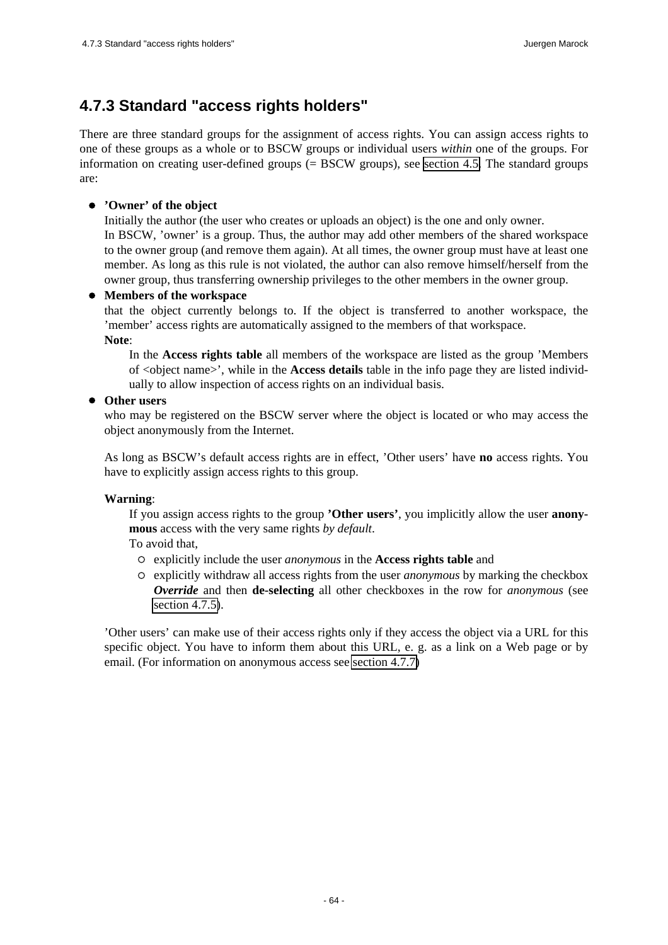## <span id="page-66-0"></span>**4.7.3 Standard "access rights holders"**

There are three standard groups for the assignment of access rights. You can assign access rights to one of these groups as a whole or to BSCW groups or individual users *within* one of the groups. For information on creating user-defined groups (= BSCW groups), see [section 4.5.](#page-59-0) The standard groups are:

### **'Owner' of the object**

Initially the author (the user who creates or uploads an object) is the one and only owner.

In BSCW, 'owner' is a group. Thus, the author may add other members of the shared workspace to the owner group (and remove them again). At all times, the owner group must have at least one member. As long as this rule is not violated, the author can also remove himself/herself from the owner group, thus transferring ownership privileges to the other members in the owner group.

### **Members of the workspace**

that the object currently belongs to. If the object is transferred to another workspace, the 'member' access rights are automatically assigned to the members of that workspace. **Note**:

In the **Access rights table** all members of the workspace are listed as the group 'Members of <object name>', while in the **Access details** table in the info page they are listed individually to allow inspection of access rights on an individual basis.

### **Other users**

who may be registered on the BSCW server where the object is located or who may access the object anonymously from the Internet.

As long as BSCW's default access rights are in effect, 'Other users' have **no** access rights. You have to explicitly assign access rights to this group.

### **Warning**:

If you assign access rights to the group **'Other users'**, you implicitly allow the user **anonymous** access with the very same rights *by default*.

To avoid that,

- explicitly include the user *anonymous* in the **Access rights table** and
- explicitly withdraw all access rights from the user *anonymous* by marking the checkbox *Override* and then **de-selecting** all other checkboxes in the row for *anonymous* (see [section 4.7.5\)](#page-68-0).

'Other users' can make use of their access rights only if they access the object via a URL for this specific object. You have to inform them about this URL, e. g. as a link on a Web page or by email. (For information on anonymous access see [section 4.7.7\)](#page-71-0)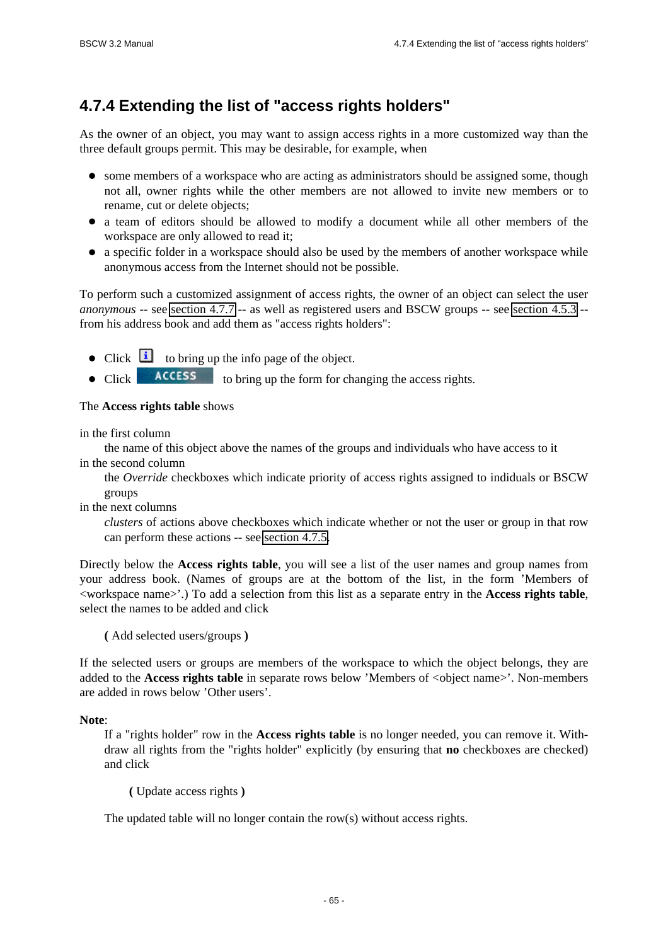## <span id="page-67-0"></span>**4.7.4 Extending the list of "access rights holders"**

As the owner of an object, you may want to assign access rights in a more customized way than the three default groups permit. This may be desirable, for example, when

- some members of a workspace who are acting as administrators should be assigned some, though not all, owner rights while the other members are not allowed to invite new members or to rename, cut or delete objects;
- a team of editors should be allowed to modify a document while all other members of the workspace are only allowed to read it;
- a specific folder in a workspace should also be used by the members of another workspace while anonymous access from the Internet should not be possible.

To perform such a customized assignment of access rights, the owner of an object can select the user *anonymous* -- see [section 4.7.7](#page-71-0) -- as well as registered users and BSCW groups -- see [section 4.5.3](#page-59-0) - from his address book and add them as "access rights holders":

- Click  $\bullet$  to bring up the info page of the object.
- Click **ACCESS** to bring up the form for changing the access rights.

### The **Access rights table** shows

in the first column

the name of this object above the names of the groups and individuals who have access to it

in the second column

the *Override* checkboxes which indicate priority of access rights assigned to indiduals or BSCW groups

in the next columns

*clusters* of actions above checkboxes which indicate whether or not the user or group in that row can perform these actions -- see [section 4.7.5.](#page-68-0)

Directly below the **Access rights table**, you will see a list of the user names and group names from your address book. (Names of groups are at the bottom of the list, in the form 'Members of <workspace name>'.) To add a selection from this list as a separate entry in the **Access rights table**, select the names to be added and click

**(** Add selected users/groups **)**

If the selected users or groups are members of the workspace to which the object belongs, they are added to the **Access rights table** in separate rows below 'Members of <object name>'. Non-members are added in rows below 'Other users'.

### **Note**:

If a "rights holder" row in the **Access rights table** is no longer needed, you can remove it. Withdraw all rights from the "rights holder" explicitly (by ensuring that **no** checkboxes are checked) and click

**(** Update access rights **)**

The updated table will no longer contain the row(s) without access rights.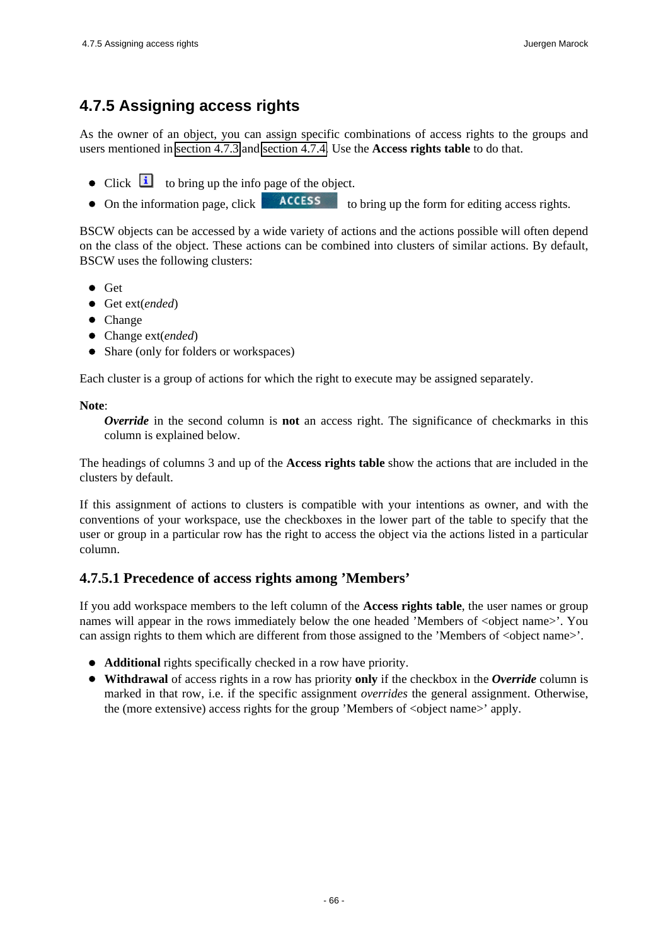# <span id="page-68-0"></span>**4.7.5 Assigning access rights**

As the owner of an object, you can assign specific combinations of access rights to the groups and users mentioned in [section 4.7.3](#page-66-0) and [section 4.7.4.](#page-67-0) Use the **Access rights table** to do that.

- Click  $\begin{array}{c} \hline \bullet \end{array}$  to bring up the info page of the object.
- On the information page, click **ACCESS** to bring up the form for editing access rights.

BSCW objects can be accessed by a wide variety of actions and the actions possible will often depend on the class of the object. These actions can be combined into clusters of similar actions. By default, BSCW uses the following clusters:

- $\bullet$  Get
- Get ext(*ended*)
- Change
- Change ext(*ended*)
- Share (only for folders or workspaces)

Each cluster is a group of actions for which the right to execute may be assigned separately.

**Note**:

*Override* in the second column is **not** an access right. The significance of checkmarks in this column is explained below.

The headings of columns 3 and up of the **Access rights table** show the actions that are included in the clusters by default.

If this assignment of actions to clusters is compatible with your intentions as owner, and with the conventions of your workspace, use the checkboxes in the lower part of the table to specify that the user or group in a particular row has the right to access the object via the actions listed in a particular column.

## **4.7.5.1 Precedence of access rights among 'Members'**

If you add workspace members to the left column of the **Access rights table**, the user names or group names will appear in the rows immediately below the one headed 'Members of  $\leq$  object name $\geq$ '. You can assign rights to them which are different from those assigned to the 'Members of  $\leq$ object name>'.

- **Additional** rights specifically checked in a row have priority.
- **Withdrawal** of access rights in a row has priority **only** if the checkbox in the *Override* column is marked in that row, i.e. if the specific assignment *overrides* the general assignment. Otherwise, the (more extensive) access rights for the group 'Members of  $\langle$ object name>' apply.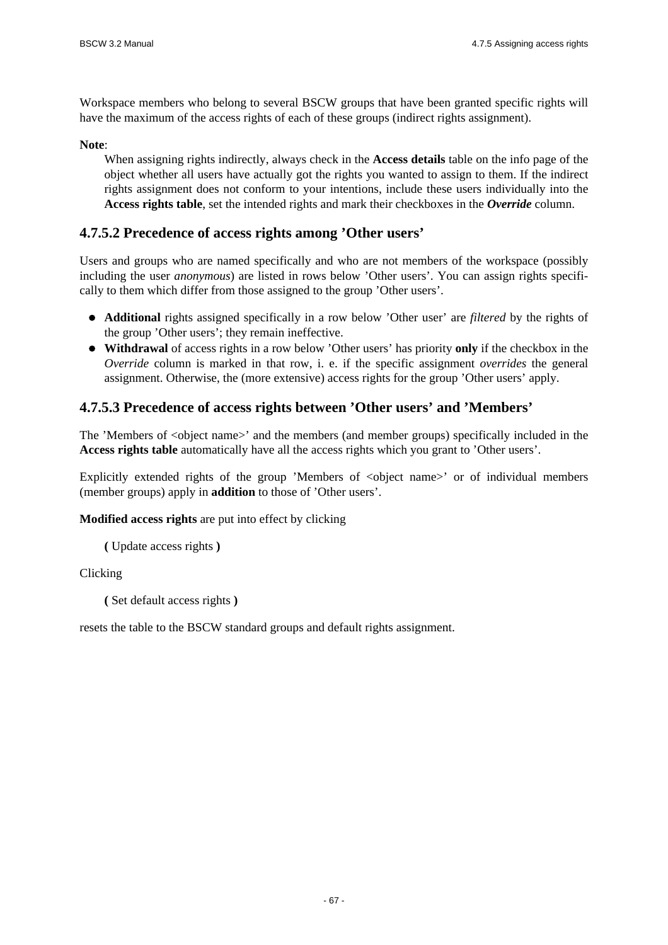Workspace members who belong to several BSCW groups that have been granted specific rights will have the maximum of the access rights of each of these groups (indirect rights assignment).

### **Note**:

When assigning rights indirectly, always check in the **Access details** table on the info page of the object whether all users have actually got the rights you wanted to assign to them. If the indirect rights assignment does not conform to your intentions, include these users individually into the **Access rights table**, set the intended rights and mark their checkboxes in the *Override* column.

### **4.7.5.2 Precedence of access rights among 'Other users'**

Users and groups who are named specifically and who are not members of the workspace (possibly including the user *anonymous*) are listed in rows below 'Other users'. You can assign rights specifically to them which differ from those assigned to the group 'Other users'.

- **Additional** rights assigned specifically in a row below 'Other user' are *filtered* by the rights of the group 'Other users'; they remain ineffective.
- **Withdrawal** of access rights in a row below 'Other users' has priority **only** if the checkbox in the *Override* column is marked in that row, i. e. if the specific assignment *overrides* the general assignment. Otherwise, the (more extensive) access rights for the group 'Other users' apply.

### **4.7.5.3 Precedence of access rights between 'Other users' and 'Members'**

The 'Members of  $\langle$ object name $\rangle$ ' and the members (and member groups) specifically included in the **Access rights table** automatically have all the access rights which you grant to 'Other users'.

Explicitly extended rights of the group 'Members of <object name>' or of individual members (member groups) apply in **addition** to those of 'Other users'.

**Modified access rights** are put into effect by clicking

**(** Update access rights **)**

### Clicking

**(** Set default access rights **)**

resets the table to the BSCW standard groups and default rights assignment.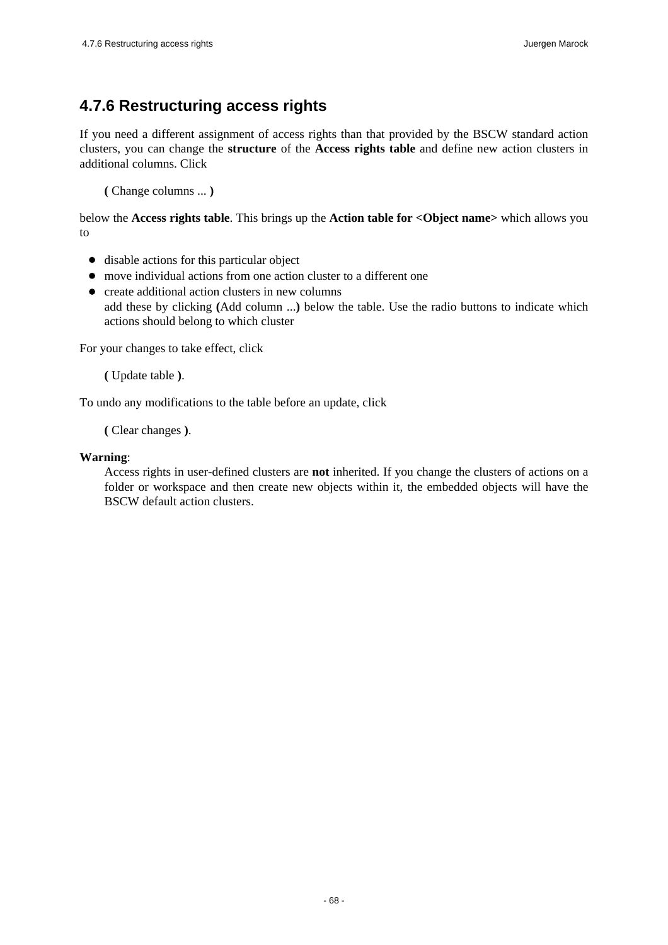## **4.7.6 Restructuring access rights**

If you need a different assignment of access rights than that provided by the BSCW standard action clusters, you can change the **structure** of the **Access rights table** and define new action clusters in additional columns. Click

**(** Change columns ... **)**

below the **Access rights table**. This brings up the **Action table for <Object name>** which allows you to

- disable actions for this particular object
- move individual actions from one action cluster to a different one
- create additional action clusters in new columns add these by clicking **(**Add column ...**)** below the table. Use the radio buttons to indicate which actions should belong to which cluster

For your changes to take effect, click

**(** Update table **)**.

To undo any modifications to the table before an update, click

**(** Clear changes **)**.

#### **Warning**:

Access rights in user-defined clusters are **not** inherited. If you change the clusters of actions on a folder or workspace and then create new objects within it, the embedded objects will have the BSCW default action clusters.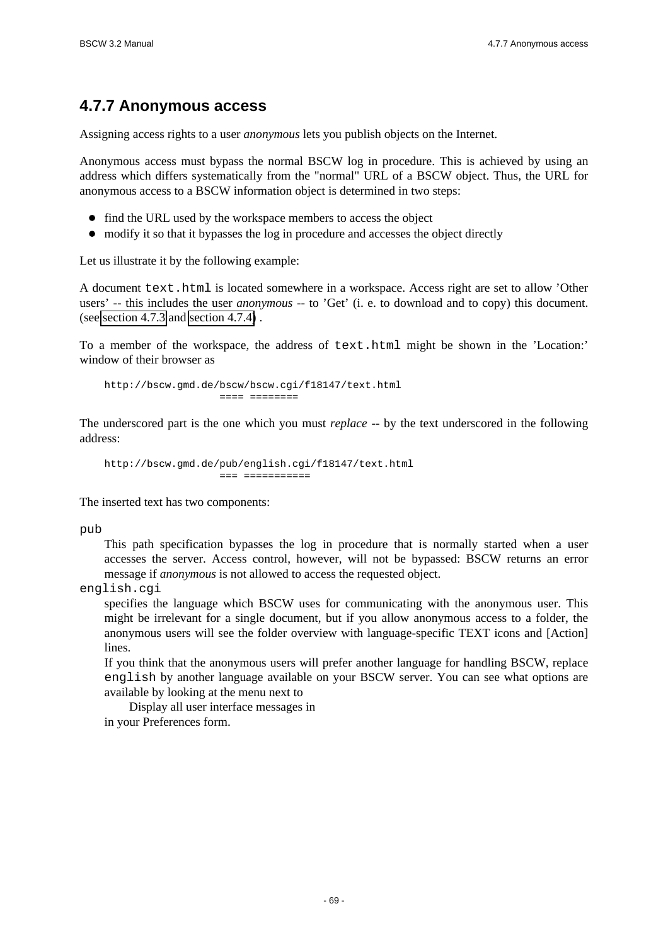## <span id="page-71-0"></span>**4.7.7 Anonymous access**

Assigning access rights to a user *anonymous* lets you publish objects on the Internet.

Anonymous access must bypass the normal BSCW log in procedure. This is achieved by using an address which differs systematically from the "normal" URL of a BSCW object. Thus, the URL for anonymous access to a BSCW information object is determined in two steps:

- find the URL used by the workspace members to access the object
- modify it so that it bypasses the log in procedure and accesses the object directly

Let us illustrate it by the following example:

A document text.html is located somewhere in a workspace. Access right are set to allow 'Other users' -- this includes the user *anonymous* -- to 'Get' (i. e. to download and to copy) this document. (see [section 4.7.3](#page-66-0) and [section 4.7.4\)](#page-67-0) .

To a member of the workspace, the address of text.html might be shown in the 'Location:' window of their browser as

```
http://bscw.gmd.de/bscw/bscw.cgi/f18147/text.html
         ==== ========
```
The underscored part is the one which you must *replace* -- by the text underscored in the following address:

```
http://bscw.gmd.de/pub/english.cgi/f18147/text.html
        === ===========
```
The inserted text has two components:

pub

This path specification bypasses the log in procedure that is normally started when a user accesses the server. Access control, however, will not be bypassed: BSCW returns an error message if *anonymous* is not allowed to access the requested object.

english.cgi

specifies the language which BSCW uses for communicating with the anonymous user. This might be irrelevant for a single document, but if you allow anonymous access to a folder, the anonymous users will see the folder overview with language-specific TEXT icons and [Action] lines.

If you think that the anonymous users will prefer another language for handling BSCW, replace english by another language available on your BSCW server. You can see what options are available by looking at the menu next to

Display all user interface messages in in your Preferences form.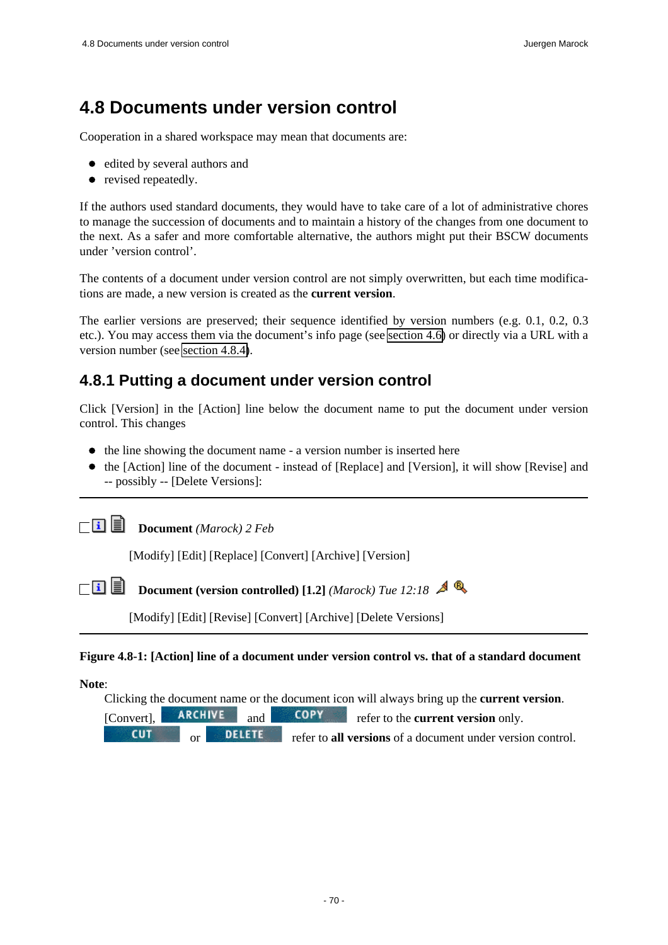# **4.8 Documents under version control**

Cooperation in a shared workspace may mean that documents are:

- edited by several authors and
- revised repeatedly.

If the authors used standard documents, they would have to take care of a lot of administrative chores to manage the succession of documents and to maintain a history of the changes from one document to the next. As a safer and more comfortable alternative, the authors might put their BSCW documents under 'version control'.

The contents of a document under version control are not simply overwritten, but each time modifications are made, a new version is created as the **current version**.

The earlier versions are preserved; their sequence identified by version numbers (e.g. 0.1, 0.2, 0.3 etc.). You may access them via the document's info page (see [section 4.6\)](#page-62-0) or directly via a URL with a version number (see [section 4.8.4\)](#page-74-0).

# **4.8.1 Putting a document under version control**

Click [Version] in the [Action] line below the document name to put the document under version control. This changes

- $\bullet$  the line showing the document name a version number is inserted here
- the [Action] line of the document instead of [Replace] and [Version], it will show [Revise] and -- possibly -- [Delete Versions]:

rn b  **Document** *(Marock) 2 Feb*

[Modify] [Edit] [Replace] [Convert] [Archive] [Version]

 $\Box$  iii **Document (version controlled) [1.2]** *(Marock) Tue 12:18*  $\mathcal{A}$  **Q** 

[Modify] [Edit] [Revise] [Convert] [Archive] [Delete Versions]

### **Figure 4.8-1: [Action] line of a document under version control vs. that of a standard document**

**Note**:

**CUT** 

Clicking the document name or the document icon will always bring up the **current version**.

[Convert], **ARCHIVE** and **COPY** refer to the **current version** only.

**DELETE** refer to **all versions** of a document under version control.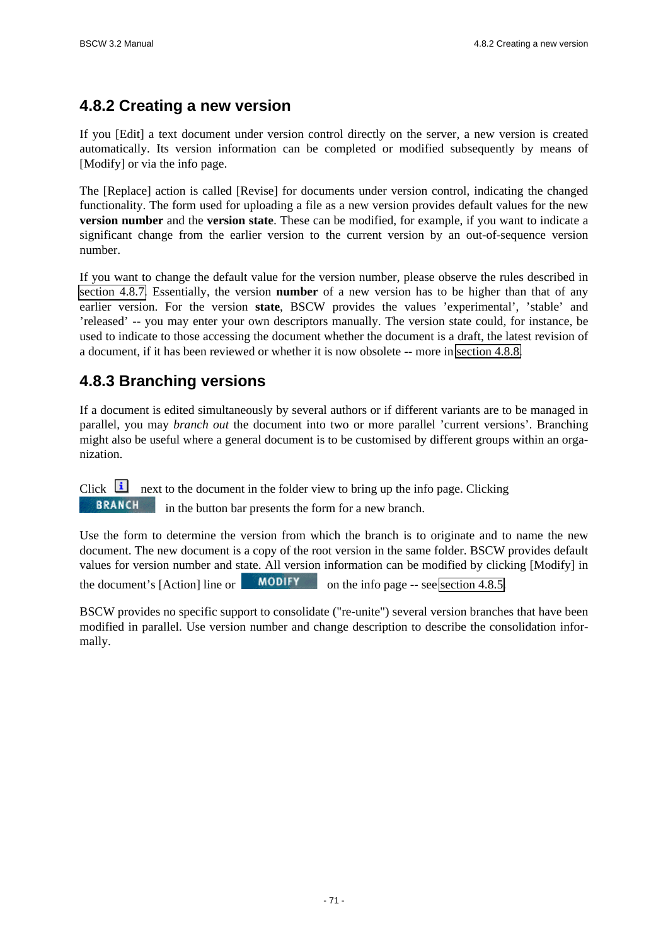# **4.8.2 Creating a new version**

If you [Edit] a text document under version control directly on the server, a new version is created automatically. Its version information can be completed or modified subsequently by means of [Modify] or via the info page.

The [Replace] action is called [Revise] for documents under version control, indicating the changed functionality. The form used for uploading a file as a new version provides default values for the new **version number** and the **version state**. These can be modified, for example, if you want to indicate a significant change from the earlier version to the current version by an out-of-sequence version number.

If you want to change the default value for the version number, please observe the rules described in [section 4.8.7.](#page-76-0) Essentially, the version **number** of a new version has to be higher than that of any earlier version. For the version **state**, BSCW provides the values 'experimental', 'stable' and 'released' -- you may enter your own descriptors manually. The version state could, for instance, be used to indicate to those accessing the document whether the document is a draft, the latest revision of a document, if it has been reviewed or whether it is now obsolete -- more in [section 4.8.8.](#page-76-1)

# <span id="page-73-0"></span>**4.8.3 Branching versions**

If a document is edited simultaneously by several authors or if different variants are to be managed in parallel, you may *branch out* the document into two or more parallel 'current versions'. Branching might also be useful where a general document is to be customised by different groups within an organization.

Click  $\boxed{\mathbf{i}}$  next to the document in the folder view to bring up the info page. Clicking **BRANCH** in the button bar presents the form for a new branch.

Use the form to determine the version from which the branch is to originate and to name the new document. The new document is a copy of the root version in the same folder. BSCW provides default values for version number and state. All version information can be modified by clicking [Modify] in

the document's [Action] line or **MODIFY** on the info page -- see [section 4.8.5.](#page-75-0)

BSCW provides no specific support to consolidate ("re-unite") several version branches that have been modified in parallel. Use version number and change description to describe the consolidation informally.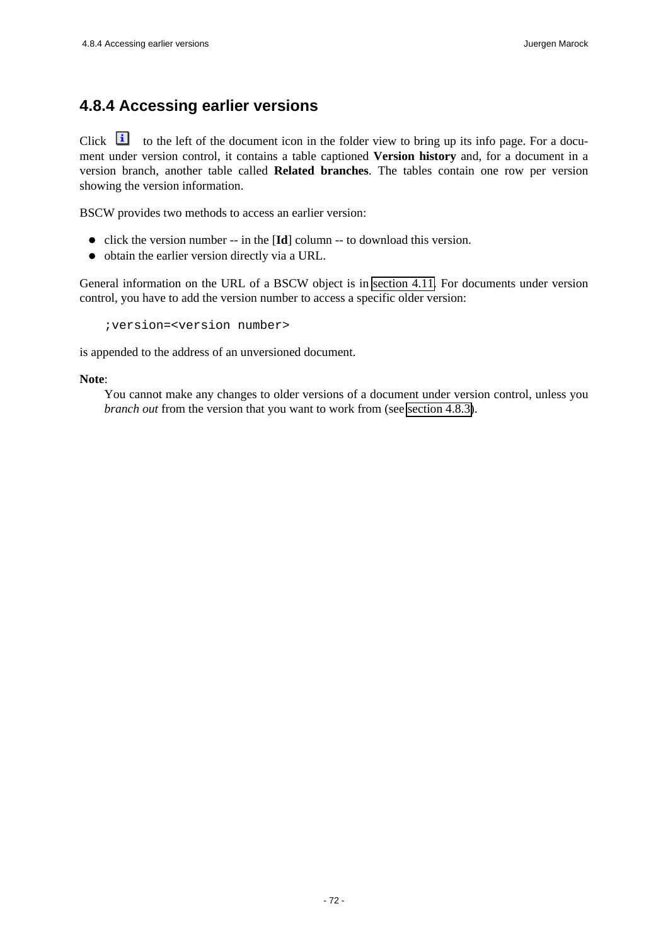# <span id="page-74-0"></span>**4.8.4 Accessing earlier versions**

Click  $\boxed{\bullet}$  to the left of the document icon in the folder view to bring up its info page. For a document under version control, it contains a table captioned **Version history** and, for a document in a version branch, another table called **Related branches**. The tables contain one row per version showing the version information.

BSCW provides two methods to access an earlier version:

- click the version number -- in the [**Id**] column -- to download this version.
- obtain the earlier version directly via a URL.

General information on the URL of a BSCW object is in [section 4.11.](#page-84-0) For documents under version control, you have to add the version number to access a specific older version:

;version=<version number>

is appended to the address of an unversioned document.

#### **Note**:

You cannot make any changes to older versions of a document under version control, unless you *branch out* from the version that you want to work from (see [section 4.8.3\)](#page-73-0).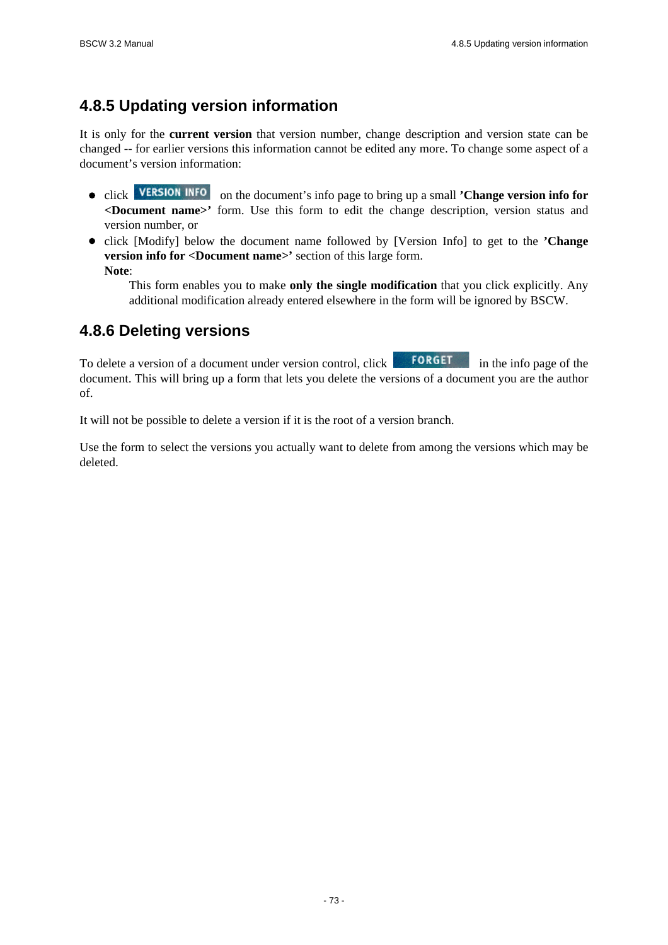# <span id="page-75-0"></span>**4.8.5 Updating version information**

It is only for the **current version** that version number, change description and version state can be changed -- for earlier versions this information cannot be edited any more. To change some aspect of a document's version information:

- click **VERSION INFO** on the document's info page to bring up a small **'Change version info for <Document name>'** form. Use this form to edit the change description, version status and version number, or
- click [Modify] below the document name followed by [Version Info] to get to the **'Change version info for <Document name>'** section of this large form. **Note**:

This form enables you to make **only the single modification** that you click explicitly. Any additional modification already entered elsewhere in the form will be ignored by BSCW.

# **4.8.6 Deleting versions**

To delete a version of a document under version control, click **FORGET** in the info page of the document. This will bring up a form that lets you delete the versions of a document you are the author of.

It will not be possible to delete a version if it is the root of a version branch.

Use the form to select the versions you actually want to delete from among the versions which may be deleted.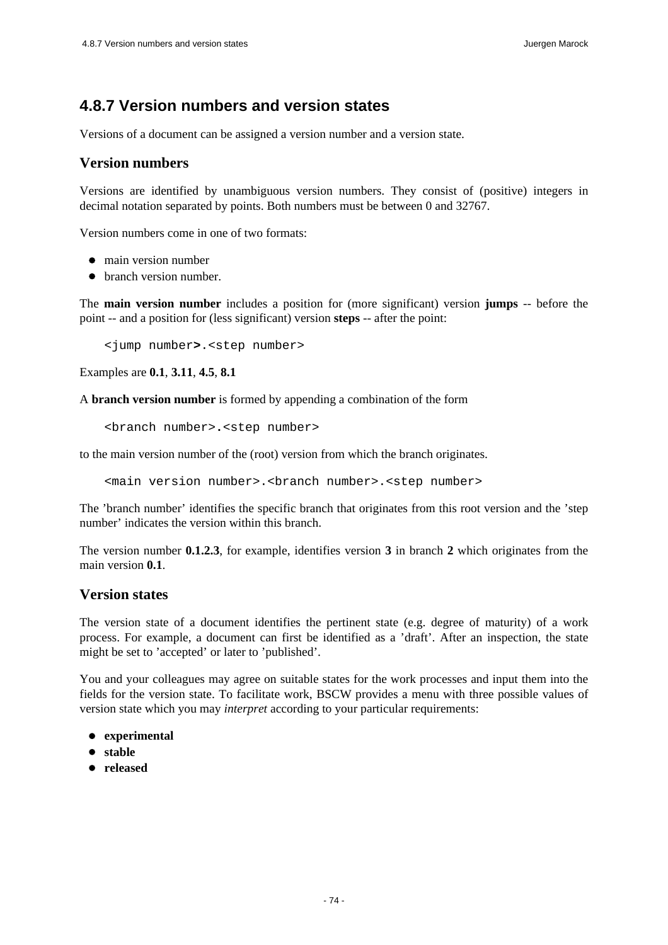# <span id="page-76-0"></span>**4.8.7 Version numbers and version states**

Versions of a document can be assigned a version number and a version state.

### **Version numbers**

Versions are identified by unambiguous version numbers. They consist of (positive) integers in decimal notation separated by points. Both numbers must be between 0 and 32767.

Version numbers come in one of two formats:

- main version number
- branch version number.

The **main version number** includes a position for (more significant) version **jumps** -- before the point -- and a position for (less significant) version **steps** -- after the point:

<jump number**>**.<step number>

Examples are **0.1**, **3.11**, **4.5**, **8.1**

A **branch version number** is formed by appending a combination of the form

<branch number>**.**<step number>

to the main version number of the (root) version from which the branch originates.

<main version number>.<br/>.<br/>branch number>.<step number>

The 'branch number' identifies the specific branch that originates from this root version and the 'step number' indicates the version within this branch.

The version number **0.1.2.3**, for example, identifies version **3** in branch **2** which originates from the main version **0.1**.

#### <span id="page-76-1"></span>**Version states**

The version state of a document identifies the pertinent state (e.g. degree of maturity) of a work process. For example, a document can first be identified as a 'draft'. After an inspection, the state might be set to 'accepted' or later to 'published'.

You and your colleagues may agree on suitable states for the work processes and input them into the fields for the version state. To facilitate work, BSCW provides a menu with three possible values of version state which you may *interpret* according to your particular requirements:

- **experimental**
- **stable**
- **released**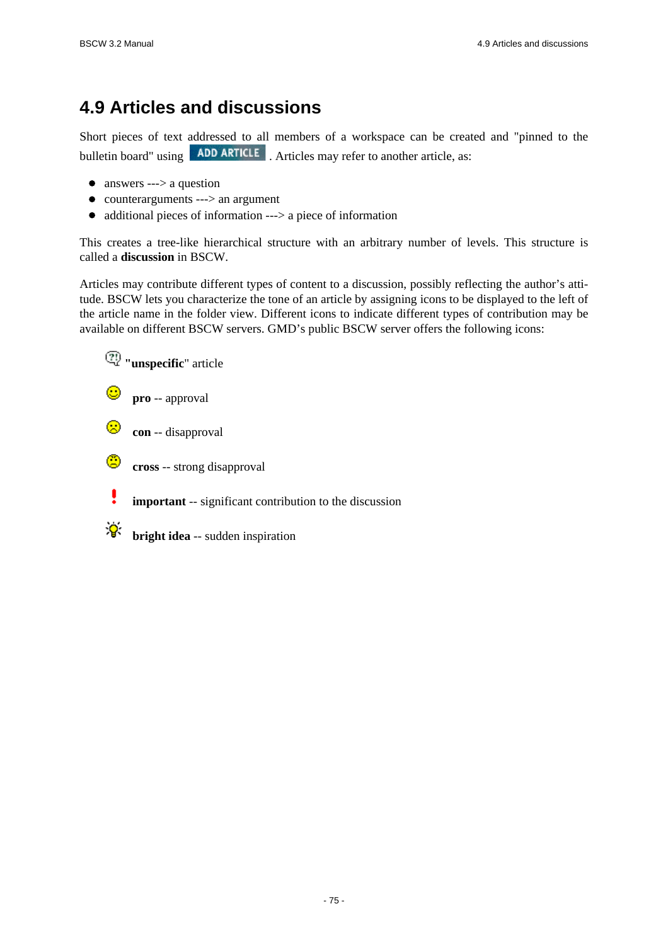# <span id="page-77-0"></span>**4.9 Articles and discussions**

Short pieces of text addressed to all members of a workspace can be created and "pinned to the bulletin board" using **ADD ARTICLE** . Articles may refer to another article, as:

- $\bullet$  answers ---> a question
- counterarguments ---> an argument
- additional pieces of information ---> a piece of information

This creates a tree-like hierarchical structure with an arbitrary number of levels. This structure is called a **discussion** in BSCW.

Articles may contribute different types of content to a discussion, possibly reflecting the author's attitude. BSCW lets you characterize the tone of an article by assigning icons to be displayed to the left of the article name in the folder view. Different icons to indicate different types of contribution may be available on different BSCW servers. GMD's public BSCW server offers the following icons:



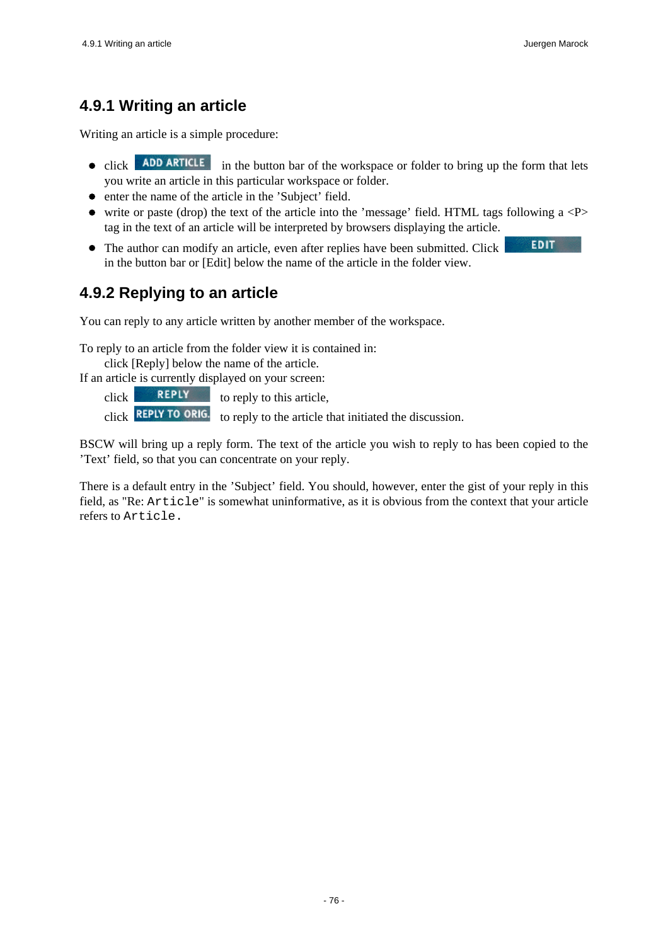# **4.9.1 Writing an article**

Writing an article is a simple procedure:

- click **ADD ARTICLE** in the button bar of the workspace or folder to bring up the form that lets you write an article in this particular workspace or folder.
- enter the name of the article in the 'Subject' field.
- write or paste (drop) the text of the article into the 'message' field. HTML tags following a  $P$ tag in the text of an article will be interpreted by browsers displaying the article.
- **EDIT** • The author can modify an article, even after replies have been submitted. Click in the button bar or [Edit] below the name of the article in the folder view.

# **4.9.2 Replying to an article**

You can reply to any article written by another member of the workspace.

To reply to an article from the folder view it is contained in:

click [Reply] below the name of the article.

If an article is currently displayed on your screen:

 $click \qquad \qquad$  **REPLY** to reply to this article, click **REPLY TO ORIG.** to reply to the article that initiated the discussion.

BSCW will bring up a reply form. The text of the article you wish to reply to has been copied to the 'Text' field, so that you can concentrate on your reply.

There is a default entry in the 'Subject' field. You should, however, enter the gist of your reply in this field, as "Re: Article" is somewhat uninformative, as it is obvious from the context that your article refers to Article.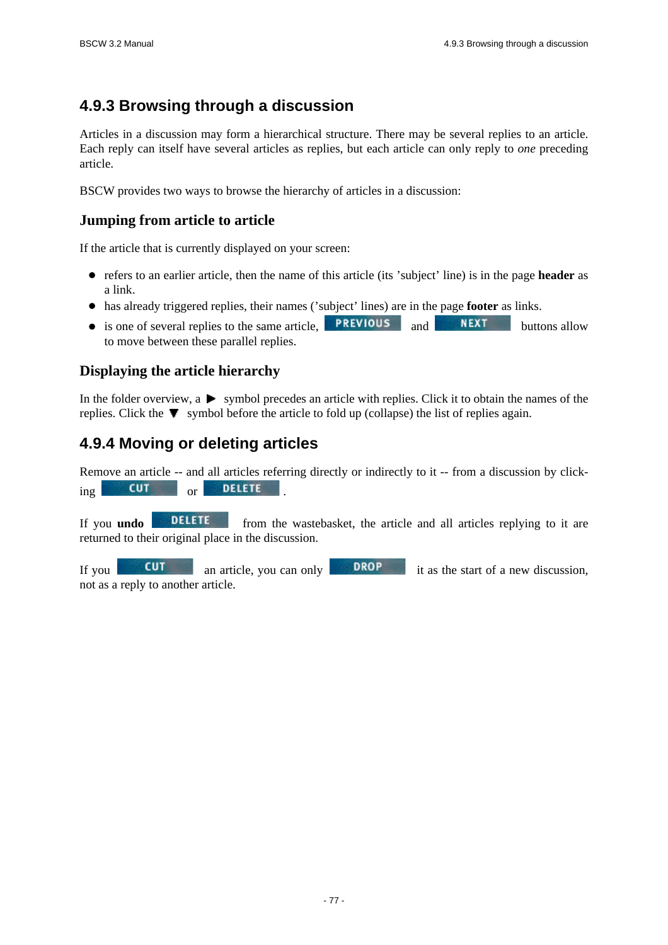# **4.9.3 Browsing through a discussion**

Articles in a discussion may form a hierarchical structure. There may be several replies to an article. Each reply can itself have several articles as replies, but each article can only reply to *one* preceding article.

BSCW provides two ways to browse the hierarchy of articles in a discussion:

### **Jumping from article to article**

If the article that is currently displayed on your screen:

- refers to an earlier article, then the name of this article (its 'subject' line) is in the page **header** as a link.
- has already triggered replies, their names ('subject' lines) are in the page **footer** as links.
- is one of several replies to the same article, **PREVIOUS** and **REXT** buttons allow to move between these parallel replies.

### **Displaying the article hierarchy**

In the folder overview,  $a \blacktriangleright$  symbol precedes an article with replies. Click it to obtain the names of the replies. Click the  $\blacktriangledown$  symbol before the article to fold up (collapse) the list of replies again.

# **4.9.4 Moving or deleting articles**

Remove an article -- and all articles referring directly or indirectly to it -- from a discussion by click- $\frac{1}{10}$  CUT or DELETE

If you **undo DELETE** from the wastebasket, the article and all articles replying to it are returned to their original place in the discussion.

If you **CUT** an article, you can only **DROP** it as the start of a new discussion, not as a reply to another article.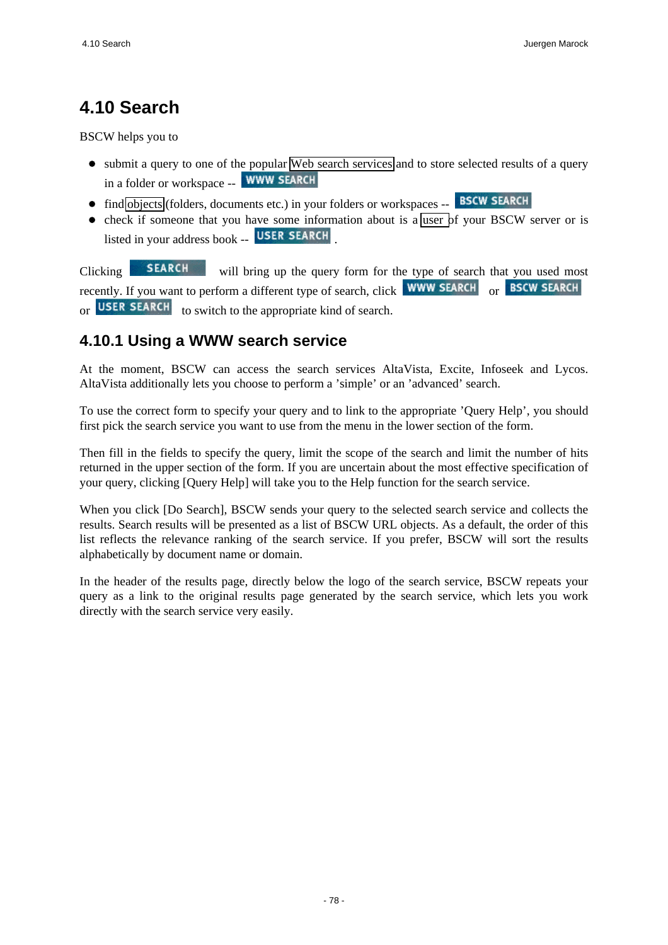# **4.10 Search**

BSCW helps you to

- submit a query to one of the popular [Web search services](#page-80-0) and to store selected results of a query **WWW SEARCH** in a folder or workspace --
- find [objects](#page-82-0) (folders, documents etc.) in your folders or workspaces -- **BSCW SEARCH**
- check if someone that you have some information about is a [user o](#page-83-0)f your BSCW server or is listed in your address book  $\overline{-}$  USER SEARCH

Clicking SEARCH will bring up the query form for the type of search that you used most recently. If you want to perform a different type of search, click **WWW SEARCH** or **BSCW SEARCH** or USER SEARCH to switch to the appropriate kind of search.

# <span id="page-80-0"></span>**4.10.1 Using a WWW search service**

At the moment, BSCW can access the search services AltaVista, Excite, Infoseek and Lycos. AltaVista additionally lets you choose to perform a 'simple' or an 'advanced' search.

To use the correct form to specify your query and to link to the appropriate 'Query Help', you should first pick the search service you want to use from the menu in the lower section of the form.

Then fill in the fields to specify the query, limit the scope of the search and limit the number of hits returned in the upper section of the form. If you are uncertain about the most effective specification of your query, clicking [Query Help] will take you to the Help function for the search service.

When you click [Do Search], BSCW sends your query to the selected search service and collects the results. Search results will be presented as a list of BSCW URL objects. As a default, the order of this list reflects the relevance ranking of the search service. If you prefer, BSCW will sort the results alphabetically by document name or domain.

In the header of the results page, directly below the logo of the search service, BSCW repeats your query as a link to the original results page generated by the search service, which lets you work directly with the search service very easily.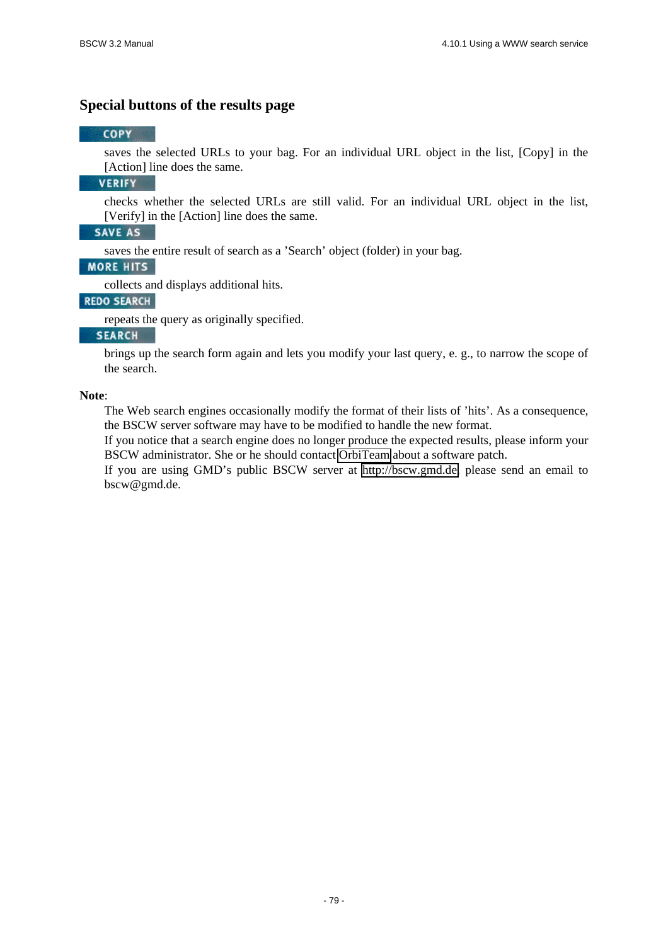### **Special buttons of the results page**

#### **COPY**

saves the selected URLs to your bag. For an individual URL object in the list, [Copy] in the [Action] line does the same.

### **VERIFY**

checks whether the selected URLs are still valid. For an individual URL object in the list, [Verify] in the [Action] line does the same.

### **SAVE AS**

saves the entire result of search as a 'Search' object (folder) in your bag.

#### **MORE HITS**

collects and displays additional hits.

### **REDO SEARCH**

repeats the query as originally specified.

#### **SEARCH**

brings up the search form again and lets you modify your last query, e. g., to narrow the scope of the search.

#### **Note**:

The Web search engines occasionally modify the format of their lists of 'hits'. As a consequence, the BSCW server software may have to be modified to handle the new format.

If you notice that a search engine does no longer produce the expected results, please inform your BSCW administrator. She or he should contact [OrbiTeam](http://www.orbiteam.de/) about a software patch.

If you are using GMD's public BSCW server at [http://bscw.gmd.de,](http://bscw.gmd.de/) please send an email to bscw@gmd.de.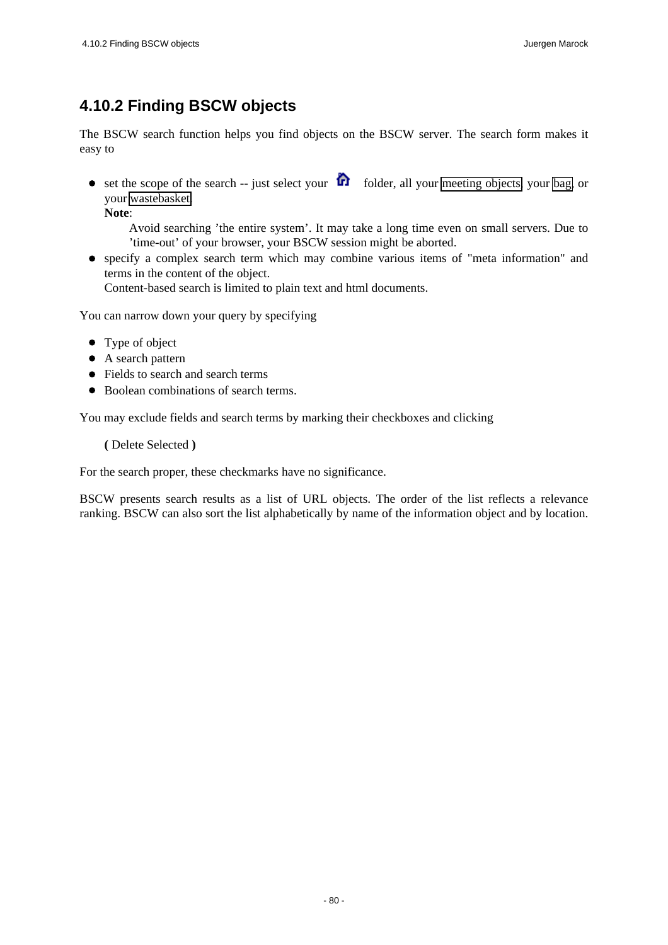# <span id="page-82-0"></span>**4.10.2 Finding BSCW objects**

The BSCW search function helps you find objects on the BSCW server. The search form makes it easy to

 $\bullet$  set the scope of the search -- just select your  $\bullet$  folder, all your [meeting objects,](#page-91-0) your [bag,](#page-36-0) or your [wastebasket.](#page-38-0)

**Note**:

Avoid searching 'the entire system'. It may take a long time even on small servers. Due to 'time-out' of your browser, your BSCW session might be aborted.

specify a complex search term which may combine various items of "meta information" and terms in the content of the object.

Content-based search is limited to plain text and html documents.

You can narrow down your query by specifying

- Type of object
- A search pattern
- Fields to search and search terms
- Boolean combinations of search terms.

You may exclude fields and search terms by marking their checkboxes and clicking

**(** Delete Selected **)**

For the search proper, these checkmarks have no significance.

BSCW presents search results as a list of URL objects. The order of the list reflects a relevance ranking. BSCW can also sort the list alphabetically by name of the information object and by location.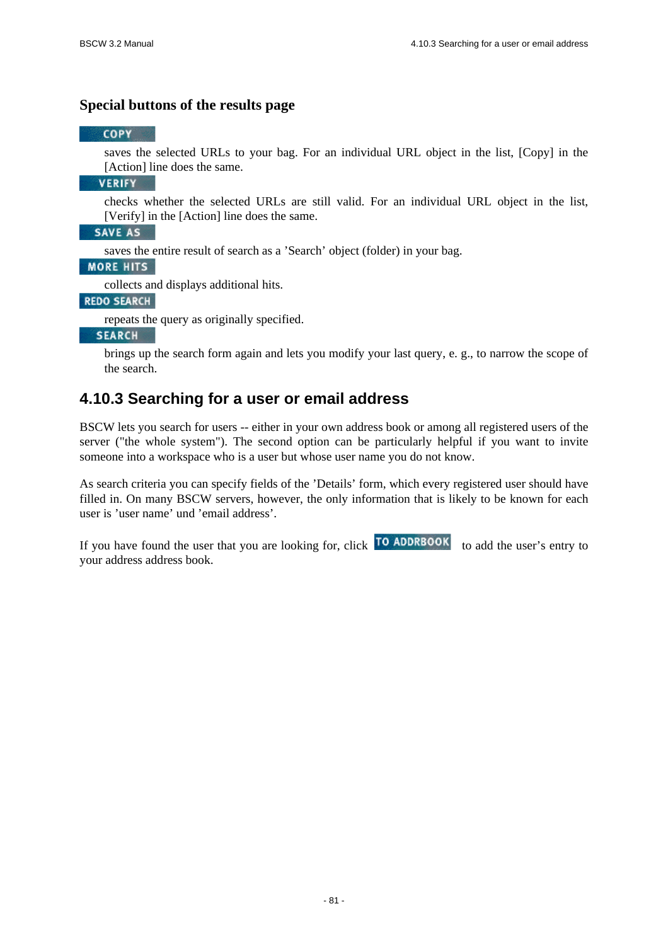### **Special buttons of the results page**

#### **COPY**

saves the selected URLs to your bag. For an individual URL object in the list, [Copy] in the [Action] line does the same.

#### **VERIFY**

checks whether the selected URLs are still valid. For an individual URL object in the list, [Verify] in the [Action] line does the same.

### **SAVE AS**

saves the entire result of search as a 'Search' object (folder) in your bag.

#### **MORE HITS**

collects and displays additional hits.

### **REDO SEARCH**

repeats the query as originally specified.

### **SEARCH**

brings up the search form again and lets you modify your last query, e. g., to narrow the scope of the search.

# <span id="page-83-0"></span>**4.10.3 Searching for a user or email address**

BSCW lets you search for users -- either in your own address book or among all registered users of the server ("the whole system"). The second option can be particularly helpful if you want to invite someone into a workspace who is a user but whose user name you do not know.

As search criteria you can specify fields of the 'Details' form, which every registered user should have filled in. On many BSCW servers, however, the only information that is likely to be known for each user is 'user name' und 'email address'.

If you have found the user that you are looking for, click  $\overline{IO}$  ADDRBOOK to add the user's entry to your address address book.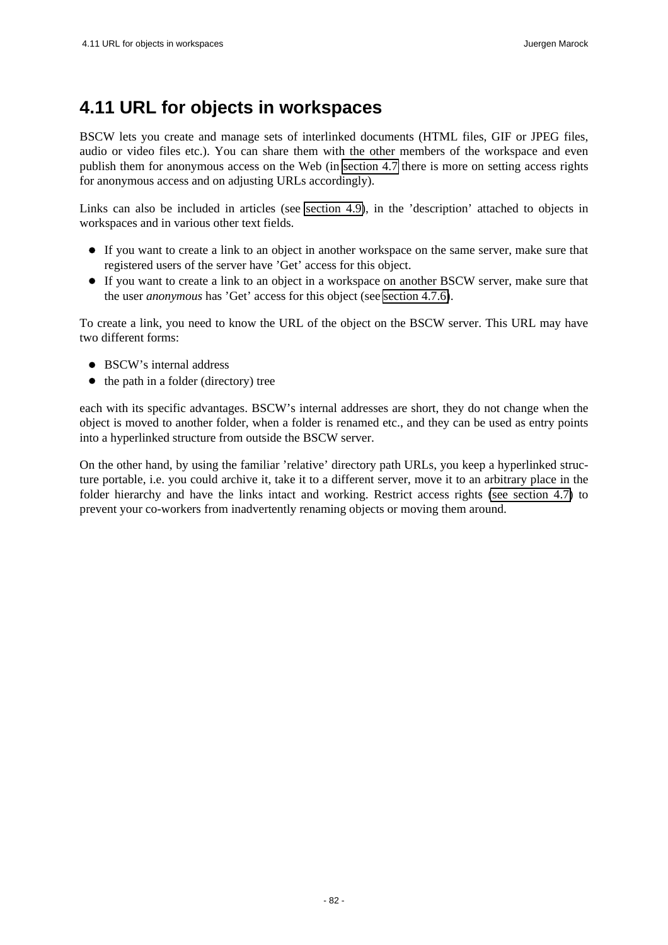# <span id="page-84-0"></span>**4.11 URL for objects in workspaces**

BSCW lets you create and manage sets of interlinked documents (HTML files, GIF or JPEG files, audio or video files etc.). You can share them with the other members of the workspace and even publish them for anonymous access on the Web (in [section 4.7](#page-64-0) there is more on setting access rights for anonymous access and on adjusting URLs accordingly).

Links can also be included in articles (see [section 4.9\)](#page-77-0), in the 'description' attached to objects in workspaces and in various other text fields.

- If you want to create a link to an object in another workspace on the same server, make sure that registered users of the server have 'Get' access for this object.
- If you want to create a link to an object in a workspace on another BSCW server, make sure that the user *anonymous* has 'Get' access for this object (see [section 4.7.6\)](#page-71-0).

To create a link, you need to know the URL of the object on the BSCW server. This URL may have two different forms:

- BSCW's internal address
- $\bullet$  the path in a folder (directory) tree

each with its specific advantages. BSCW's internal addresses are short, they do not change when the object is moved to another folder, when a folder is renamed etc., and they can be used as entry points into a hyperlinked structure from outside the BSCW server.

On the other hand, by using the familiar 'relative' directory path URLs, you keep a hyperlinked structure portable, i.e. you could archive it, take it to a different server, move it to an arbitrary place in the folder hierarchy and have the links intact and working. Restrict access rights [\(see section 4.7\)](#page-64-0) to prevent your co-workers from inadvertently renaming objects or moving them around.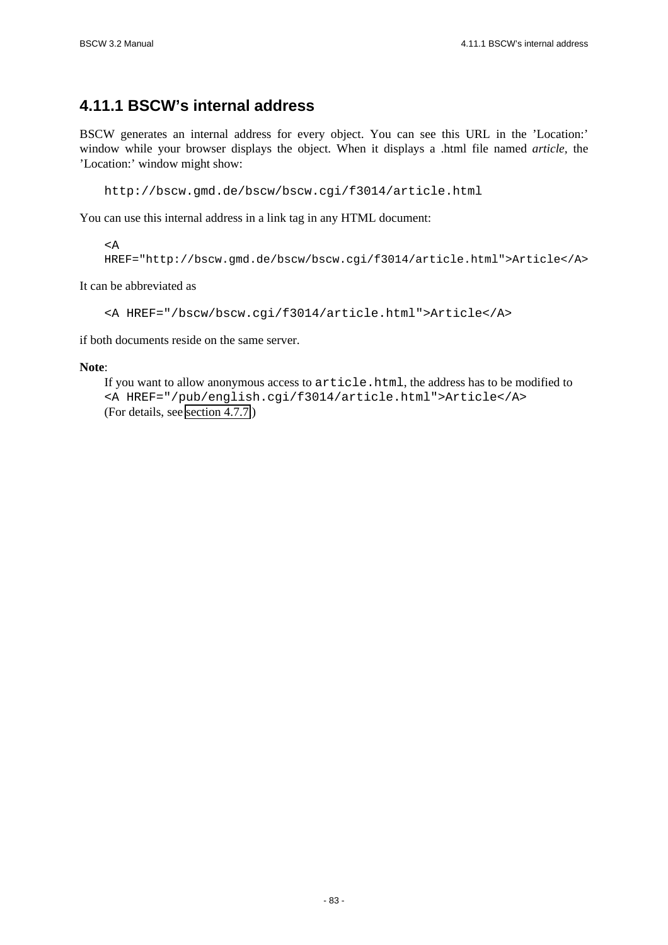# **4.11.1 BSCW's internal address**

BSCW generates an internal address for every object. You can see this URL in the 'Location:' window while your browser displays the object. When it displays a .html file named *article,* the 'Location:' window might show:

http://bscw.gmd.de/bscw/bscw.cgi/f3014/article.html

You can use this internal address in a link tag in any HTML document:

```
<A 
HREF="http://bscw.gmd.de/bscw/bscw.cgi/f3014/article.html">Article</A>
```
It can be abbreviated as

```
<A HREF="/bscw/bscw.cgi/f3014/article.html">Article</A>
```
if both documents reside on the same server.

**Note**:

If you want to allow anonymous access to article.html, the address has to be modified to <A HREF="/pub/english.cgi/f3014/article.html">Article</A> (For details, see [section 4.7.7.](#page-71-0))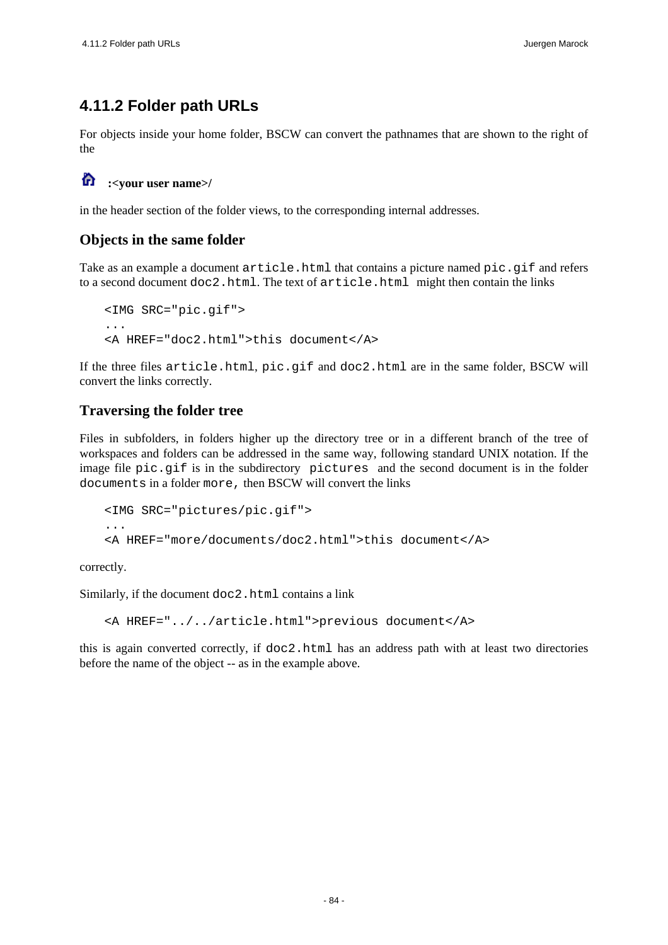# **4.11.2 Folder path URLs**

For objects inside your home folder, BSCW can convert the pathnames that are shown to the right of the

#### 价 **:<your user name>/**

in the header section of the folder views, to the corresponding internal addresses.

### **Objects in the same folder**

Take as an example a document  $article.html$  that contains a picture named pic.gif and refers to a second document  $doc2$ .html. The text of  $article$ .html might then contain the links

```
<IMG SRC="pic.gif"> 
... 
<A HREF="doc2.html">this document</A>
```
If the three files article.html, pic.gif and doc2.html are in the same folder, BSCW will convert the links correctly.

### **Traversing the folder tree**

Files in subfolders, in folders higher up the directory tree or in a different branch of the tree of workspaces and folders can be addressed in the same way, following standard UNIX notation. If the image file pic.gif is in the subdirectory pictures and the second document is in the folder documents in a folder more, then BSCW will convert the links

```
<IMG SRC="pictures/pic.gif"> 
... 
<A HREF="more/documents/doc2.html">this document</A>
```
correctly.

Similarly, if the document doc2.html contains a link

<A HREF="../../article.html">previous document</A>

this is again converted correctly, if doc2.html has an address path with at least two directories before the name of the object -- as in the example above.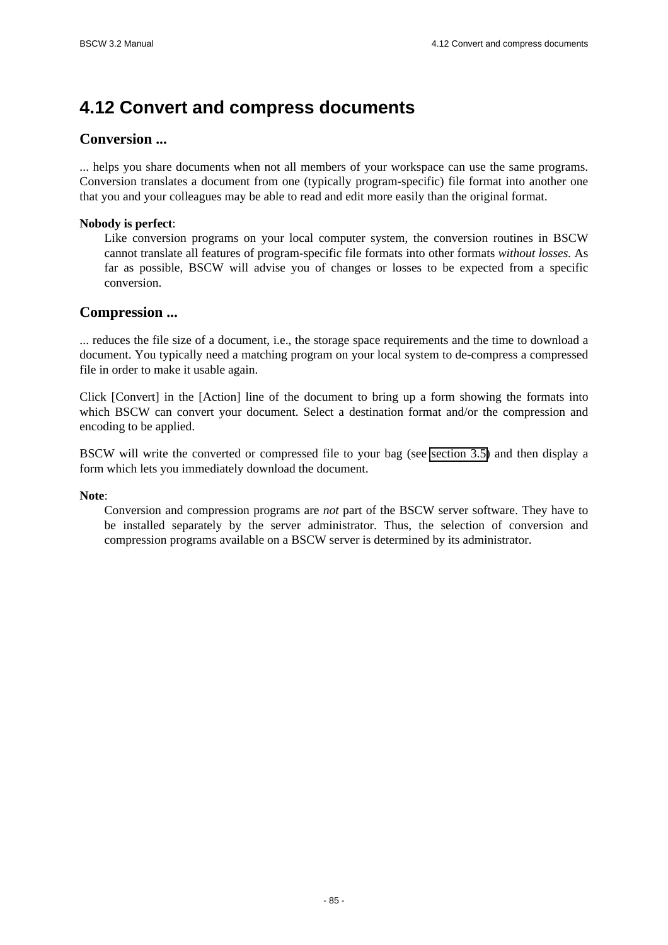# **4.12 Convert and compress documents**

### **Conversion ...**

... helps you share documents when not all members of your workspace can use the same programs. Conversion translates a document from one (typically program-specific) file format into another one that you and your colleagues may be able to read and edit more easily than the original format.

### **Nobody is perfect**:

Like conversion programs on your local computer system, the conversion routines in BSCW cannot translate all features of program-specific file formats into other formats *without losses.* As far as possible, BSCW will advise you of changes or losses to be expected from a specific conversion.

### **Compression ...**

... reduces the file size of a document, i.e., the storage space requirements and the time to download a document. You typically need a matching program on your local system to de-compress a compressed file in order to make it usable again.

Click [Convert] in the [Action] line of the document to bring up a form showing the formats into which BSCW can convert your document. Select a destination format and/or the compression and encoding to be applied.

BSCW will write the converted or compressed file to your bag (see [section 3.5\)](#page-36-0) and then display a form which lets you immediately download the document.

#### **Note**:

Conversion and compression programs are *not* part of the BSCW server software. They have to be installed separately by the server administrator. Thus, the selection of conversion and compression programs available on a BSCW server is determined by its administrator.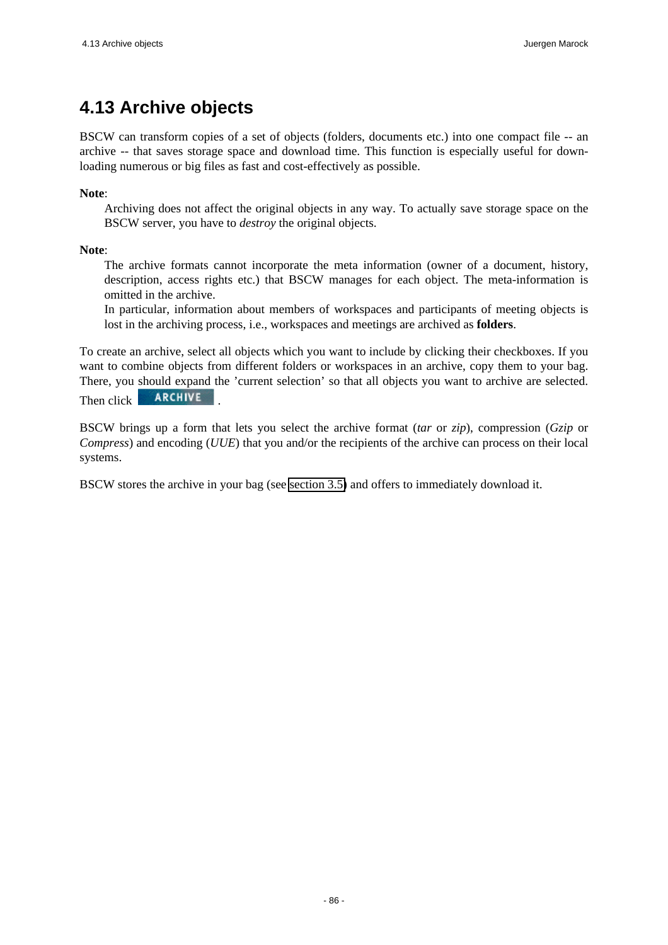# **4.13 Archive objects**

BSCW can transform copies of a set of objects (folders, documents etc.) into one compact file -- an archive -- that saves storage space and download time. This function is especially useful for downloading numerous or big files as fast and cost-effectively as possible.

**Note**:

Archiving does not affect the original objects in any way. To actually save storage space on the BSCW server, you have to *destroy* the original objects.

**Note**:

The archive formats cannot incorporate the meta information (owner of a document, history, description, access rights etc.) that BSCW manages for each object. The meta-information is omitted in the archive.

In particular, information about members of workspaces and participants of meeting objects is lost in the archiving process, i.e., workspaces and meetings are archived as **folders**.

To create an archive, select all objects which you want to include by clicking their checkboxes. If you want to combine objects from different folders or workspaces in an archive, copy them to your bag. There, you should expand the 'current selection' so that all objects you want to archive are selected. Then click **ARCHIVE** 

BSCW brings up a form that lets you select the archive format (*tar* or *zip*), compression (*Gzip* or *Compress*) and encoding (*UUE*) that you and/or the recipients of the archive can process on their local systems.

BSCW stores the archive in your bag (see [section 3.5\)](#page-36-0) and offers to immediately download it.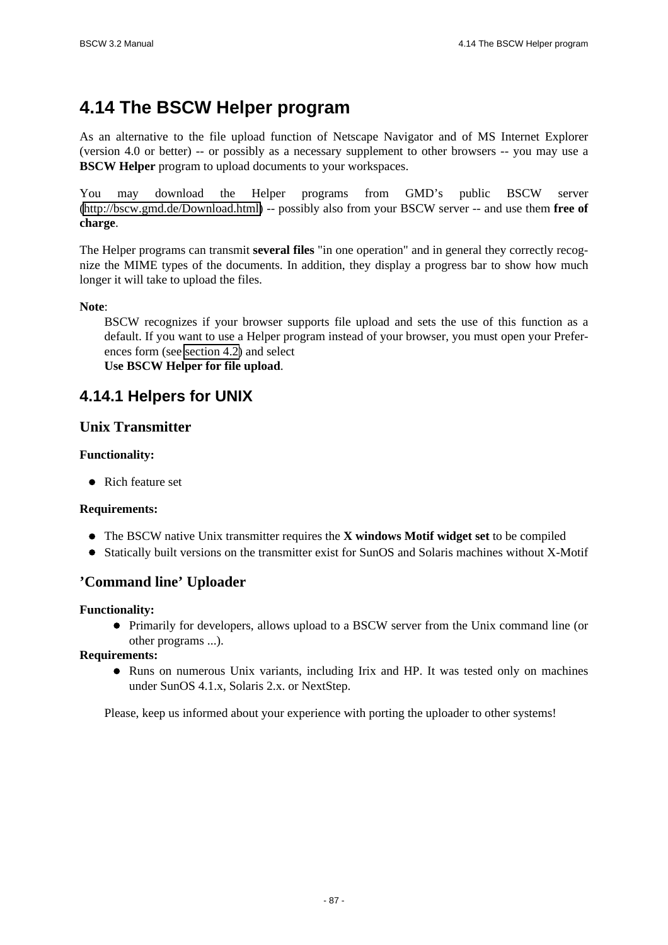# **4.14 The BSCW Helper program**

As an alternative to the file upload function of Netscape Navigator and of MS Internet Explorer (version 4.0 or better) -- or possibly as a necessary supplement to other browsers -- you may use a **BSCW Helper** program to upload documents to your workspaces.

You may download the Helper programs from GMD's public BSCW server [\(http://bscw.gmd.de/Download.html\)](http://bscw.gmd.de/Download.html) -- possibly also from your BSCW server -- and use them **free of charge**.

The Helper programs can transmit **several files** "in one operation" and in general they correctly recognize the MIME types of the documents. In addition, they display a progress bar to show how much longer it will take to upload the files.

### **Note**:

BSCW recognizes if your browser supports file upload and sets the use of this function as a default. If you want to use a Helper program instead of your browser, you must open your Preferences form (see [section 4.2\)](#page-41-0) and select

**Use BSCW Helper for file upload**.

# **4.14.1 Helpers for UNIX**

### **Unix Transmitter**

### **Functionality:**

• Rich feature set

### **Requirements:**

- The BSCW native Unix transmitter requires the **X windows Motif widget set** to be compiled
- Statically built versions on the transmitter exist for SunOS and Solaris machines without X-Motif

# **'Command line' Uploader**

### **Functionality:**

Primarily for developers, allows upload to a BSCW server from the Unix command line (or other programs ...).

### **Requirements:**

Runs on numerous Unix variants, including Irix and HP. It was tested only on machines under SunOS 4.1.x, Solaris 2.x. or NextStep.

Please, keep us informed about your experience with porting the uploader to other systems!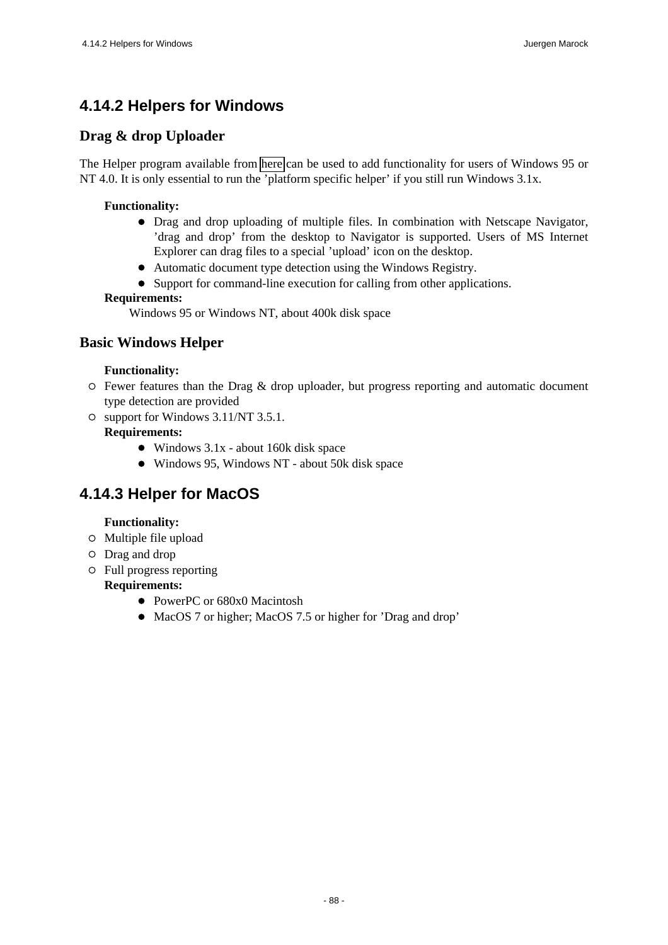# **4.14.2 Helpers for Windows**

### **Drag & drop Uploader**

The Helper program available from [here](http://bscw.gmd.de/Download/clientex.html) can be used to add functionality for users of Windows 95 or NT 4.0. It is only essential to run the 'platform specific helper' if you still run Windows 3.1x.

### **Functionality:**

- Drag and drop uploading of multiple files. In combination with Netscape Navigator, 'drag and drop' from the desktop to Navigator is supported. Users of MS Internet Explorer can drag files to a special 'upload' icon on the desktop.
- Automatic document type detection using the Windows Registry.
- Support for command-line execution for calling from other applications.

### **Requirements:**

Windows 95 or Windows NT, about 400k disk space

### **Basic Windows Helper**

### **Functionality:**

- $\circ$  Fewer features than the Drag & drop uploader, but progress reporting and automatic document type detection are provided
- support for Windows 3.11/NT 3.5.1.

### **Requirements:**

- Windows 3.1x about 160k disk space
- Windows 95, Windows NT about 50k disk space

# **4.14.3 Helper for MacOS**

### **Functionality:**

- Multiple file upload
- Drag and drop
- Full progress reporting

### **Requirements:**

- PowerPC or 680x0 Macintosh
- MacOS 7 or higher; MacOS 7.5 or higher for 'Drag and drop'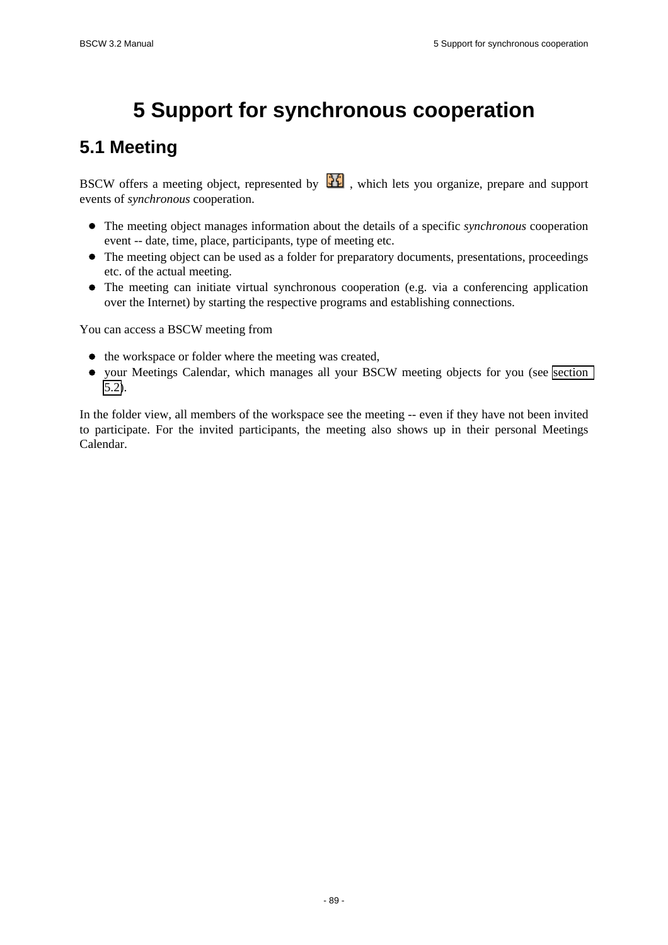# **5 Support for synchronous cooperation**

# <span id="page-91-0"></span>**5.1 Meeting**

BSCW offers a meeting object, represented by  $\mathbf{H}$ , which lets you organize, prepare and support events of *synchronous* cooperation.

- The meeting object manages information about the details of a specific *synchronous* cooperation event -- date, time, place, participants, type of meeting etc.
- The meeting object can be used as a folder for preparatory documents, presentations, proceedings etc. of the actual meeting.
- The meeting can initiate virtual synchronous cooperation (e.g. via a conferencing application over the Internet) by starting the respective programs and establishing connections.

You can access a BSCW meeting from

- the workspace or folder where the meeting was created,
- your Meetings Calendar, which manages all your BSCW meeting objects for you (see [section](#page-95-0)  [5.2\)](#page-95-0).

In the folder view, all members of the workspace see the meeting -- even if they have not been invited to participate. For the invited participants, the meeting also shows up in their personal Meetings Calendar.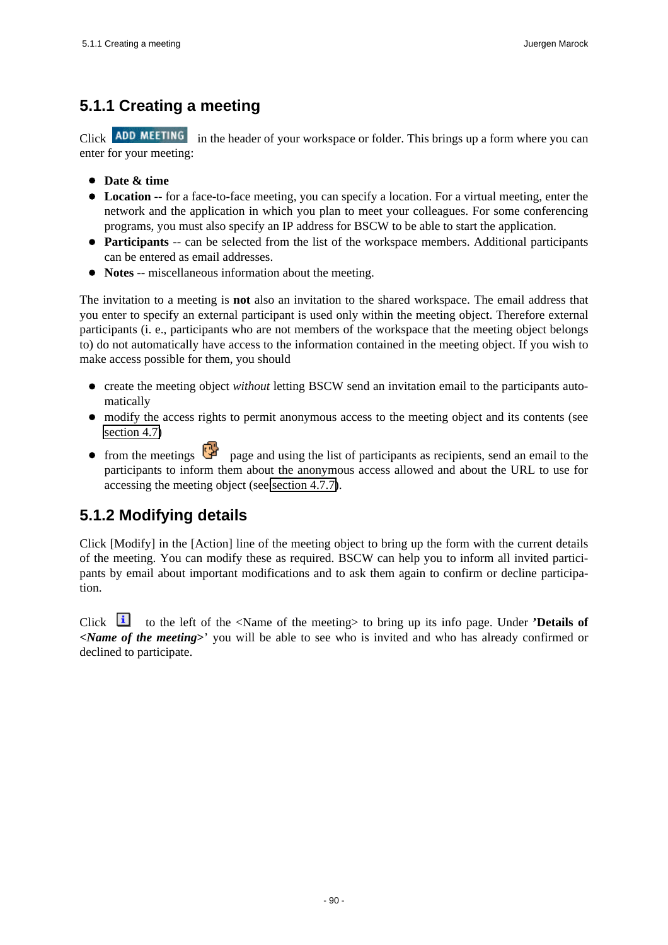# **5.1.1 Creating a meeting**

Click **ADD MEETING** in the header of your workspace or folder. This brings up a form where you can enter for your meeting:

- **Date & time**
- **Location** -- for a face-to-face meeting, you can specify a location. For a virtual meeting, enter the network and the application in which you plan to meet your colleagues. For some conferencing programs, you must also specify an IP address for BSCW to be able to start the application.
- **Participants** -- can be selected from the list of the workspace members. Additional participants can be entered as email addresses.
- **Notes** -- miscellaneous information about the meeting.

The invitation to a meeting is **not** also an invitation to the shared workspace. The email address that you enter to specify an external participant is used only within the meeting object. Therefore external participants (i. e., participants who are not members of the workspace that the meeting object belongs to) do not automatically have access to the information contained in the meeting object. If you wish to make access possible for them, you should

- create the meeting object *without* letting BSCW send an invitation email to the participants automatically
- modify the access rights to permit anonymous access to the meeting object and its contents (see [section 4.7\)](#page-64-0)
- from the meetings  $\mathbb{C}$  page and using the list of participants as recipients, send an email to the participants to inform them about the anonymous access allowed and about the URL to use for accessing the meeting object (see [section 4.7.7\)](#page-71-0).

# **5.1.2 Modifying details**

Click [Modify] in the [Action] line of the meeting object to bring up the form with the current details of the meeting. You can modify these as required. BSCW can help you to inform all invited participants by email about important modifications and to ask them again to confirm or decline participation.

Click  $\boxed{\textbf{i}}$  to the left of the <Name of the meeting> to bring up its info page. Under **'Details of <***Name of the meeting***>**' you will be able to see who is invited and who has already confirmed or declined to participate.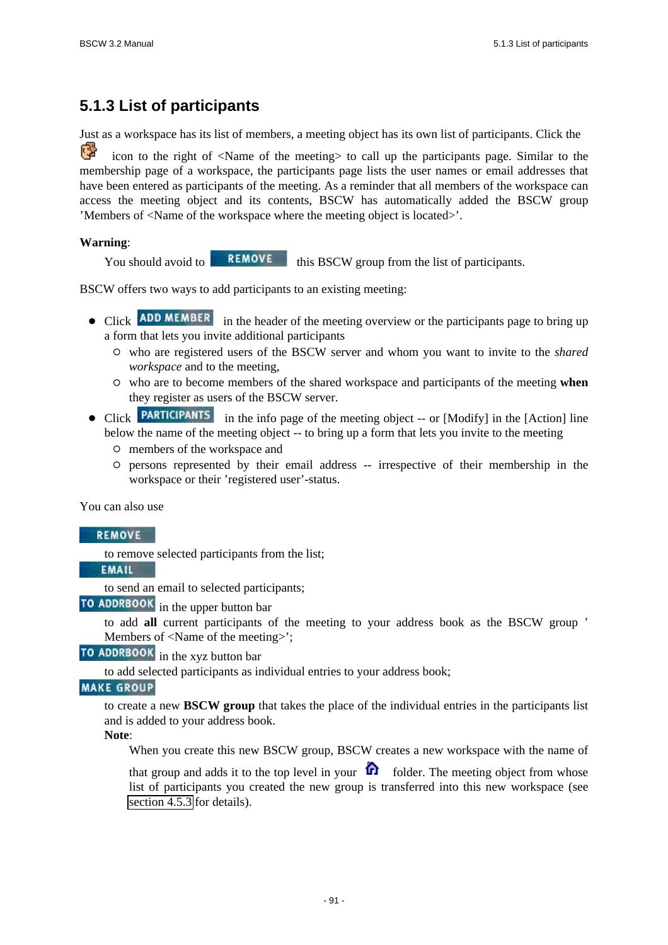# **5.1.3 List of participants**

Just as a workspace has its list of members, a meeting object has its own list of participants. Click the

icon to the right of  $\langle$ Name of the meeting to call up the participants page. Similar to the membership page of a workspace, the participants page lists the user names or email addresses that have been entered as participants of the meeting. As a reminder that all members of the workspace can access the meeting object and its contents, BSCW has automatically added the BSCW group 'Members of <Name of the workspace where the meeting object is located>'.

#### **Warning**:

You should avoid to **REMOVE** this BSCW group from the list of participants.

BSCW offers two ways to add participants to an existing meeting:

- Click **ADD MEMBER** in the header of the meeting overview or the participants page to bring up a form that lets you invite additional participants
	- who are registered users of the BSCW server and whom you want to invite to the *shared workspace* and to the meeting,
	- who are to become members of the shared workspace and participants of the meeting **when** they register as users of the BSCW server.
- Click **PARTICIPANTS** in the info page of the meeting object -- or [Modify] in the [Action] line below the name of the meeting object -- to bring up a form that lets you invite to the meeting
	- members of the workspace and
	- persons represented by their email address -- irrespective of their membership in the workspace or their 'registered user'-status.

You can also use

#### **REMOVE**

to remove selected participants from the list;

#### **EMAIL**

to send an email to selected participants;

TO ADDRBOOK in the upper button bar

to add **all** current participants of the meeting to your address book as the BSCW group ' Members of <Name of the meeting>';

TO ADDRBOOK in the xyz button bar

to add selected participants as individual entries to your address book;

#### **MAKE GROUP**

to create a new **BSCW group** that takes the place of the individual entries in the participants list and is added to your address book.

#### **Note**:

When you create this new BSCW group, BSCW creates a new workspace with the name of

that group and adds it to the top level in your  $\bigcap$  folder. The meeting object from whose list of participants you created the new group is transferred into this new workspace (see [section 4.5.3](#page-59-0) for details).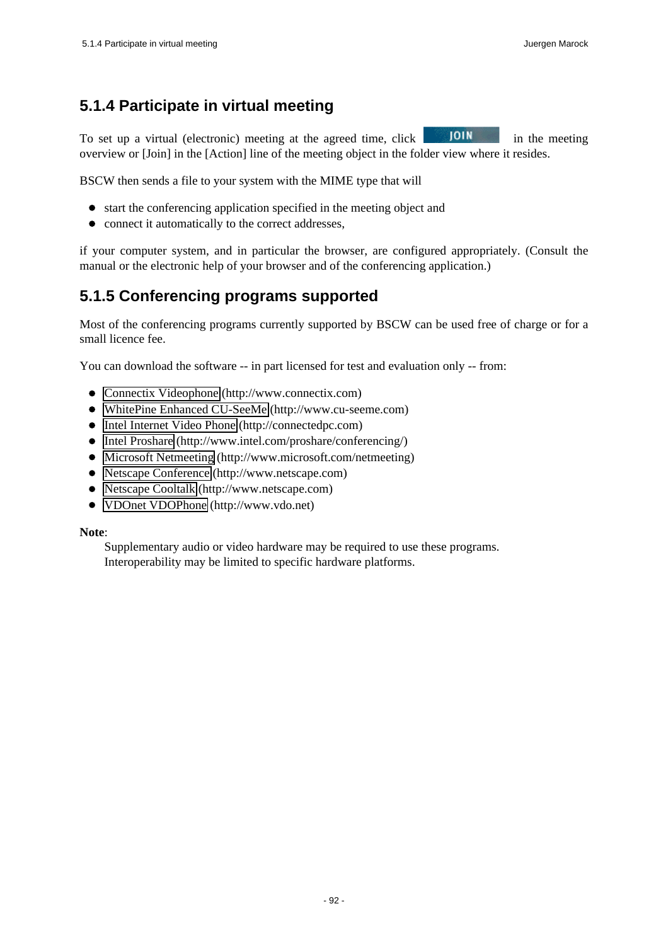# **5.1.4 Participate in virtual meeting**

To set up a virtual (electronic) meeting at the agreed time, click **in the meeting** in the meeting overview or [Join] in the [Action] line of the meeting object in the folder view where it resides.

BSCW then sends a file to your system with the MIME type that will

- start the conferencing application specified in the meeting object and
- connect it automatically to the correct addresses,

if your computer system, and in particular the browser, are configured appropriately. (Consult the manual or the electronic help of your browser and of the conferencing application.)

# **5.1.5 Conferencing programs supported**

Most of the conferencing programs currently supported by BSCW can be used free of charge or for a small licence fee.

You can download the software -- in part licensed for test and evaluation only -- from:

- [Connectix Videophone](http://www.connectix.com/) (http://www.connectix.com)
- [WhitePine Enhanced CU-SeeMe](http://www.cu-seeme.com/) (http://www.cu-seeme.com)
- [Intel Internet Video Phone](http://connectedpc.com/) (http://connectedpc.com)
- [Intel Proshare](http://www.intel.com/proshare/conferencing/) (http://www.intel.com/proshare/conferencing/)
- [Microsoft Netmeeting](http://www.microsoft.com/netmeeting) (http://www.microsoft.com/netmeeting)
- [Netscape Conference](http://www.netscape.com/) (http://www.netscape.com)
- [Netscape Cooltalk](http://www.netscape.com/) (http://www.netscape.com)
- [VDOnet VDOPhone](http://www.vdo.net/) (http://www.vdo.net)

#### **Note**:

Supplementary audio or video hardware may be required to use these programs. Interoperability may be limited to specific hardware platforms.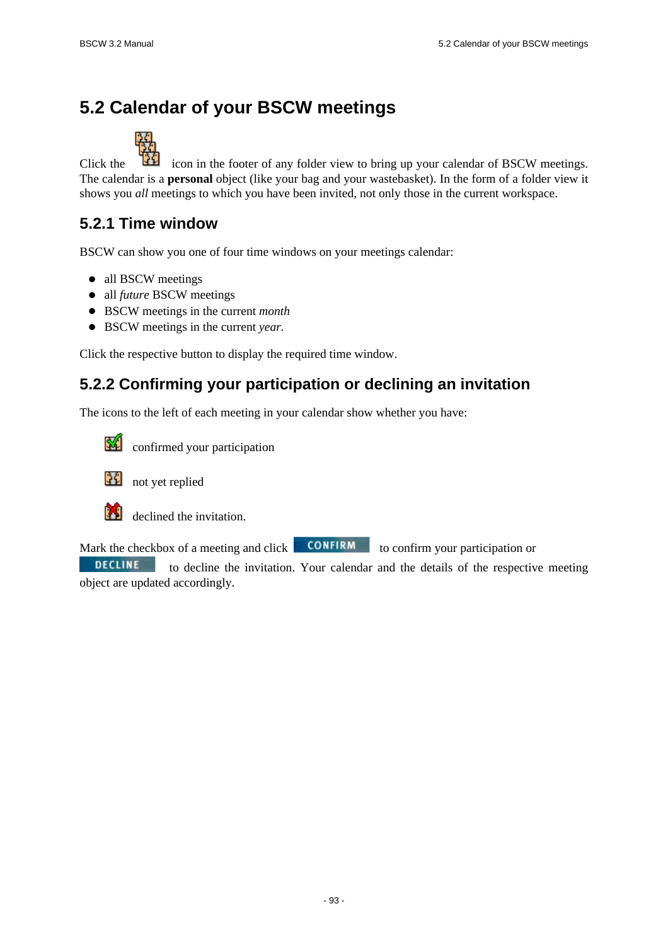# <span id="page-95-0"></span>**5.2 Calendar of your BSCW meetings**



Click the  $\frac{126}{12}$  icon in the footer of any folder view to bring up your calendar of BSCW meetings. The calendar is a **personal** object (like your bag and your wastebasket). In the form of a folder view it shows you *all* meetings to which you have been invited, not only those in the current workspace.

# **5.2.1 Time window**

BSCW can show you one of four time windows on your meetings calendar:

- all BSCW meetings
- all *future* BSCW meetings
- BSCW meetings in the current *month*
- BSCW meetings in the current *year.*

Click the respective button to display the required time window.

# **5.2.2 Confirming your participation or declining an invitation**

The icons to the left of each meeting in your calendar show whether you have:



confirmed your participation



**14** not yet replied



declined the invitation.

Mark the checkbox of a meeting and click  $\blacksquare$  **CONFIRM** to confirm your participation or

**DECLINE**  to decline the invitation. Your calendar and the details of the respective meeting object are updated accordingly.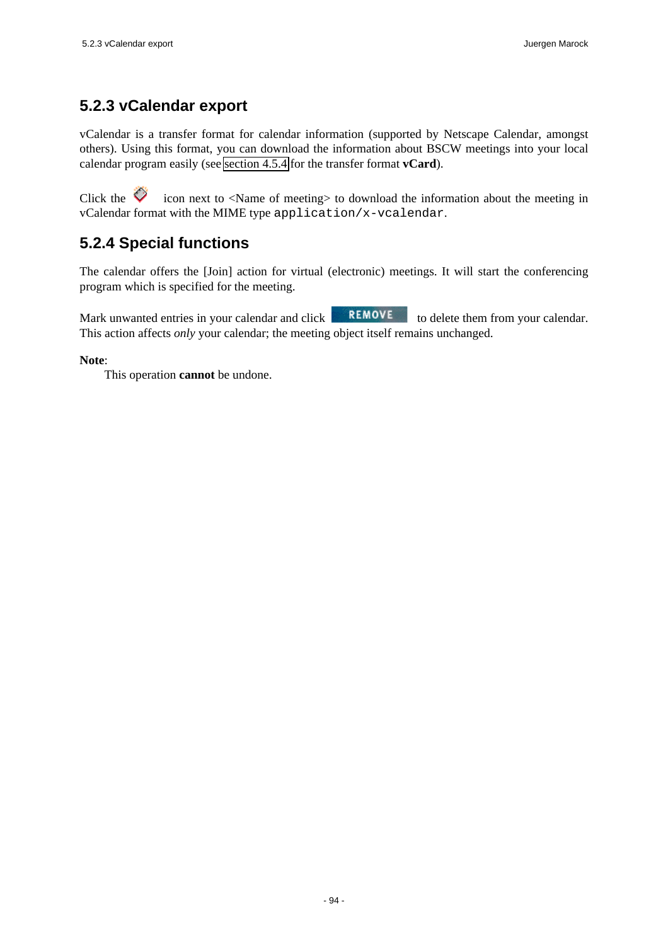# **5.2.3 vCalendar export**

vCalendar is a transfer format for calendar information (supported by Netscape Calendar, amongst others). Using this format, you can download the information about BSCW meetings into your local calendar program easily (see [section 4.5.4](#page-60-0) for the transfer format **vCard**).

Click the icon next to  $\langle$ Name of meeting $\rangle$  to download the information about the meeting in vCalendar format with the MIME type application/x-vcalendar.

# **5.2.4 Special functions**

The calendar offers the [Join] action for virtual (electronic) meetings. It will start the conferencing program which is specified for the meeting.

Mark unwanted entries in your calendar and click **REMOVE** to delete them from your calendar. This action affects *only* your calendar; the meeting object itself remains unchanged.

**Note**:

This operation **cannot** be undone.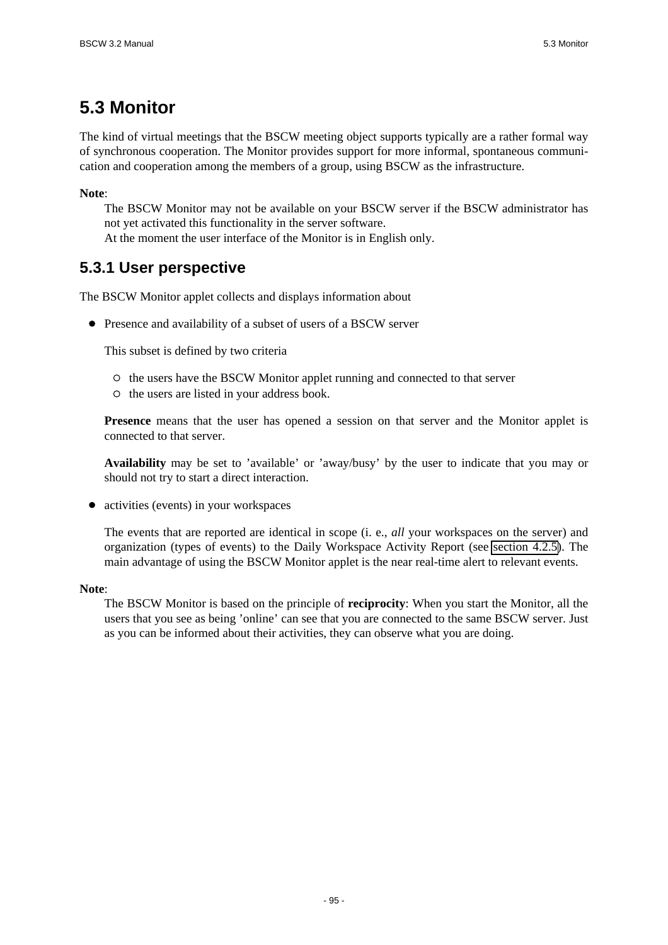# **5.3 Monitor**

The kind of virtual meetings that the BSCW meeting object supports typically are a rather formal way of synchronous cooperation. The Monitor provides support for more informal, spontaneous communication and cooperation among the members of a group, using BSCW as the infrastructure.

**Note**:

The BSCW Monitor may not be available on your BSCW server if the BSCW administrator has not yet activated this functionality in the server software.

At the moment the user interface of the Monitor is in English only.

# **5.3.1 User perspective**

The BSCW Monitor applet collects and displays information about

Presence and availability of a subset of users of a BSCW server

This subset is defined by two criteria

- $\circ$  the users have the BSCW Monitor applet running and connected to that server
- $\circ$  the users are listed in your address book.

**Presence** means that the user has opened a session on that server and the Monitor applet is connected to that server.

**Availability** may be set to 'available' or 'away/busy' by the user to indicate that you may or should not try to start a direct interaction.

• activities (events) in your workspaces

The events that are reported are identical in scope (i. e., *all* your workspaces on the server) and organization (types of events) to the Daily Workspace Activity Report (see [section 4.2.5\)](#page-48-0). The main advantage of using the BSCW Monitor applet is the near real-time alert to relevant events.

#### **Note**:

The BSCW Monitor is based on the principle of **reciprocity**: When you start the Monitor, all the users that you see as being 'online' can see that you are connected to the same BSCW server. Just as you can be informed about their activities, they can observe what you are doing.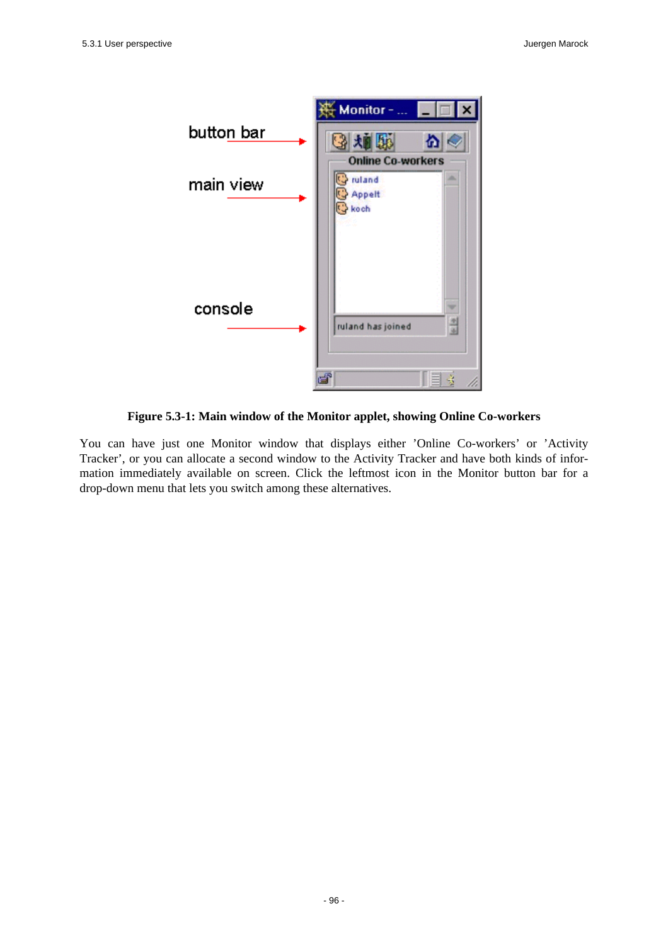

**Figure 5.3-1: Main window of the Monitor applet, showing Online Co-workers**

You can have just one Monitor window that displays either 'Online Co-workers' or 'Activity Tracker', or you can allocate a second window to the Activity Tracker and have both kinds of information immediately available on screen. Click the leftmost icon in the Monitor button bar for a drop-down menu that lets you switch among these alternatives.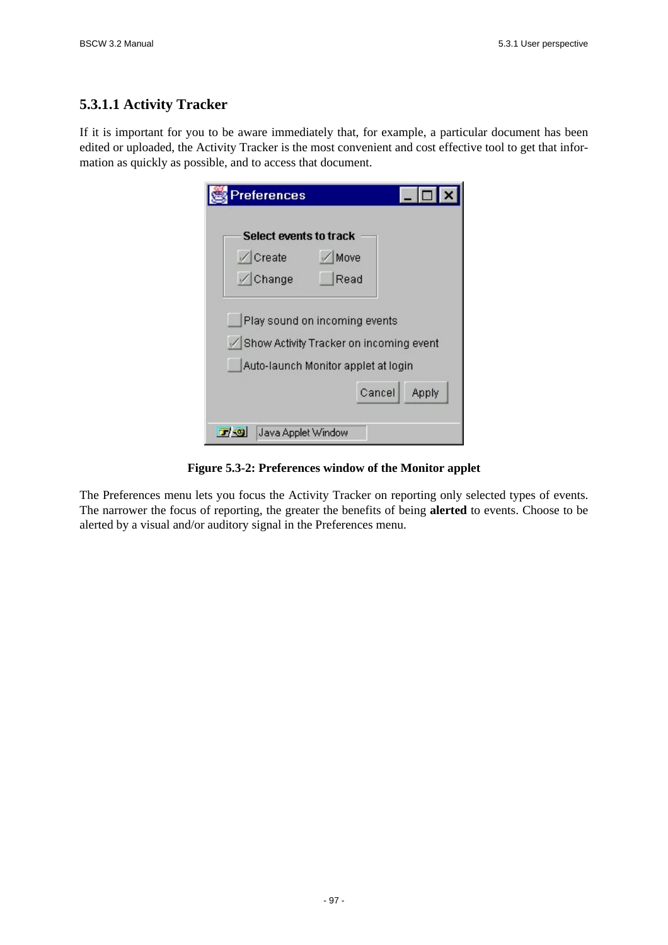### **5.3.1.1 Activity Tracker**

If it is important for you to be aware immediately that, for example, a particular document has been edited or uploaded, the Activity Tracker is the most convenient and cost effective tool to get that information as quickly as possible, and to access that document.

| Select events to track      |                                                                                          |       |
|-----------------------------|------------------------------------------------------------------------------------------|-------|
| $\sqrt{\phantom{a}}$ Create | Move                                                                                     |       |
| $\sqrt{\phantom{a}}$ Change | Read                                                                                     |       |
|                             | Show Activity Tracker on incoming event<br>Auto-launch Monitor applet at login<br>Cancel | Apply |
|                             |                                                                                          |       |

**Figure 5.3-2: Preferences window of the Monitor applet**

The Preferences menu lets you focus the Activity Tracker on reporting only selected types of events. The narrower the focus of reporting, the greater the benefits of being **alerted** to events. Choose to be alerted by a visual and/or auditory signal in the Preferences menu.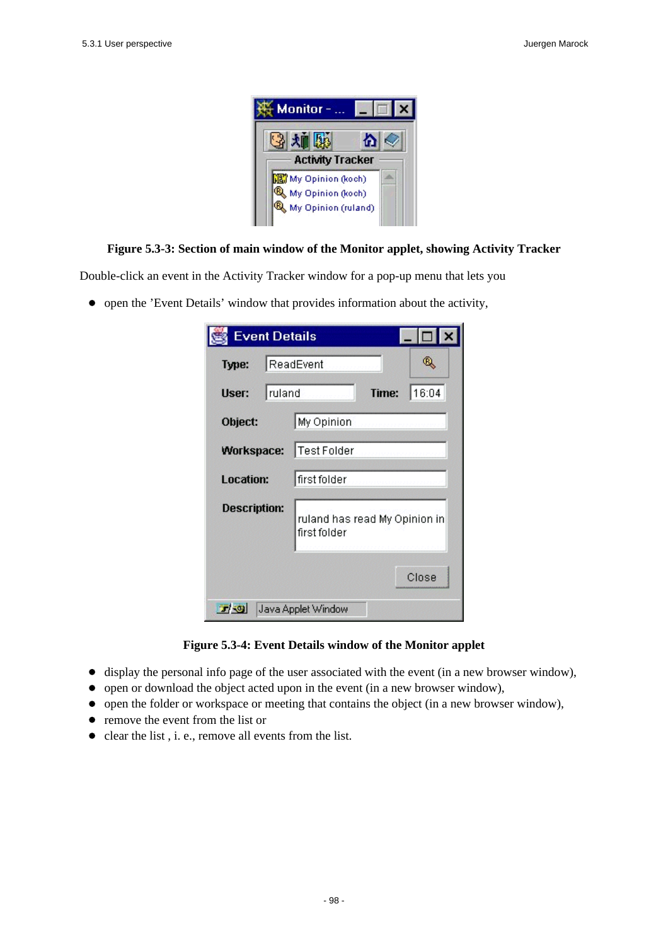

#### **Figure 5.3-3: Section of main window of the Monitor applet, showing Activity Tracker**

Double-click an event in the Activity Tracker window for a pop-up menu that lets you

open the 'Event Details' window that provides information about the activity,

| <b>Event Details</b> |                                               |  |
|----------------------|-----------------------------------------------|--|
| Type:                | ReadEvent                                     |  |
| ruland<br>User:      | 16:04<br>Time:                                |  |
| Object:              | My Opinion                                    |  |
| Workspace:           | Test Folder                                   |  |
| <b>Location:</b>     | first folder                                  |  |
| <b>Description:</b>  | ruland has read My Opinion in<br>first folder |  |
|                      | Close                                         |  |
| <b>ET SO</b>         | Java Applet Window                            |  |

**Figure 5.3-4: Event Details window of the Monitor applet**

- display the personal info page of the user associated with the event (in a new browser window),
- open or download the object acted upon in the event (in a new browser window),
- open the folder or workspace or meeting that contains the object (in a new browser window),
- remove the event from the list or
- $\bullet$  clear the list, i. e., remove all events from the list.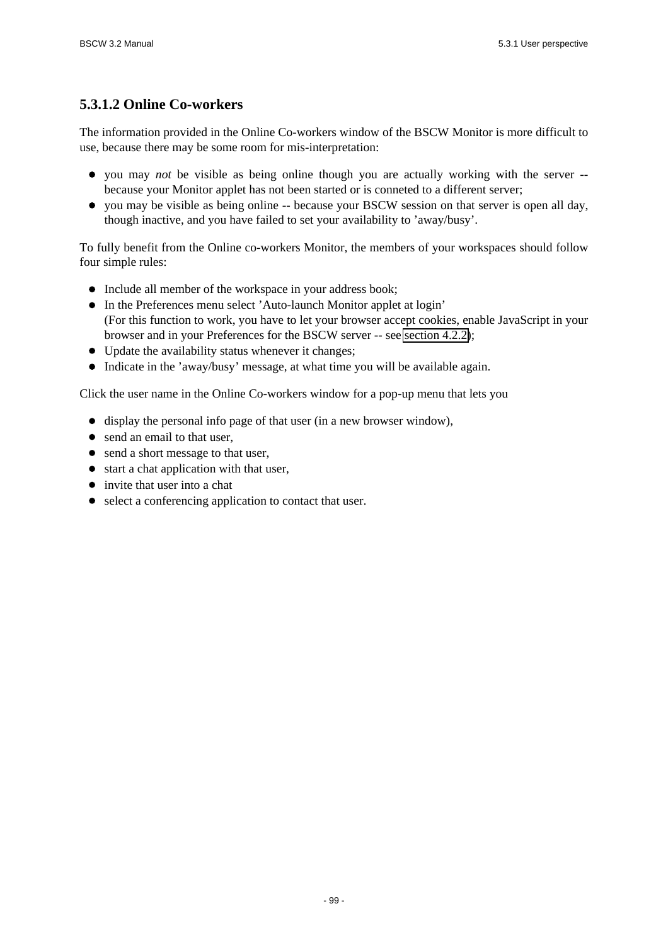# **5.3.1.2 Online Co-workers**

The information provided in the Online Co-workers window of the BSCW Monitor is more difficult to use, because there may be some room for mis-interpretation:

- you may *not* be visible as being online though you are actually working with the server because your Monitor applet has not been started or is conneted to a different server;
- you may be visible as being online -- because your BSCW session on that server is open all day, though inactive, and you have failed to set your availability to 'away/busy'.

To fully benefit from the Online co-workers Monitor, the members of your workspaces should follow four simple rules:

- Include all member of the workspace in your address book;
- In the Preferences menu select 'Auto-launch Monitor applet at login' (For this function to work, you have to let your browser accept cookies, enable JavaScript in your browser and in your Preferences for the BSCW server -- see [section 4.2.2\)](#page-44-0);
- Update the availability status whenever it changes;
- Indicate in the 'away/busy' message, at what time you will be available again.

Click the user name in the Online Co-workers window for a pop-up menu that lets you

- display the personal info page of that user (in a new browser window),
- send an email to that user,
- send a short message to that user,
- start a chat application with that user,
- invite that user into a chat
- select a conferencing application to contact that user.